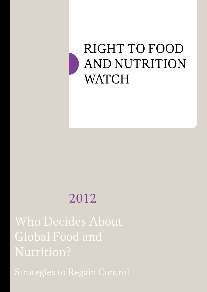# RIGHT TO FOOD **AND NUTRITION** WATCH

# 2012

Who Decides About Global Food and Nutrition?

Strategies to Regain Control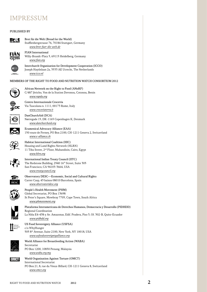# IMPRESSUM

# Published by



Brot für die Welt (Bread for the World) Stafflenbergstrasse 76, 70184 Stuttgart, Germany [www.brot-fuer-die-welt.de](http://www.brot-fuer-die-welt.de)



FIAN International Willy-Brandt-Platz 5, 69115 Heidelberg, Germany <www.fian.org>



Interchurch Organisation for Development Cooperation (ICCO) Joseph Haydnlaan 2a, 3533 AE Utrecht, The Netherlands <www.icco.nl>

## Members of the Right to Food and Nutrition Watch Consortium 2012



African Network on the Right to Food (ANoRF) C/487 Jéricho, Von de la Station Dovonou, Cotonou, Benin <www.rapda.org>



Centro Internazionale Crocevia Via Tuscolana n. 1111, 00173 Rome, Italy <www.croceviaterra.it>



DanChurchAid (DCA) Nørregade 15, DK-1165 Copenhagen K, Denmark <www.danchurchaid.org>



Ecumenical Advocacy Alliance (EAA) 150 route de Ferney, PO Box 2100, CH-1211 Geneva 2, Switzerland [www.e-alliance.ch](http://www.e-alliance.ch)



Habitat International Coalition (HIC)

<www.treatycouncil.org>

Housing and Land Rights Network (HLRN) 11 Tiba Street, 2nd Floor, Muhandisin, Cairo, Egypt <www.hlrn.org>



International Indian Treaty Council (IITC) The Redstone Building, 2940 16th Street, Suite 305 San Francisco, CA 94103-3664, USA



Observatory DESC—Economic, Social and Cultural Rights Carrer Casp, 43 baixos 08010 Barcelona, Spain <www.observatoridesc.org>



People's Health Movement (PHM) Global Secretariat, PO Box 13698 St Peter's Square, Mowbray 7705, Cape Town, South Africa <www.phmovement.org>



Plataforma Interamericana de Derechos Humanos, Democracia y Desarrollo (PIDHDD) Regional Coordination

La Niña E4-438 y Av. Amazonas, Edif. Pradera, Piso 3, Of. 302-B, Quito-Ecuador <www.pidhdd.org>



US Food Sovereignty Alliance (USFSA)

c/o WhyHunger 505 8th Avenue, Suite 2100, New York, NY 10018, USA <www.usfoodsovereigntyalliance.org>



**OMCT** 

World Alliance for Breastfeeding Action (WABA)



## World Organisation Against Torture (OMCT)

International Secretariat PO Box 21, 8, rue du Vieux-Billard, CH-1211 Geneva 8, Switzerland <www.omct.org>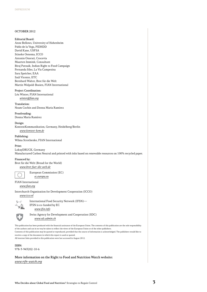### OCTOBER 2012

### Editorial Board:

Anne Bellows, University of Hohenheim Pablo de la Vega, PIDHDD David Kane, USFSA Stineke Oenema, ICCO Antonio Onorati, Crocevia Maarten Immink, Consultant Biraj Patnaik, Indian Right to Food Campaign Fernanda Siles, La Via Campesina Sara Speicher, EAA Saúl Vicente, IITC Bernhard Walter, Brot für die Welt Martin Wolpold-Bosien, FIAN International

## Project Coordination:

Léa Winter, FIAN International winter@fian.org

## Translation:

Noam Cochin and Donna Maria Ramírez

### Proofreading:

Donna Maria Ramírez

### Design:

KontextKommunikation, Germany, Heidelberg/Berlin [www.kontext-kom.de](http://www.kontext-kom.de)

### Publishing:

Wilma Strothenke, FIAN International

### Print:

LokayDRUCK, Germany Manufactured Carbon Neutral and printed with inks based on renewable resources on 100% recycled paper.

### Financed by:

Brot für die Welt (Bread for the World) [www.brot-fuer-die-welt.de](http://www.brot-fuer-die-welt.de)

> European Commission (EC) <ec.europa.eu>

# FIAN International

<www.fian.org>

Interchurch Organisation for Development Cooperation (ICCO) <www.icco.nl>



International Food Security Network (IFSN)— IFSN is co-funded by EC <www.ifsn.info>



Swiss Agency for Development and Cooperation (SDC) <www.sdc.admin.ch>

This publication has been produced with the financial assistance of the European Union. The contents of this publication are the sole responsibility of the authors and can in no way be taken to reflect the views of the European Union or of the other publishers. Contents of this publication may be quoted or reproduced, provided that the source of information is acknowledged. The publishers would like to receive a copy of the document in which this report is used or quoted.

All internet links provided in this publication were last accessed in August 2012.

ISBN: 978-3-943202-10-6

More information on the Right to Food and Nutrition Watch website: [www.rtfn-watch.org](http://www.rtfn-watch.org)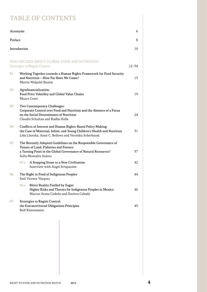# TABLE OF CONTENTS

| Acronyms                                                                                         |                                                                                                                                                                                                       |    |  |  |
|--------------------------------------------------------------------------------------------------|-------------------------------------------------------------------------------------------------------------------------------------------------------------------------------------------------------|----|--|--|
| Preface<br>8                                                                                     |                                                                                                                                                                                                       |    |  |  |
| Introduction                                                                                     |                                                                                                                                                                                                       |    |  |  |
| WHO DECIDES ABOUT GLOBAL FOOD AND NUTRITION?<br><b>Strategies to Regain Control</b><br>$12 - 54$ |                                                                                                                                                                                                       |    |  |  |
| 01                                                                                               | Working Together towards a Human Rights Framework for Food Security<br>and Nutrition-How Far Have We Come?<br>Martin Wolpold-Bosien                                                                   | 13 |  |  |
| 02                                                                                               | Agrofinancialization:<br>Food Price Volatility and Global Value Chains<br>Mauro Conti                                                                                                                 | 19 |  |  |
| 03                                                                                               | Two Contemporary Challenges:<br>Corporate Control over Food and Nutrition and the Absence of a Focus<br>on the Social Determinants of Nutrition<br>Claudio Schuftan and Radha Holla                   | 24 |  |  |
| 04                                                                                               | Conflicts of Interest and Human Rights-Based Policy Making:<br>the Case of Maternal, Infant, and Young Children's Health and Nutrition<br>Lida Lhotska, Anne C. Bellows and Veronika Scherbaum        | 31 |  |  |
| 05                                                                                               | The Recently Adopted Guidelines on the Responsible Governance of<br>Tenure of Land, Fisheries and Forests:<br>a Turning Point in the Global Governance of Natural Resources?<br>Sofía Monsalve Suárez | 37 |  |  |
|                                                                                                  | A Stepping Stone to a New Civilization<br>05 a<br>Interview with Angel Strapazzón                                                                                                                     | 42 |  |  |
| 06                                                                                               | The Right to Food of Indigenous Peoples<br>Saúl Vicente Vázquez                                                                                                                                       | 44 |  |  |
|                                                                                                  | <b>Bitter Reality Fuelled by Sugar:</b><br>06 a<br>Higher Risks and Threats for Indigenous Peoples in Mexico<br>Marcos Arana Cedeño and Xaviera Cabada                                                | 46 |  |  |
| 07                                                                                               | <b>Strategies to Regain Control:</b><br>the Extraterritorial Obligations Principles<br>Rolf Künnemann                                                                                                 | 49 |  |  |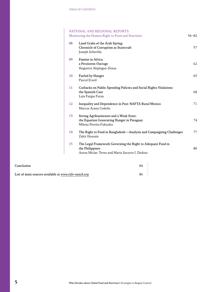# NATIONAL AND REGIONAL REPORTS: Monitoring the Human Right to Food and Nutrition 56–82 08 Land Grabs of the Arab Spring: Chronicle of Corruption as Statecraft 57 Joseph Schechla 09 Famine in Africa: a Persistent Outrage 62 Huguette Akplogan-Dossa 10 Fueled by Hunger 65 Pascal Erard 11 Cutbacks on Public Spending Policies and Social Rights Violations: the Spanish Case 68 Laia Fargas Fursa 12 Inequality and Dependence in Post-NAFTA Rural Mexico 71 Marcos Arana Cedeño 13 Strong Agribusinesses and a Weak State: the Equation Generating Hunger in Paraguay 74 Milena Pereira Fukuoka 14 The Right to Food in Bangladesh—Analysis and Campaigning Challenges 77 Zakir Hossain 15 The Legal Framework Governing the Right to Adequate Food in the Philippines 80 Aurea Miclat-Teves and Maria Socorro I. Diokno

| Conclusion                                           | 84 |  |
|------------------------------------------------------|----|--|
| List of main sources available at www.rtfn-watch.org |    |  |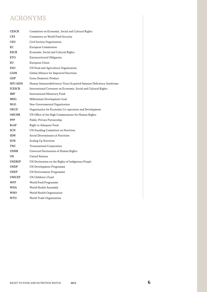# ACRONYMS

| <b>CESCR</b>  | Committee on Economic, Social and Cultural Rights                |
|---------------|------------------------------------------------------------------|
| <b>CFS</b>    | Committee on World Food Security                                 |
| <b>CSO</b>    | Civil Society Organization                                       |
| EC            | European Commission                                              |
| <b>ESCR</b>   | Economic, Social and Cultural Rights                             |
| <b>ETO</b>    | Extraterritorial Obligation                                      |
| EU            | European Union                                                   |
| <b>FAO</b>    | UN Food and Agriculture Organization                             |
| GAIN          | Global Alliance for Improved Nutrition                           |
| GDP           | <b>Gross Domestic Product</b>                                    |
| HIV/AIDS      | Human Immunodeficiency Virus/Acquired Immune Deficiency Syndrome |
| <b>ICESCR</b> | International Covenant on Economic, Social and Cultural Rights   |
| IMF           | International Monetary Fund                                      |
| <b>MDG</b>    | Millennium Development Goal                                      |
| NGO.          | Non-Governmental Organization                                    |
| <b>OECD</b>   | Organisation for Economic Co-operation and Development           |
| <b>OHCHR</b>  | UN Office of the High Commissioner for Human Rights              |
| <b>PPP</b>    | Public-Private Partnership                                       |
| RtAF          | Right to Adequate Food                                           |
| SCN           | UN Standing Committee on Nutrition                               |
| <b>SDN</b>    | Social Determinants of Nutrition                                 |
| <b>SUN</b>    | Scaling Up Nutrition                                             |
| TNC           | <b>Transnational Corporation</b>                                 |
| <b>UDHR</b>   | Universal Declaration of Human Rights                            |
| <b>UN</b>     | <b>United Nations</b>                                            |
| <b>UNDRIP</b> | UN Declaration on the Rights of Indigenous People                |
| <b>UNDP</b>   | UN Development Programme                                         |
| <b>UNEP</b>   | <b>UN Environment Programme</b>                                  |
| <b>UNICEF</b> | UN Children's Fund                                               |
| <b>WFP</b>    | World Food Programme                                             |
| <b>WHA</b>    | World Health Assembly                                            |
| WHO           | World Health Organization                                        |
| WTO           | World Trade Organization                                         |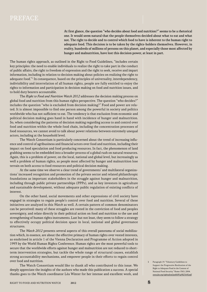At first glance, the question "who decides about food and nutrition?" seems to be a rhetorical one. It would seem natural that the people themselves decided about what to eat and what not. The right to decide and to control which food to have is inherent to the human right to adequate food. This decision is to be taken by the rights-holders themselves. However, in reality, hundreds of millions of persons on this planet, and especially those most affected by hunger and malnutrition, have lost this decision power, at least in part.

The human rights approach, as outlined in the Right to Food Guidelines, "includes certain key principles: the need to enable individuals to realize the right to take part in the conduct of public affairs, the right to freedom of expression and the right to seek, receive and impart information, including in relation to decision making about policies on realizing the right to adequate food."<sup>1</sup> In consequence, based on the principles of universality, interdependency, indivisibility and interrelation of all human rights, people are fully entitled to enjoy the rights to information and participation in decision making on food and nutrition issues, and to hold duty bearers accountable.

The Right to Food and Nutrition Watch 2012 addresses the decision making process on global food and nutrition from this human rights perspective. The question "who decides?" includes the question "who is excluded from decision making?" Food and power are related. It is almost impossible to find one person among the powerful in society and politics worldwide who has not sufficient to eat. The tendency is that exclusion from economic and political decision making goes hand in hand with incidence of hunger and malnutrition. So, when considering the patterns of decision making regarding access to and control over food and nutrition within the whole food chain, including the concentration processes of food ressources, we cannot avoid to talk about power relations between extremely unequal actors, including at the household level.

The Watch Consortium is particularly concerned about the trend of increasing influence and control of agribusiness and financial actors over food and nutrition, including their impact on food speculation and food producing resources. In fact, the phenomenon of land grabbing seems to be embedded into a broader process of a global rush on natural resources. Again, this is a problem of power, on the local, national and global level, but increasingly as well a problem of human rights, as people most affected by hunger and malnutrition lose terrain on both access to food resources and political decision making.

At the same time we observe a clear trend of governments' and multilateral organizations' increased recognition and promotion of the private sector and related philanthropic foundations as important stakeholders in the struggle against hunger and malnutrition, including through public private partnerships (PPPs), and as key investors in agriculture and sustainable development, without adequate public regulation of existing conflicts of interest.

On the other hand, social movements and other expressions of civil society have engaged in strategies to regain people's control over food and nutrition. Several of these initiatives are analyzed in this Watch as well. A certain pattern of common denominators can be perceived: many of these struggles are rooted in the conviction of food and peoples sovereignty, and relate directly in their political action on food and nutrition to the use and strengthening of human rights instruments. Last but not least, they seem to follow a strategy to effectively occupy political decision space in local, national and global governance structures.

The Watch 2012 presents several aspects of this overall panorama of social mobilization which, in essence, are about the effective primacy of human rights over vested interests, as enshrined in article 1 of the Vienna Declaration and Programme of Action adopted in 1993 by the World Human Rights Conference. Human rights are the most powerful tools to secure that the worldwide efforts against hunger and malnutrition are not reduced to shortterm intervention strategies, but tackle the whole range of structural causes, establish strong accountability mechanisms, and empower people in their efforts to regain control over food and nutrition.

The Watch Consortium would like to thank all who contributed to this issue. We deeply appreciate the insights of the authors who made this publication a success. A special thanks goes to the Watch coordinator Léa Winter for her intense and excellent work, and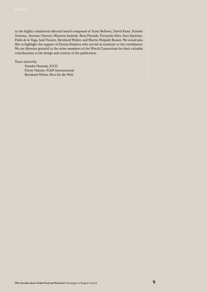to the highly committed editorial board composed of Anne Bellows, David Kane, Stineke Oenema, Antonio Onorati, Maarten Immink, Biraj Patnaik, Fernanda Siles, Sara Speicher, Pablo de la Vega, Saúl Vicente, Bernhard Walter, and Martin Wolpold-Bosien. We would also like to highlight the support of Donna Ramírez who served as assistant to the coordinator. We are likewise grateful to the other members of the Watch Consortium for their valuable contributions to the design and content of the publication.

Yours sincerely,

Stineke Oenema, ICCO Flavio Valente, FIAN International Bernhard Walter, Brot für die Welt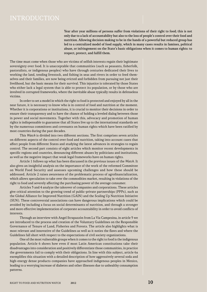# **INTRODUCTION**

Year after year millions of persons suffer from violations of their right to food; this is not only due to a lack of accountability but also to the loss of people's control over their food and nutrition. Allowing decision making to be in the hands of a powerful but reduced group has led to a centralized model of food supply, which in many cases results in famines, political abuse, or infringement on the State's basic obligations when it comes to human rights: to respect, protect, and fulfill them.

The time must come when those who are victims of selfish interests regain their legitimate sovereignty over food. It is unacceptable that communities (such as peasants, fisherfolk, pastoralists, or indigenous peoples) who have through centuries dedicated their lives to working the land, tending livestock, and fishing in seas and rivers in order to feed themselves and their families, are now being evicted and forbidden from pursuing not just their livelihood, but the basic means for their survival. This injustice is tolerated by those States who either lack a legal system that is able to protect its population, or by those who are involved in corrupted frameworks, where the inevitable abuse typically results in defenseless victims.

In order to set a model in which the right to food is protected and enjoyed by all in the near future, it is necessary to know who is in control of food and nutrition at the moment. Whether it is corporations or institutions, it is crucial to monitor their decisions in order to ensure their transparency and to have the chance of holding a leveled dialog between those in power and social movements. Together with this, advocacy and promotion of human rights is indispensable to guarantee that all States live up to the international standards set by the numerous committees and covenants on human rights which have been ratified by most countries during the past decades.

This Watch is divided into two different sections. The first comprises seven articles on different aspects of the control over food and nutrition, taking into account cases that affect people from different States and studying the latest advances in strategies to regain control. The second part consists of eight articles which monitor recent developments in specific regions and countries, denouncing different abuses by politicians and institutions, as well as the negative impact that weak legal frameworks have on human rights.

Article 1 follows up what has been discussed in the previous issues of the Watch. It also gives an insightful analysis on the importance of the work of the reformed Committee on World Food Security and assesses upcoming challenges and how these should be addressed. Article 2 raises awareness of the problematic process of agrofinancialization, which allows speculation to take over the commodities market, resulting in violations of the right to food and severely affecting the purchasing power of the average consumer.

Articles 3 and 4 analyze the takeover of companies and corporations. These articles give critical attention to the growing trend of public-private partnerships (PPPs), such as the Global Alliance for Improved Nutrition (GAIN) and the Scaling Up Nutrition Initiative (SUN). These controversial associations can have dangerous implications which could be avoided by including a focus on social determinants of nutrition, and through a stronger and more effective implementation of corporate accountability in order to avoid conflicts of interests.

Through an interview with Angel Strapazzón from La Via Campesina, in article 5 we are introduced to the process and creation of the Voluntary Guidelines on the Responsible Governance of Tenure of Land, Fisheries and Forests. The article also highlights what is most relevant and innovative of the Guidelines as well as it noties the flaws and where the Guidelines fall short with respect to the expectations of civil society organizations.

One of the most vulnerable groups when it comes to the right to food is the indigenous population. Article 6 shows how even if most Latin American constitutions take their disadvantages into consideration and positively differentiate those communities, in practice the governments fail to comply with their obligations. In line with this subject, article 6a exemplifies this situation with a detailed description of how aggressively several soda and high-energy dense products companies have approached indigenous peoples in Mexico, leading to a worrying increase of diabetes and other illnesses due to unhealthy consumption patterns.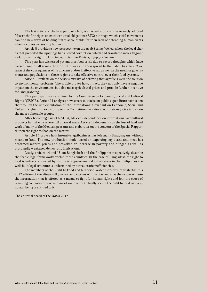The last article of the first part, article 7, is a factual study on the recently adopted Maastricht Principles on extraterritorial obligations (ETOs) through which social movements can find new ways of holding States accountable for their lack of defending human rights when it comes to crossing borders.

Article 8 provides a new perspective on the Arab Spring. We learn how the legal chaos that preceded the uprisings had allowed corruption, which had translated into a flagrant violation of the right to land in countries like Tunisia, Egypt, or Yemen.

This year has witnessed yet another food crisis due to severe droughts which have caused famines all across the Horn of Africa and then spread to the Sahel. In article 9 we learn of the consequences of insufficient and/or ineffective aid as well as the need for governments and populations in those regions to take effective control over their food systems.

Article 10 reflects on the serious mistake of believing that agrofuels were the solution to environmental problems. The article proves how, in fact, they not only have a negative impact on the environment, but also raise agricultural prices and provide further incentive for land grabbing.

This year, Spain was examined by the Committee on Economic, Social and Cultural Rights (CESCR). Article 11 analyses how severe cutbacks on public expenditure have taken their toll on the implementation of the International Covenant on Economic, Social and Cultural Rights, and expands upon the Committee's worries about their negative impact on the most vulnerable groups.

After becoming part of NAFTA, Mexico's dependence on international agricultural products has taken a severe toll on rural areas. Article 12 documents on the loss of land and work of many of the Mexican peasants and elaborates on the concern of the Special Rapporteur on the right to food on the matter.

Article 13 proves how intensive agribusiness has left many Paraguayans without means or land. The new production model based on exporting soy beans and meat has deformed market prices and provoked an increase in poverty and hunger, as well as profoundly weakened democratic institutions.

Lastly, articles 14 and 15, on Bangladesh and the Philippines respectively, describe the feeble legal frameworks within these countries. In the case of Bangladesh the right to food is indirectly covered by insufficient governmental aid whereas in the Philippines the well-built legal structure is undermined by bureaucratic inefficiencies.

The members of the Right to Food and Nutrition Watch Consortium wish that this 2012 edition of the Watch will give voice to victims of injustice, and that the reader will use the information that is offered as a means to fight for human rights and join the cause of regaining control over food and nutrition in order to finally secure the right to food, as every human being is entitled to it.

The editorial board of the Watch 2012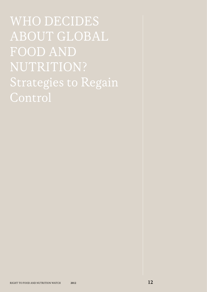WHO DECIDES ABOUT GLOBAL FOOD AND NUTRITION? Strategies to Regain Control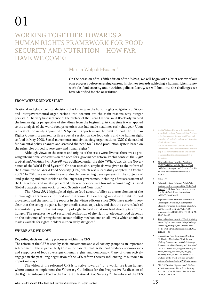# 01

# WORKING TOGETHER TOWARDS A Human Rights Framework for Food Security and Nutrition—How Far Have We Come?

# Martin Wolpold-Bosien<sup>1</sup>

On the occasion of this fifth edition of the Watch, we will begin with a brief review of our own progress before assessing current initiatives towards achieving a human rights framework for food security and nutrition policies. Lastly, we will look into the challenges we have identified for the near future.

# From where did we start?

"National and global political decisions that fail to take the human rights obligations of States and intergovernmental organizations into account are the main reasons why hunger persists."2 The very first sentence of the preface of the "Zero Edition" in 2008 clearly marked the human rights perspective of the Watch from the beginning. At that time it was applied to the analysis of the world food price crisis that had made headlines early that year. Upon request of the newly appointed UN Special Rapporteur on the right to food, the Human Rights Council organized its first special session on the food crisis and the human right to food in May 2008. Social movements and civil society organizations (CSOs) demanded fundamental policy changes and stressed the need for "a food production system based on the principles of food sovereignty and human rights."3

Although views on the causes and origins of the crisis were diverse, there was a growing international consensus on the need for a governance reform. In this context, the Right to Food and Nutrition Watch 2009 was published under the title: "Who Controls the Governance of the World Food System?" On that occasion, emphasis was given to the reform of the Committee on World Food Security (CFS) which was successfully adopted in October 2009.4 In 2010, we examined several deeply concerning developments in the subjects of land grabbing and malnutrition as challenges for governance, including a first assessment of the CFS reform, and we also presented different perspectives towards a human rights based Global Strategic Framework for Food Security and Nutrition.5

The Watch 2011 highlighted right to food accountability as a core element of the human rights framework for food and nutrition. The emerging worldwide right to food movement and the monitoring reports in the Watch editions since 2008 have made it very clear that the struggle against hunger entails access to justice, and that the current lack of accountability and prevalent impunity of right to food violations lead directly to chronic hunger. The progressive and sustained realization of the right to adequate food depends on the existence of strengthened accountability mechanisms on all levels which should be made available for rights-holders in their daily struggles.<sup>6</sup>

# Where are we now?

# Regarding decision making processes within the CFS

The reform of the CFS is seen by social movements and civil society groups as an important achievement. This is particularly true in the case of small-scale food producer organizations and supporters of food sovereignty, human rights, and democracy. Many of them actively engaged in the year-long negotiation of the CFS reform thereby influencing its outcome in important ways.7

The vision of the reformed CFS is to strive towards "[…] a world free from hunger where countries implement the Voluntary Guidelines for the Progressive Realization of the Right to Adequate Food in the Context of National Food Security."8 The reform of the CFS

- 1 Martin Wolpold-Bosien is the coordinator of the Right to Food Accountability Program at the International Secretariat of FIAN and a member of the Right to Food and Nutrition Watch editorial board. The author would like to thank Stineke Oenema and Carole Samdup for their valuable help in the review of the article. The content of the article is the sole responsibility of the author.
- 2 Right to Food and Nutrition Watch: the World Food Crisis and the Right to Food. Heidelberg, Stuttgart, and Utrecht: Brot für die Welt, FIAN International and ICCO, 2008. 4.
- 3 Ibid. 9–10.
- 4 Right to Food and Nutrition Watch: Who Controls the Governance of the World Food System? Heidelberg, Stuttgart, and Utrecht: Brot für die Welt, FIAN International and ICCO, 2009.10–23.
- 5 Right to Food and Nutrition Watch: Land Grabbing and Nutrition, Challenges for Global Governance. Heidelberg, Stuttgart, and Utrecht: Brot für die Welt, FIAN International and ICCO, 2010. 13–15,18–21, 33–43, 86–87.
- 6 Right to Food and Nutrition Watch: Claiming Human Rights, the Accountability Challenge. Heidelberg, Stuttgart, and Utrecht: Brot für die Welt, FIAN International and ICCO, 2011. 98–100.
- 7 International Food Security and Nutrition Civil Society Mechanism. "Civil Society Working Document on the Global Strategic Framework for Food Security and Nutrition." Dec. 2011. [www.csm4cfs.org/files/SottoPagine/](www.csm4cfs.org/files/SottoPagine/41/cso_working_document_on_the_gsf_december_2011_en.pdf) [41/cso\\_working\\_document\\_on\\_the\\_gsf\\_](www.csm4cfs.org/files/SottoPagine/41/cso_working_document_on_the_gsf_december_2011_en.pdf) [december\\_2011\\_en.pdf](www.csm4cfs.org/files/SottoPagine/41/cso_working_document_on_the_gsf_december_2011_en.pdf). This document is available on the Watch website: [www.rtfn](www.rtfn-watch.org/en/home/watch-2012/main-sources)[watch.org/en/home/watch-2012/main-sources](www.rtfn-watch.org/en/home/watch-2012/main-sources).
- 8 CFS, 35th Session. "Agenda Item 3: Reform of the Committee on World Food Security, Final Version" (CFS: 2009/2 Rev 2). Rome, 14, 15, 17 Oct. 2009.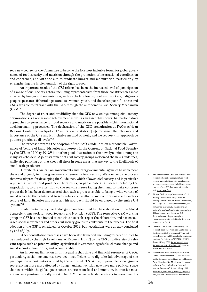set a new course for the Committee to become the foremost inclusive forum for global governance of food security and nutrition through the promotion of international coordination and coherence, and with the aim to eradicate hunger and malnutrition, particularly by strengthening the implementation of the right to food.

An important result of the CFS reform has been the increased level of participation of a range of civil society actors, including representatives from those constituencies most affected by hunger and malnutrition, such as the landless, agricultural workers, indigenous peoples, peasants, fisherfolk, pastoralists, women, youth, and the urban poor. All these and CSOs are able to interact with the CFS through the autonomous Civil Society Mechanism  $(CSM).<sup>9</sup>$ 

The degree of trust and credibility that the CFS now enjoys among civil society organizations is a remarkable achievement as well as an asset that shows that participatory approaches to governance for food security and nutrition are possible within international decision-making processes. The declaration of the CSO consultation at FAO's African Regional Conference in April 2012 in Brazzaville states: "[w]e recognize the relevance and importance of the CFS and its inclusive method of work, and we request this approach be put into practice at all levels."10

The process towards the adoption of the FAO Guidelines on Responsible Governance of Tenure of Land, Fisheries and Forests in the Context of National Food Security by the CFS on 11 May  $2012<sup>11</sup>$  is another good illustration of the new dynamics among the many stakeholders. A joint statement of civil society groups welcomed the new Guidelines, while also pointing out that they fall short in some areas that are key to the livelihoods of small-scale producers.

"Despite this, we call on governments and intergovernmental agencies to implement them and urgently improve governance of tenure for food security. We commend the process that was adopted for developing the Guidelines, which allowed civil society, and in particular representatives of food producers themselves, to participate at all stages including the negotiations, to draw attention to the real-life issues facing them and to make concrete proposals. It has been demonstrated that such a process is able to bring a wide variety of social actors to the debate and to seek solutions to difficult and contentious issues such as tenure of land, fisheries and forests. This approach should be emulated by the entire UN system."12

Similar participatory methodologies have been used for the elaboration of the Global Strategic Framework for Food Security and Nutrition (GSF). The respective CSM working group on GSF has been invited to contribute to each step of the elaboration, and has encouraged social movements and other civil society groups to contribute to the process. The final adoption of the GSF is scheduled for October 2012, but negotiations were already concluded by end of July.

Other consultation processes have been also launched, including research studies to be conducted by the High Level Panel of Experts (HLPE) to the CFS on a diversity of relevant topics such as price volatility, agricultural investment, agrofuels, climate change and social security, monitoring, and accountability.

An important limitation in this regard is that time and financial resources of CSOs, particularly social movements, have been insufficient to really take full advantage of the participation opportunities offered by the reformed CFS. While, in principle, social groups representing those most affected by hunger and malnutrition now have more political space than ever within the global governance structures on food and nutrition, in practice most are not in a position to really use it. The CSM has made laudable efforts to overcome this

- 9 The purpose of the CSM is to facilitate civil society participation in agriculture, food security and nutrition policy development at national, regional, and global levels in the context of the CFS. For more information visit <www.csm4cfs.org>.
- 10 African Civil Society Consultation. "Civil Society Declaration on Regional Civil Society Consultation for Africa." Brazzaville, 21–22 Apr. 2012. [www.europafrica.info/en/](www.europafrica.info/en/cfs/regional-civil-society-consultation-for-africa-the-final-declaration-ety-organizations) [cfs/regional-civil-society-consultation-for](www.europafrica.info/en/cfs/regional-civil-society-consultation-for-africa-the-final-declaration-ety-organizations)[africa-the-final-declaration-ety-organizations](www.europafrica.info/en/cfs/regional-civil-society-consultation-for-africa-the-final-declaration-ety-organizations). This document and the other CSOs declarations coming from regional consultations are included in the document referenced in fn. 15.
- 11 Committee on World Food Security, 38th (Special) Session. "Voluntary Guidelines on the Responsible Governance of Tenure of Land, Fisheries and Forests in the Context of National Food Security" (CFS 2012/38/2). Rome, 11 May 2012. [http://www.fao.org/](http://www.fao.org/docrep/meeting/025/md708e.pdf) [docrep/meeting/025/md708e.pdf](http://www.fao.org/docrep/meeting/025/md708e.pdf). See also article 5 of this Watch.
- 12 International Food Security and Nutrition Civil Society Mechanism. "The Guidelines on the Tenure of Land, Fisheries and Forests Are a First Step, But Much More Is Needed to Ensure People's Rights to Land and Natural Resources." Rome, 11 May 2012. [www.csm4cfs.org/policy\\_working\\_groups-6/](www.csm4cfs.org/policy_working_groups-6/land_tenure-6/) [land\\_tenure-6/](www.csm4cfs.org/policy_working_groups-6/land_tenure-6/). See also article 5 of this Watch.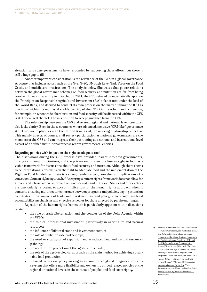situation, and some governments have responded by supporting those efforts, but there is still a huge gap to fill.

Another important consideration is the relevance of the CFS in a global governance structure that includes actors such as the G-8, G-20, UN High Level Task Force on the Food Crisis, and multilateral institutions. The analysis below illustrates that power relations between the global governance schemes on food security and nutrition are far from being resolved. It was interesting to note that in 2011, the CFS refused to automatically approve the Principles on Responsible Agricultural Investment (RAI) elaborated under the lead of the World Bank, and decided to conduct its own process on the matter, taking the RAI as one input within the multi-stakeholder setting of the CFS. On the other hand, a question, for example, on when trade liberalization and food security will be discussed within the CFS is still open. Will the WTO be in a position to accept guidance from the CFS?

The relationship between the CFS and related regional and national level structures also lacks clarity. Even in those countries where advanced, inclusive "CFS-like" governance structures are in place, as with the CONSEA in Brazil, the working relationship is unclear. This mainly affects, of course, civil society participation as national governments are the members of the CFS and can integrate their positioning at a national and international level as part of a defined institutional process within governmental entities.

## Regarding policies with impact on the right to adequate food

The discussions during the GSF process have provided insight into how governments, intergovernmental institutions, and the private sector view the human right to food as a viable framework for discussions about food security and nutrition. Although there seems to be international consensus on the right to adequate food and the implementation of the Right to Food Guidelines, there is a strong tendency to ignore the full implications of a consequent human rights approach.13 Accepting a human rights framework does not allow for a "pick-and-chose-menu" approach on food security and nutrition. States and other actors are particularly reluctant to accept implications of the human rights approach when it comes to ensuring multi-sector coherence between programs and policies, paying attention to extraterritorial impacts of trade and investment law and policy, or to recognizing legal accountability mechanisms and effective remedies for those affected by persistent hunger.

Rejection of the human rights framework is particularly apparent within discusions related to:

- the role of trade liberalization and the conclusion of the Doha Agenda within the WTO;
- the role of international investment, particularly in agriculture and natural resources;
- the influence of bilateral trade and investment treaties;
- the role of public-private partnerships;
- the need to stop agrofuel expansion and associated land and natural resources grabbing;
- the need to stop promotion of the agribusiness model;
- the role of the agro-ecological approach as the main method for achieving sustainable food production;
- the need to reorient policy making away from forced global integration towards a system that offers more flexibility and ownership of food related policies at the regional or national levels, in the context of peoples and food sovereignty.

13 For more information on GSF's accountability see: Golay, Christophe, and Michaela Büschi. The Right to Food and Global Strategic Frameworks: the Global Strategic Framework for Food Security and Nutrition (GSF) and the UN Comprehensive Framework for Action (CFA). Rome: FAO, 2012; "Factsheet 1; the Global Strategic Framework for Food Security and Nutrition: a Right to Food Perspective." FAO. Mar. 2012; and "Factsheet 2; Human Rights—a Strategy for the Fight against Hunger." FAO. Mar. 2012. [www.fao.](www.fao.org/righttofood/news56_en.htm) [org/righttofood/news56\\_en.htm](www.fao.org/righttofood/news56_en.htm). These documents are available on the Watch website: [www.rtfn-watch.org/en/home/watch-2012/](http://www.rtfn-watch.org/en/home/watch-2012/main-sources) [main-sources](http://www.rtfn-watch.org/en/home/watch-2012/main-sources).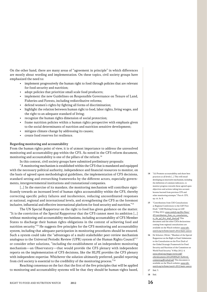On the other hand, there are many areas of "agreement in principle" in which differences are mostly about wording and implementation. On these topics, civil society groups have emphasized the need to:

- implement progressively the human right to food through policies that are relevant for food security and nutrition;
- adopt policies that prioritize small scale food producers;
- implement the new Guidelines on Responsible Governance on Tenure of Land, Fisheries and Forests, including redistributive reforms;
- defend women's rights by fighting all forms of discrimination;
- highlight the relation between human right to food, labor rights, living wages, and the right to an adequate standard of living;
- recognize the human rights dimension of social protection;
- frame nutrition policies within a human rights perspective with emphasis given to the social determinants of nutrition and nutrition sensitive development;
- mitigate climate change by addressing its causes;
- create food reserves for resilience.

## Regarding monitoring and accountability

From the human rights point of view, it is of utmost importance to address the unresolved monitoring and accountability gap within the CFS. As noted in the CFS reform document, monitoring and accountability is one of the pillars of the reform.<sup>14</sup>

In this context, civil society groups have submitted preliminary proposals:

"A monitoring mechanism is established within the CFS that is mandated and equipped with the necessary political authority, independence and financial resources to monitor, on the basis of agreed upon methodological guidelines, the implementation of CFS decisions, standard setting and overarching frameworks by the different actors, especially governments, intergovernmental institutions and transnational companies.

[...] In the exercise of its mandate, the monitoring mechanism will contribute significantly towards an increased level of human rights accountability within the CFS, thereby correcting specific policy failures and incoherence, reducing uncoordinated responses at national, regional and international levels, and strengthening the CFS as the foremost inclusive, influential and effective international platform for food security and nutrition."15

The UN Special Rapporteur on the right to food has given guidance on the matter. "It is the conviction of the Special Rapporteur that the CFS cannot meet its ambition […] without monitoring and accountability mechanisms, including accountability of CFS Member States to discharge their human rights obligations in the context of achieving food and nutrition security."<sup>16</sup> He suggests five principles for the CFS monitoring and accountability system, including that adequate participation in monitoring procedures should be ensured. Such a system could take the "advantages of a multi-stakeholder peer-review mechanism analogous to the Universal Periodic Review (UPR) system of the Human Rights Council"17 or consider other solutions, "including the establishment of an independent monitoring mechanism—an Observatory—that would provide the CFS plenary with independent reports on the implementation of CFS decisions, like the HLPE provides the CFS plenary with independent expertise. Whichever the solution ultimately preferred, parallel reporting from civil society is essential to the credibility of the monitoring process."18

Reaching consensus on the fact that the first of the five principles that will be applied to monitoring and accountability systems will be that they should be human-rights based,

- 14 "(ii) Promote accountability and share best practices at all levels […] This will entail developing an innovative mechanism, including the definition of common indicators, to monitor progress towards these agreed upon objectives and actions taking into account lessons learned from previous CFS and other monitoring attempts." Para 6. CFS, op. cit. fn. 8.
- 15 "Contributions from CSO Consultations at Regional Conferences to the GSF First Draft." CSM Working Group on GSF. 15 May 2012. [www.csm4cfs.org/files/News/](www.csm4cfs.org/files/News/45/contributions_from_cso_consultations_to_the_gsf_first_draft_final.pdf) [45/contributions\\_from\\_cso\\_consultations\\_](www.csm4cfs.org/files/News/45/contributions_from_cso_consultations_to_the_gsf_first_draft_final.pdf) [to\\_the\\_gsf\\_first\\_draft\\_final.pdf](www.csm4cfs.org/files/News/45/contributions_from_cso_consultations_to_the_gsf_first_draft_final.pdf). This document and the other CSOs declarations coming from regional consultations are available on the Watch website: [www.rtfn](http://www.rtfn-watch.org/en/home/watch-2012/main-sources)[watch.org/en/home/watch-2012/main-sources](http://www.rtfn-watch.org/en/home/watch-2012/main-sources).
- 16 De Schutter, Olivier. "Mandate of the Special Rapporteur on the Right to Food: Submission to the Consultation on the First Draft of the Global Strategic Framework for Food Security and Nutrition of the Committee on World Food Security." 8 May 2012. 4. [www.srfood.org/images/stories/pdf/](www.srfood.org/images/stories/pdf/otherdocuments/20120508%20-%20srrtf_commentsgsffirstdraft.pdf) [otherdocuments/20120508%20-%20srrtf\\_](www.srfood.org/images/stories/pdf/otherdocuments/20120508%20-%20srrtf_commentsgsffirstdraft.pdf) [commentsgsffirstdraft.pdf](www.srfood.org/images/stories/pdf/otherdocuments/20120508%20-%20srrtf_commentsgsffirstdraft.pdf). This document is available on the Watch website: [www.rtfn](http://www.rtfn-watch.org/en/home/watch-2012/main-sources)[watch.org/en/home/watch-2012/main-sources](http://www.rtfn-watch.org/en/home/watch-2012/main-sources).
- 17 Ibid. 3. 18 Ibid.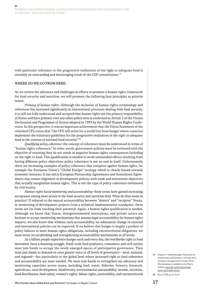with particular reference to the progressive realization of the right to adequate food is certainly an outstanding and encouraging result of the GSF consultations.19

## WHERE DO WE GO FROM HERE:

As we review the advances and challenges in efforts to promote a human rights framework for food security and nutrition, we will promote the following four principles as priority issues:

Primacy of human rights: Although the inclusion of human rights terminology and references has increased significantly in international processes dealing with food security, it is still not fully understood and accepted that human rights are the primary responsibility of States and have primacy over any other policy area as enshrined in Article 1 of the Vienna Declaration and Programme of Action adopted in 1993 by the World Human Rights Conference. In this perspective, it was an important achievement that the Vision Statement of the reformed CFS states that "the CFS will strive for a world free from hunger where countries implement the voluntary guidelines for the progressive realization of the right to adequate food in the context of national food security."20  $\,$ 

Qualifying policy coherence: the concept of coherence must be understood in terms of "human rights coherence." In other words, government policies must be reviewed with the objective of ensuring they do not result in negative human rights consequences including on the right to food. This qualification is needed to avoid unintended effects resulting from having different policy objectives; policy coherence is not an end in itself. Unfortunately there are increasing examples of policy coherence that conspires against human rights, for example the European Union's "Global Europe" strategy which is clearly biased towards economic interests. It has led to European Partnership Agreements and Association Agreements that ensure alignment of development policies with trade and investment objectives that actually marginalize human rights. This is not the type of policy coherence envisioned by civil society.

Human rights based monitoring and accountability: these terms have gained increasing acceptance among most actors in the food security and nutrition field. What do they mean in practice? If reduced to the mutual accountability between "donors" and "recipient" States, or monitoring of development projects from a technical implementation standpoint, these terms are far from reaching their potential. Again, a human rights qualification is needed. Although we know that States, intergovernmental institutions, and private actors are hesitant to accept monitoring mechanisms that assume legal accountability for human rights impacts, we also know that without such accountability, no substantial change in national and international policies can be expected. If we believe that hunger is largely a product of policy failures to meet human rights obligations, including extraterritorial obligations, we must insist on establishing and strengthening accountability mechanisms at all levels.

As a billion people experience hunger each and every day, the worldwide right to food movement faces a daunting struggle. Small-scale food producers, consumers, and civil society must join hands to occupy the newly emerged spaces of participative governance. They must join hands to demand an even greater voice at all levels of governance—local, national, and regional—but particularly at the global level where increased right to food coherence and accountability are most needed. We must join hands to strengthen our advocacy and monitoring capacities across issues, including land, water, fisheries, forestry, livestock, agriculture, rural development, biodiversity, environmental sustainability, income, nutrition, food distribution, food safety, women's rights, labour rights, justiciability, and extraterritorial

20 Para 4. CFS, op. cit. fn. 8.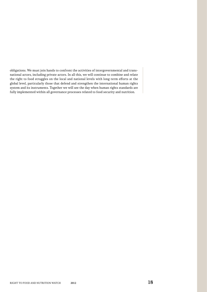obligations. We must join hands to confront the activities of intergovernmental and transnational actors, including private actors. In all this, we will continue to combine and relate the right to food struggles on the local and national levels with long-term efforts at the global level, particularly those that defend and strengthen the international human rights system and its instruments. Together we will see the day when human rights standards are fully implemented within all governance processes related to food security and nutrition.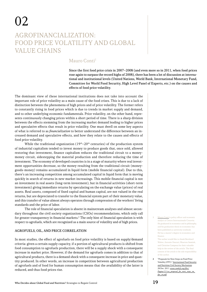# Agrofinancialization: Food Price Volatility and Global **VALUE CHAINS**

# Mauro Conti<sup>1</sup>

Since the first food price crisis in 2007–2008 (and even more so in 2011, when food prices rose again to surpass the record highs of 2008), there has been a lot of discussion at international and institutional levels (United Nations, World Bank, International Monetary Fund, Committee for World Food Security, High Level Panel of Experts, etc.) on the causes and effects of food price volatility.

The dominant view of these international institutions does not take into account the important role of price volatility as a main cause of the food crises. This is due to a lack of distinction between the phenomena of high prices and of price volatility. The former refers to constantly rising in food prices which is due to trends in market supply and demand, and to other underlying economic fundamentals. Price volatility, on the other hand, represents continuously changing prices within a short period of time. There is a sharp division between the effects stemming from the increasing market demand leading to higher prices and speculative effects that result in price volatility. One must dwell on some key aspects of what is referred to as *financialization* to better understand the difference between an increased demand and speculative effects, and how they relate to the causes and effects of food price volatility.

While the traditional organization  $(19<sup>th</sup>-20<sup>th</sup>$  centuries) of the production system of industrial capitalism tended to invest money to produce goods that, once sold, allowed restoring that investment, finance capitalism reduces the traditional circuit to a moneymoney circuit, sidestepping the material production and therefore reducing the time of investment. The economy of developed countries is in a stage of maturity where real investment opportunities decrease, so the money resulting from the traditional circuit (moneygoods-money) remains accumulated in liquid form (mobile financial capital). Due to this, there's an increasing competition among accumulated capital in liquid form that is moving quickly in search of returns in new market increasings. This mobile financial capital is not an investment in real assets (long-term investment), but in financial activities (short-term investment) giving immediate returns by speculating on the exchange value (prices) of real assets. Real assets, composed of fixed capital and human capital, are not valued in the real returns, but are depreciated to transfer to the financial system part of their monetary value, and this transfer of value almost always operates through compression of the workers' living standards and the price of labor.

The role of financial speculation is absent in mainstream analyses and almost secondary throughout the civil society organizations (CSOs) recommendations, which only call for greater transparency in financial markets.2 The only hint of financial speculation is with respect to agrofuels, which are recognized as a main source of volatility and of high prices.

# Agrofuels, oil, and price correlation

In most studies, the effect of agrofuels on food price volatility is based on supply/demand criteria: given a certain supply capacity, if a portion of agricultural products is shifted from food consumption to agrofuels production, there will be a supply shock with a consequent increase in market price. However, if the demand for agrofuels comes in addition to that of agricultural products, there is a demand shock with a consequent increase in price and quantity produced. In other words, an increase in competition between agricultural production of agrofuels and of food for human consumption means that the availability of the latter is reduced, and thus food prices rise.

1 Mauro Conti is policy officer and economic analyst at Centro Internazionale Crocevia. He graduated in economics and in philosophy, and his graduation thesis in economics has been published as university textbook. He has a master's degree in economics and finance. The author would like to thank Bernhard

Walter, Antonio Onorati, Maarten Immink, and Christine Campeau for their valuable help in the review of the article. The final content of the article is the sole responsibility of the author.

2 "Proposals for Next Steps on Food Price Volatility (FPV)." International Food Security and Nutrition Civil Society Mechanism. 28 Dec. 2011. [www.csm4cfs.org/files/](www.csm4cfs.org/files/Pagine/11/cso_proposal_for_next_steps_on_fpv_en.pdf) [Pagine/11/cso\\_proposal\\_for\\_next\\_steps\\_on\\_](www.csm4cfs.org/files/Pagine/11/cso_proposal_for_next_steps_on_fpv_en.pdf) [fpv\\_en.pdf](www.csm4cfs.org/files/Pagine/11/cso_proposal_for_next_steps_on_fpv_en.pdf).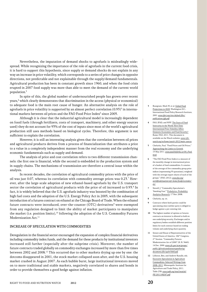Nevertheless, the imputation of demand shocks to agrofuels is misleadingly widespread. While recognizing the importance of the role of agrofuels in the current food crisis, it is hard to support this hypothesis, since supply or demand shocks do not explain in any way an increase in price volatility, which corresponds to a series of price changes in opposite directions, not predictable and not explainable through the supply/demand fundamentals. Agricultural production has been in constant growth since 1960, and when the food crisis erupted in 2007 food supply was more than able to meet the demand of the current world population.3

In spite of this, the global number of undernourished people has grown over recent years,<sup>4</sup> which clearly demonstrates that discrimination in the access (physical or economical) to adequate food is the main root cause of hunger. An alternative analysis on the role of agrofuels in price volatility is supported by an almost perfect correlation (0.93)<sup>5</sup> in international markets between oil prices and the FAO Food Price Index $6$  since 2005.

Although it is clear that the industrial agricultural model is increasingly dependent on fossil fuels (through fertilizers, costs of transport, machinery, and other energy sources used) they do not account for 93% of the cost of inputs since most of the world's agricultural production still uses methods based on biological cycles. Therefore, this argument is not sufficient to explain the correlation.

However, it is still an interesting analysis given that the correlation between oil prices and agricultural products derives from a process of financialization that attributes a price to a value in a completely independent manner from the real economy and the underlying economic fundamentals such as supply and demand.

The analysis of price and cost correlation refers to two different transmission channels: the first one is financial, while the second is embedded in the production system and in supply chains. The mechanisms of transmission are therefore a central issue within the analysis.

In recent decades, the correlation of agricultural commodity prices with the price of oil was just  $0.07$ , whereas its correlation with commodity average prices was  $0.23$ .<sup>7</sup> However, after the large-scale adoption of new ethanol-based agrofuels by the U.S. transport sector the correlation of agricultural products with the price of oil increased to 0.93.8 In fact, it is widely believed that the U.S. agrofuels industry was boosted by the combination of high fuel costs and the adoption of the U.S. Energy Policy Act in 2005, with the subsequent introduction of a futures contract on ethanol at the Chicago Board of Trade. When the ethanol future contracts were introduced, over-the-counter (OTC) derivatives<sup>9</sup> were exempted from any regulation designed to limit the ability of market participants to manipulate the market (i.e. position limits), $10$  following the adoption of the U.S. Commodity Futures Modernization Act.<sup>11</sup>

# Increase of speculation with commodities

Deregulation in the financial sector encouraged the expansion of complex financial derivatives including commodity index funds, and the demand for these products by institutional investors increased still further (especially after the subprime crisis). Moreover, the number of future contracts traded globally on commodity exchanges increased by more than five times between 2002 and 2008.12 This occurred due to other markets drying up one by one: the dotcoms disappeared in 2001, the stock market collapsed soon after, and the U.S. housing market crashed in August 2007. As each bubble burst, large institutional investors moved on to more traditional and stable markets, negatively correlated to shares and bonds in order to provide themselves a good hedge against inflation.

- 3 Rosegrant, Mark W, et al. Global Food Projections to 2020. Washington D.C.: International Food Policy Research Institute, 2001. [www.ifpri.org/sites/default/files/](www.ifpri.org/sites/default/files/publications/gfp.pdf) [publications/gfp.pdf](www.ifpri.org/sites/default/files/publications/gfp.pdf).
- 4 FAO, IFAD, and WPF. The State of Food Insecurity in the World: How Does International Price Volatility Affect Domestic Economies and Food Security? Rome: FAO, 2011. This document is available on the Watch website: [www.rtfn](http://www.rtfn-watch.org/en/home/watch-2012/main-sources)[watch.org/en/home/watch-2012/main-sources](http://www.rtfn-watch.org/en/home/watch-2012/main-sources).
- 5 Chefurka, Paul. "Food Prices and Oil Prices." Approaching the Limits to Growth. 15 May 2011. [www.paulchefurka.ca/Oil\\_Food.](www.paulchefurka.ca/Oil_Food.html) [html](www.paulchefurka.ca/Oil_Food.html).
- 6 "The FAO Food Price Index is a measure of the monthly change in international prices of a basket of food commodities. It consists of the average of five commodity group price indices (representing 55 quotations), weighted with the average export shares of each of the groups." (FAO, 2012). [www.fao.org/](www.fao.org/worldfoodsituation/wfs-home/foodpricesindex/en/) [worldfoodsituation/wfs-home/foodpricesindex/](www.fao.org/worldfoodsituation/wfs-home/foodpricesindex/en/) [en/](www.fao.org/worldfoodsituation/wfs-home/foodpricesindex/en/).
- 7 Newell, J. "Commodity Speculation's 'Smoking Gun.'" Probalytics: Probability Analytics Research. 17 Nov. 2008.
- 8 Chefurka, op. cit.
- 9 Contracts where both parties could be speculating since neither party is obliged to hedge against a pre-existing risk.
- 10 The highest number of options or futures contracts an investor is allowed to hold on one underlying security. Exchanges and/or regulatory bodies establish different position limits for each contract based on trading volume and underlying share quantity.
- 11 Senate and House of Representatives of the United States of America. 106th Congress, 2nd Session. "Commodity Futures Modernization Act of 2000" (H. R. 5660). 14 Dec. 2000. [www.cftc.gov/ucm/groups/](www.cftc.gov/ucm/groups/public/@lrrulesandstatutoryauthority/documents/file/ogchr5660.pdf) [public/@lrrulesandstatutoryauthority/](www.cftc.gov/ucm/groups/public/@lrrulesandstatutoryauthority/documents/file/ogchr5660.pdf) [documents/file/ogchr5660.pdf](www.cftc.gov/ucm/groups/public/@lrrulesandstatutoryauthority/documents/file/ogchr5660.pdf).
- 12 Lilliston, Ben, and Andrew Ranallo, eds. Excessive Speculation in Agriculture Commodities: Selected Writings from 2008–2011. Minneapolis: Institute for Agriculture and Trade Policy, 2011. Table 23B. [www.iadb.org/intal/intalcdi/](www.iadb.org/intal/intalcdi/PE/2011/08247.pdf) [PE/2011/08247.pdf](www.iadb.org/intal/intalcdi/PE/2011/08247.pdf).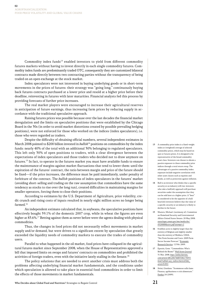Commodity index funds<sup>13</sup> enabled investors to yield from different commodity futures markets without having to invest directly in each single commodity futures. Commodity index funds are predominantly traded OTC, consequently they are customized bilateral contracts made directly between two contracting parties without the transparency of being traded on an open exchange at the stock market.

Index speculators were not interested in buying underlying goods or in short-term movements in the prices of futures: their strategy was "going long," continuously buying back futures contracts purchased at a lower price and resold at a higher price before their deadline, reinvesting in futures with later maturities. Financial analysts fed this process by providing forecasts of further price increases.

The real market players were encouraged to increase their agricultural reserves in anticipation of future earnings, thus increasing farm prices by reducing supply in accordance with the traditional speculative approach.

Raising futures prices was possible because over the last decades the financial market deregulation and the limits on speculative positions that were established by the Chicago Board in the 30s (in order to avoid market distortions created by possible prevailing hedging positions), were not enforced for those who worked on the indices (index speculators), i.e. those who were regarded as traders.

Despite the difficulty of obtaining official numbers, several independent estimates in March 2008 pointed to \$200 billion invested in *bullish*<sup>14</sup> positions on commodities by the index funds: nearly 40% of the total with an additional 30% belonging to regulated speculators. This left only 30% of open positions to traders, with a clear divergence between the expectations of index speculators and those traders who decided not to draw anymore on futures.15 In fact, to operate in the futures market you must have available funds to ensure the maintenance of margins against market fluctuations that tend to lower them: until the expiration of the futures' contract, the ratio between margin and price of the future should be fixed—if the price increases, the difference must be paid immediately, under penalty of forfeiture of the contract. The bullish positions of index speculators in the futures' market (avoiding short-selling and trading on the raw assumption that commodities have the same tendency as stocks to rise over the long run), created difficulties in maintaining margins for smaller operators, forcing them to close their positions.

According to estimates by the U.S. Department of Agriculture, price volatility, credit crunch and rising costs of inputs resulted in nearly eight million acres no longer being farmed.16

An independent estimate calculated that, in soybeans, the speculative positions have effectively bought 59.1% of the domestic 2007 crop, while in wheat the figures are even higher at 83.6%.<sup>17</sup> Betting against them as never before were the agents dealing with physical commodities.

Thus, the changes in food prices did not necessarily reflect movements in market supply and/or demand, but were driven to a significant extent by speculation that greatly exceeded the liquidity needs of commodity markets to execute the trades of commodity users.

Parallel to what happened in the oil market, food prices have collapsed in the agricultural futures market since September 2008, when the House of Representatives approved a bill that imposed limits on swaps and futures' contracts on commodities and prohibited the activities of foreign traders, even with the initiative lately stalling in the Senate.<sup>18</sup>

The policy solutions that are needed to avert another crisis must address both the problems affecting underlying financial market fundamentals, and the conditions under which speculation is allowed to take place in essential food commodities in order to limit the effects of those movements in market fundamentals.

- 13 A commodity price index is a fixed-weight index or (weighted) average of selected commodity prices, which may be based on spot or futures prices. It is designed to be representative of the broad commodity asset class. Investors can choose to obtain a passive exposure to these commodity price indices through a total return swap. The advantages of a passive commodity index exposure include negative correlation with other asset classes such as equities and bonds, as well as protection against inflation.
- 14 Bull is an investor who thinks that a specific security or an industry will rise: investors who take a bull(ish) approach will purchase securities under the assumption that they can be sold later at a higher price. A "bear" is considered to be the opposite of a bull: bear(ish) investors believe that the value of a specific security or an industry is likely to decline in the future.
- 15 Masters, Michael. (testimony of). Committee on Homeland Security and Governmental Affairs United States Senate. 20 May 2008. [www.hsgac.senate.gov/imo/media/doc/](www.hsgac.senate.gov/imo/media/doc/052008Masters.pdf?attempt=2) [052008Masters.pdf?attempt=2](www.hsgac.senate.gov/imo/media/doc/052008Masters.pdf?attempt=2).
- 16 8 million acres is slightly larger than the entirety of Belgium and slightly smaller than the entirety of Moldava. USDA. "Net Farm Income and Costs: 2009 Farm Sector Income Forecast." Economic Research Service. 12 Feb. 2009.
- 17 Epstein, Gene. "Commodities: Who's Behind the Boom?" Wall Street Journal. 31 Mar. 2008. [http://online.barrons.](http://online.barrons.com/article/SB120674485506173053.html?reflink=wsj_redirect#articleTabs_article%3D1) [com/article/SB120674485506173053.](http://online.barrons.com/article/SB120674485506173053.html?reflink=wsj_redirect#articleTabs_article%3D1) [html?reflink=wsj\\_redirect#articleTabs\\_](http://online.barrons.com/article/SB120674485506173053.html?reflink=wsj_redirect#articleTabs_article%3D1) [article%3D1](http://online.barrons.com/article/SB120674485506173053.html?reflink=wsj_redirect#articleTabs_article%3D1).
- 18 Sivini, Giordano. "Scommesse sulla fame: Finanza, agribusiness e crisi alimentare." Foedus 24 (2009).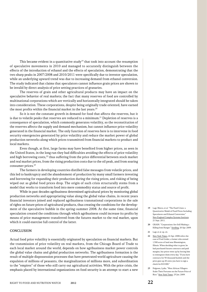This became evident in a quantitative study<sup>19</sup> that took into account the resumption of speculative movements in 2010 and managed to accurately distinguish between the effects of the introduction of ethanol and the effects of speculation, demonstrating that the two sharp peaks in 2007/2008 and 2010/2011 were specifically due to investor speculation, while an underlying upward trend was due to increasing demand from ethanol conversion. The study indicated that claims that speculators cannot influence grain prices are shown to be invalid by direct analysis of price setting practices of granaries.

The reserves of grain and other agricultural products may have an impact on the speculative behavior of real markets; the fact that many reserves of food are controlled by multinational corporations which are vertically and horizontally integrated should be taken into consideration. These corporations, despite being originally trade oriented, have earned the most profits within the financial market in the last years. $20$ 

So it is not the constant growth in demand for food that affects the reserves, but it is due to volatile peaks that reserves are reduced to a minimum.<sup>21</sup> Depletion of reserves is a consequence of speculation, which commonly generates volatility, so the reconstitution of the reserves affects the supply and demand mechanism, but cannot influence price volatility generated in the financial market. The only function of reserves here is to intervene in food security emergencies generated by price volatility and reduce the market power of global production networks along which prices transmitted from financial markets to product and local markets.

Even though, at first, large farms may have benefited from higher prices, as seen in the United States, in the long run they had difficulties avoiding the effects of price volatility and high borrowing costs, $22$  thus suffering from the price differential between stock market and real market prices, from the rising production costs due to the oil peak, and from soaring consumer prices.<sup>23</sup>

The farmers in developing countries distilled false messages from volatile prices, and this led to bankruptcy and the abandonment of production by many small farmers investing and borrowing for expanding their production during the rising prices, and risking of being wiped out as global food prices drop. The origin of such crisis structurally stems from a model that works to transform food into mere commodity status and source of profit.

While in past decades agribusiness determined agricultural prices by monitoring global production networks and appropriating value along the global value chains, in recent years financial investors joined and replaced agribusiness transnational corporations in the sale of rights on future prices of agricultural products, thus creating the conditions for the development of the speculative bubble in the spring-summer 2008. At the same time, financial speculation created the conditions through which agribusiness could increase its profits by means of price management transferred from the futures market to the real market, upon which it could exercise full control of the latter.

## **CONCLUSION**

Actual food price volatility is essentially originated by speculation on financial markets. But the transmission of price volatility on real markets, from the Chicago Board of Trade to each local market around the world, depends on how agribusiness market power controls the global value chains and global production networks. The agribusiness formation is the result of multiple dispossession processes that have penetrated world agriculture causing the expulsion of millions of peasants, the marginalization of millions more, and subordination to the "empires" of those who still carry out agricultural activities. With the price crisis, the emphasis placed by international organizations on food security is an attempt to start a new

- 19 Lagi, Marco, et al. "The Food Crises: a Quantitative Model of Food Prices Including Speculators and Ethanol Conversion. New England Complex Systems Institute. 21 Sept. 2011.
- 20 GRAIN. "Corporations Are Still Making a Killing from Hunger." Seedling. 20 Apr. 2009.
- 21 Lagi, et al. op. cit.
- 22 New York Times, 22 Apr. 2008 refers the case of Fred Grider, a farmer who owned 1,500 acres of land near Bloomington, Illinois. When deciding what to grow, he had purchased futures contracts and paid margins, but prices went up by forcing him to reintegrate them every day. "If you have contracts for 50 thousand bushels and the price goes up 20 cents you have to sign a check for \$10 000."
- 23 Polgreen, Lydia. "West African Villagers Stake Their Fortunes on the Future Price of Rice." New York Times. 25 Jan. 2009.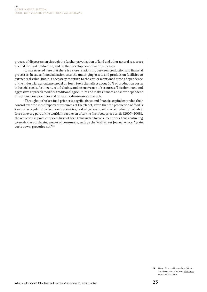process of dispossession through the further privatization of land and other natural resources needed for food production, and further development of agribusinesses.

It was stressed here that there is a close relationship between production and financial processes, because financialization uses the underlying assets and production facilities to extract real value. But it is necessary to return to the earlier mentioned strong dependence of the industrial agriculture model on fossil fuels that affect about 30% of production costs: industrial seeds, fertilizers, retail chains, and intensive use of resources. This dominant and aggressive approach modifies traditional agriculture and makes it more and more dependent on agribusiness practices and on a capital-intensive approach.

Throughout the last food price crisis agribusiness and financial capital extended their control over the most important resources of the planet, given that the production of food is key to the regulation of economic activities, real wage levels, and the reproduction of labor force in every part of the world. In fact, even after the first food prices crisis (2007–2008), the reduction in producer prices has not been transmitted to consumer prices, thus continuing to erode the purchasing power of consumers, such as the Wall Street Journal wrote: "grain costs down, groceries not."24

> 24 Kilman, Scott, and Lauren Etter. "Grain Costs Down, Groceries Not." Wall Street Journal. 13 Mar. 2009.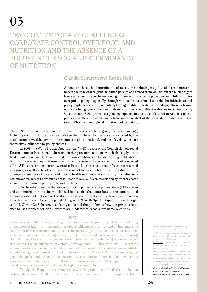TWO CONTEMPORARY CHALLENGES: Corporate Control over Food and Nutrition and the Absence of a FOCUS ON THE SOCIAL DETERMINANTS OF NUTRITION

# Claudio Schuftan and Radha Holla1

A focus on the social determinants of nutrition (including its political determinants) is imperative to revitalize global nutrition policies and embed them well within the human rights framework. Yet due to the increasing influence of private corporations and philanthropies over public policy (especially through various forms of multi-stakeholder initiatives) and policy implementation (particularly through public-private partnerships), these determinants are being ignored. As our analysis will show, the multi-stakeholder initiative Scaling Up Nutrition (SUN) provides a good example of this, as is also featured in Article 4 of this publication. Here, we additionally focus on the neglect of the social determinants of nutrition (SDN) in current global nutrition policy making.

The SDN correspond to the conditions in which people are born, grow, live, work, and age, including the nutrition services available to them. These circumstances are shaped by the distribution of wealth, power, and resources at global, national, and local levels, which are themselves influenced by policy choices.

In 2008, the World Health Organization (WHO) report of the Commission on Social Determinants of Health made three overarching recommendations which also apply to the field of nutrition, namely: to improve daily living conditions; to tackle the inequitable distribution of power, money, and resources; and to measure and assess the impact of concerted efforts.2 These recommendations were also directed to the private sector. Yet these essential measures, as well as the other structural roots of hunger such as income maldistribution; unemployment; lack of access to education, health services, and sanitation; racial discrimination; and no access to productive resources are rarely, if ever, mentioned by private sector actors who are also, in principle, bound by them.

On the other hand, in the area of nutrition, public private partnerships (PPPs) often end up reinforcing increasingly globalized food chains that contribute to the corporate-led homogenization of diets across the globe with its dire impacts on local food systems and on household food security across population groups. The UN Special Rapporteur on the right to food, Olivier De Schutter, has clearly explained the problem of how the private sector tries to use technical solutions for what are fundamentally social problems. (See Box 1)

# BOX 1

"Countries committed to really scaling up nutrition should begin by regulating the marketing of commercial infant formula and other breast-milk substitutes, […] and by implementing the full set of WHO recommendations on the marketing of breast-milk substitutes and of foods and non-alcoholic beverages to children […]. This pleads in favor of […] address[ing] the full range of factors causing malnutrition, rather than narrowly focus[ing on] initiatives that address the specific needs of a child's development  $[\dots]$ . [I]nterventions  $[\dots]$  targeting pregnant or lactating women and children under two years old, while vital, do not substitute for addressing the structural causes of undernutrition […]. The violations of women's rights, gender inequality and the lack of women's empowerment are another major factor explaining poor nutritional outcomes […]. Nutrition interventions should be but one part of broaderbased strategies for the realization of the right to adequate food. […]

The Special Rapporteur sees no reason why the promotion of foods that are known to have detrimental health impacts should be allowed to continue unimpeded: these

Claudio Schuftan is one of the founding members of the People's Health Movement (PHM). He is widely recognized for his work as a freelance public health consultant and his numerous publications. Radha Holla is the campaign coordinator for IBFAN Asia and Breastfeeding Promotion Network of India. The authors would like to thank David Kane, Kathy McNeely, Anne C. Bellows, and Lida Lhotska for their valuable help in the review of the article. The content of the article is

the sole responsibility of the authors. 2 Marmot, Michael, and Richard Wilkinson. Social Determinants of Health. 2<sup>nd</sup> ed. New York: Oxford University Press, 2006.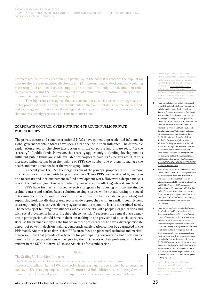Two Contemporary Challenges: Corporate Control over Food and Nutrition and the Absence of a Focus on the Social DETERMINANTS OF NUTRITION

products reduce the life expectancy, in particular, of the poorest segment of the population who are also the least nutritionally literate […]. [An] international code of conduct regulating marketing food and beverages in support of national efforts might be desirable in order to take into account the international nature of commercial promotion of energy-dense, micronutrient-poor foods and beverages. […]

[I]t is high time to recognize the real tension that exists between a strategy that promotes processed foods, enriched with nutrients to the point that diets become medicalized, and a strategy that promotes local and regional food systems, as well as a shift towards foods that are less heavily processed and thus more nutritious."3

# Corporate control over nutrition through Public Private **PARTNERSHIPS**

The private sector and some international NGOs have gained unprecedented influence in global governance while States have seen a clear decline in their influence. The ostensible explanation given for the close interaction with the corporate and private sector<sup>4</sup> is the "scarcity" of public funds. However, this scarcity applies only to funding development as sufficient public funds are made available for corporate bailouts.<sup>5</sup> One key result of this increased influence has been the making of PPPs the number one strategy to manage the health and nutritional needs of the world's population.

In recent years the UN has emerged as one of the principal proponents of PPPs (more often than not contracted with for profit entities). These PPPs are considered by many to be a necessary and ideal instrument to fund development work. However, a deeper analysis reveals the multiple (sometimes contradictory) agendas and conflicting interests involved.

PPPs have further reinforced selective programs by focusing on non-sustainable techno-centric and market-based solutions to single issues while not addressing the social determinants of health and nutrition. PPPs have shown to be incapable of promoting and supporting horizontally-integrated sector-wide approaches with an explicit commitment to strengthening local service delivery systems and to respond to locally determined needs. The necessity of building new alliances with civil society, with people's organizations and with social movements in fostering the right to nutrition $^6$  reasserts the central place democratic participation should have in decision making in the provision of all social services. Because the partner supplying the finance in these projects tends to have a disproportionate amount of power in decision making, democratic participation cannot be guaranteed in the PPP model. Another basic flaw is that PPPs often focus on piecemeal technical and marketdriven solutions that provide clear benefits for participating corporations, but questionable benefits for target populations while ignoring the social roots of their problems, as is clearly evident in the SUN Initiative. (Also see Article 4 of this publication).

# BOX 2

# The Scaling Up Nutrition Initiative

The SUN initiative "seeks to promote targeted action and investment to improve nutrition for mothers and children in the 1,000-day period from pregnancy to age 2, when better nutrition can have a life-changing impact on a child's future […] [in] addition to encouraging Governments to adopt national plans to scale up nutrition in their various sectoral policies […]."7

- 3 Human Rights Council, 19th Session. "Report Submitted by the Special Rapporteur on the right to food, Olivier De Schutter" (A/HCR/19/59). 26 Dec. 2011. Para. 16, 17, 18, 19, 42, 43. [www2.ohchr.org/english/](www2.ohchr.org/english/bodies/hrcouncil/docs/19session/A.HRC.19.59_English.pdf) [bodies/hrcouncil/docs/19session/A.HRC.19.59\\_](www2.ohchr.org/english/bodies/hrcouncil/docs/19session/A.HRC.19.59_English.pdf) [English.pdf](www2.ohchr.org/english/bodies/hrcouncil/docs/19session/A.HRC.19.59_English.pdf). This document is available on the Watch website: [www.rtfn-watch.org/en/](http://www.rtfn-watch.org/en/home/watch-2012/main-sources)  $h_{match}$ -2012
- 4 Here we include donor organizations such as the Bill and Melinda Gates Foundation and civil society organizations such as Save the Children, who receives funding of over a million US dollars from each of the following food and pharma corporations: Green Mountain Coffee, Kraft Foods and the Kraft Foundation, Merck, the PepsiCo Foundation, Procter and Gamble, Reckitt Benckiser, and the Wal-Mart Foundation. Other corporations that donate to Save the Children include GlaxoSmithKline, Starbucks Corporation, Johnson and Johnson, Cadbury plc, General Mills and Pfizer. According to the Save the Children Website the PepsiCo Foundation and Kraft Foods donations are used primarily for managing malnutrition in rural India and Bangladesh. [www.savethechildren.org/](www.savethechildren.org/site/c.8rKLIXMGIpI4E/b.6148397/k.C77B/Corporate_Partners.htm) [site/c.8rKLIXMGIpI4E/b.6148397/k.C77B/](www.savethechildren.org/site/c.8rKLIXMGIpI4E/b.6148397/k.C77B/Corporate_Partners.htm) [Corporate\\_Partners.htm](www.savethechildren.org/site/c.8rKLIXMGIpI4E/b.6148397/k.C77B/Corporate_Partners.htm).
- 5 Shah, Anup. "Free Trade and Globalization." Global Issues. 7 Nov. 2011. [www.globalissues.](www.globalissues.org/issue/38/free-trade-and-globalization) [org/issue/38/free-trade-and-globalization](www.globalissues.org/issue/38/free-trade-and-globalization). The author worked out that based on information provided by the BBC, Bloomberg and UPI in February 2009, corporate bailouts in the US amounted to \$9.7 trillion, and in Europe to \$1.4 trillion; in contrast, the actual aid given to poor countries since 1970 was \$2.6 trillion, while outstanding promised aid for the same period was \$3.3 trillion.
- 6 Here we use the "right to nutrition" rather than "right to food" as we feel that this denomination better reflects the different causes of malnutrition that link food, care and health. All of the latter are necessary conditions for good nutrition, but none of them alone or any two together are sufficient conditions. Sufficiency requires that all three conditions be met at the same time. Food, care and health are recognized human rights in the Convention on the Rights of the Child (Jonsson, Urban. "An Approach to Assess and Analyze the Health and Nutrition Situation of Children in the Perspective of the Convention on the Rights of the Child." International Journal of Children's Rights 5 [1997]: 367–381).
- Human Rights Council, 19th Session. "Report submitted by the Special Rapporteur on the right to food, Olivier De Schutter" (A/HCR/19/59). 26 Dec. 2011. Para. 13 and 14.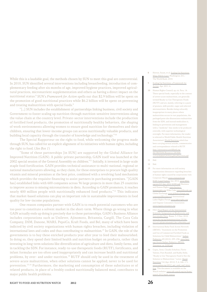While this is a laudable goal, the methods chosen by SUN to meet this goal are controversial. In 2010, SUN identified several interventions including breastfeeding, introduction of complementary feeding after six months of age, improved hygiene practices, improved agricultural practices, micronutrient supplementation and others as having a direct impact on the nutritional status.<sup>8</sup> SUN's Framework for Action spells out that \$2.9 billion will be spent on the promotion of good nutritional practices while \$6.2 billion will be spent on preventing and treating malnutrition with special foods.<sup>9</sup>

"[…] SUN includes the establishment of partnerships linking business, civil society and Government to foster scaling up nutrition through nutrition-sensitive interventions along the value chain at the country level. Private-sector interventions include the production of fortified food products, the promotion of nutritionally healthy behaviors, the shaping of work environments allowing women to ensure good nutrition for themselves and their children, ensuring that lower-income groups can access nutritionally valuable products, and building local capacity through the transfer of knowledge and technology."10

The Special Rapporteur on the right to food, while welcoming the progress made through SUN, has called for an explicit alignment of its initiatives with human rights, including the right to food. (See Box 1)

"Some of these partnerships [in SUN] are supported by the Global Alliance for Improved Nutrition (GAIN). A public-private partnership, GAIN itself was launched at the 2002 special session of the General Assembly on children."11 Initially, it invested in large-scale staple food fortification. GAIN provides technical assistance to multi-national, regional or national manufacturers allowing, as they claim, for these enterprises to procure high quality vitamin and mineral premixes at the best price, combined with a revolving fund mechanism which provides the requisite financing to assist partners in purchasing premixes. "[GAIN has] established links with 600 companies across 36 large projects in more than 25 countries to improve access to missing micronutrients in diets. According to GAIN promoters, it reaches nearly 400 million people with nutritionally enhanced food products."12 This indicates that market-based solutions can play an important role in sustainable improvements in food quality for low-income populations.

One reason companies partner with GAIN is to reach potential customers who are too poor to constitute a solvent market in the short-term. Where things go wrong in what GAIN actually ends up doing is precisely due to these partnerships. GAIN's Business Alliance includes corporations such as Unilever, Ajinomoto, Britannia, Cargill, The Coca Cola Company, DSM, Danone, MARS, PepsiCo, Kraft Foods, and Bel, many of which have been indicted by civil society organizations with human rights breaches, including violation of international laws and codes and thus contributing to malnutrition.<sup>13</sup> In GAIN, the role of the governments is to buy these enriched products year after year to feed their malnourished. In doing so, they spend their limited health and nutrition budget on products, rather than investing in long-term solutions like diversification of agriculture and diets, family farms, and in tackling the SDN. For instance, ready-to-use therapeutic foods (RUTF), fortificants, and infant formulas are too often used inappropriately and can increase health and nutritional problems, by over- and under-nutrition.<sup>14</sup> RUTF should only be used in the treatment of severe-acute malnutrition, when other solutions cannot be applied; never to be used for prevention.15,16 Furthermore, the marketing and consumption of these substitutes or of related products, in place of a freshly cooked nutritionally balanced meal, contributes to major public health problems.

- 8 Horton, Susan, et al. **Scaling Up Nutrition:** What Will It Cost? Washington, D.C. The World Bank, 2010.
- 9 Scaling Up Nutrition: a Framework for Action, Apr. 2011. 6.
- 10 Human Rights Council, op. cit. Para. 14. These special foods, especially in the context of severe acute malnutrition, are generally termed Ready-to-Use Therapeutic Foods (RUTF) and are, mainly, referring to a paste of peanuts, milk powder, sugar and selected micronutrients. Besides being culturally inappropriate in many places where malnutrition occurs in vast populations, the packaged paste also disassociates malnutrition from the SDN, and instead medicalises it, linking its prevention and management with a "medicine" that needs to be produced centrally, with superior technological oversight. For more information, the reader is referred to World Public Health Nutrition Association's World Nutrition which has been carrying several articles, commentaries and correspondence related to RUTF. [http://siteresources.worldbank.org/](http://siteresources.worldbank.org/NUTRITION/Resources/281846-1131636806329/PolicyBriefNutrition.pdf) [NUTRITION/Resources/281846-](http://siteresources.worldbank.org/NUTRITION/Resources/281846-1131636806329/PolicyBriefNutrition.pdf) [1131636806329/PolicyBriefNutrition.pdf](http://siteresources.worldbank.org/NUTRITION/Resources/281846-1131636806329/PolicyBriefNutrition.pdf).
- 11 Ibid.
- 12 Ibid.
- 13 For more information on civil society organizations denounces regarding breaches of human rights caused by corporations visit: Corporate Watch <www.corpwatch.org>; ICDC Legal Update. Jan. 2012. [www.ibfan.](www.ibfan.org/art/LU-Jan_2012-ICDC.pdf) [org/art/LU-Jan\\_2012-ICDC.pdf](www.ibfan.org/art/LU-Jan_2012-ICDC.pdf); Business and Human Rights **[www.business](www.business-humanrights.org)**[humanrights.org](www.business-humanrights.org); Killer Coke www.killercok Global Exchange [www.globalexchange.org/](www.globalexchange.org/corporateHRviolators#) [corporateHRviolators#](www.globalexchange.org/corporateHRviolators#); International Labor Rights Forum *www.laborrights.c* and Organic Consumers Association <www.organicconsumers.org>.
- 14 FAO. Final Report of the International Scientific Symposium on Biodiversity and Sustainable Diets. Rome: 3–5 Nov. 2010. [www.fao.org/ag/humannutrition/29186-](www.fao.org/ag/humannutrition/29186-021e012ff2db1b0eb6f6228e1d98c806a.pdf) 021e012ff2db1b0eb6f6228e1d98c806a.p
- 15 International Baby Food Action Network (IBFAN). "Statement on the Promotion and Use of Commercial Fortified Foods as Solutions for Child Malnutrition." Indian Pediatrics 49 (2012): 295–296. [www.bpni.](www.bpni.org/Article/Indian-Pediatrics-IBFAN-Statement-on-SAM.pdf) [org/Article/Indian-Pediatrics-IBFAN-](www.bpni.org/Article/Indian-Pediatrics-IBFAN-Statement-on-SAM.pdf)[Statement-on-SAM.pdf](www.bpni.org/Article/Indian-Pediatrics-IBFAN-Statement-on-SAM.pdf).
- 16 Gupta, Arun, Claudio Schuftan, Flavio Valente, Patti Rundall, and Radha Holla. "Ready to Use Therapeutic Food Is Not the Solution to Malnutrition." Letter. World Nutrition 3.4 (Apr. 2012): 3, 4, 168–171. www.wphna.org/2012\_apr\_wn6\_rutf\_let [htm](www.wphna.org/2012_apr_wn6_rutf_letter.htm). This document is available on the Watch website: www.rtfn-watch.org/en/home [watch-2012/main-sources](http://www.rtfn-watch.org/en/home/watch-2012/main-sources).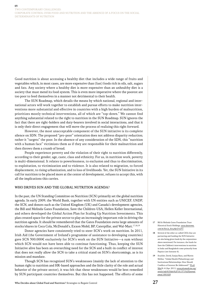Two Contemporary Challenges: Corporate Control over Food and Nutrition and the Absence of a Focus on the Social DETERMINANTS OF NUTRITION

Good nutrition is about accessing a healthy diet that includes a wide range of fruits and vegetables which, in most cases, are more expensive than (fast) foods rich in oils, salt, sugars and fats. Any society where a healthy diet is more expensive than an unhealthy diet is a society that must mend its food system. This is even more imperative where the poorest are too poor to feed themselves in a manner not detrimental to their health.

The SUN Roadmap, which details the means by which national, regional and international actors will work together to establish and pursue efforts to make nutrition interventions more substantial and effective in countries with a high burden of malnutrition, prioritizes mostly technical interventions, all of which are "top-down." We cannot find anything substantial related to the right to nutrition in the SUN Roadmap. SUN ignores the fact that there are right-holders and duty-bearers involved in social interactions, and that it is only their direct engagement that will move the process of realizing this right forward.

However, the most unacceptable component of the SUN initiative is its complete silence on SDN. The proposed "pro-poor" orientation does not address disparity reduction; rather it "targets" the poor. In the absence of any consideration of the SDN, this "nutrition with a human face" victimizes them as if they are responsible for their malnutrition and then throws them a crumb of bread.

People experience poverty and the violation of their right to nutrition differently, according to their gender, age, caste, class and ethnicity. For us, in nutrition work, poverty is multi-dimensional. It relates to powerlessness, to exclusion and thus to discrimination, to exploitation, to victimization and to violence. It is also related to migration, to forced displacement, to rising urbanization, and to loss of livelihoods. Yet, the SUN Initiative in its call for nutrition to be placed more at the center of development, refuses to accept this, with all the implications this carries.

# WHO DRIVES SUN AND THE GLOBAL NUTRITION AGENDA?

In the past, the UN Standing Committee on Nutrition (SCN) primarily set the global nutrition agenda. In early 2009, the World Bank, together with UN entities such as UNICEF, UNDP, the SCN, and donors such as the United Kingdom (UK) and Canada's development agencies, the Bill and Melinda Gates Foundation, Save the Children-USA, Hellen Keller International, and others developed the Global Action Plan for Scaling Up Nutrition Investments. This plan created space for the private sector to play an increasingly important role in driving the nutrition agenda. It should be remembered that the Gates Foundation owns large amounts of stocks/shares in Coca Cola, McDonald's, Exxon Mobil, BP, Caterpillar, and Wal-Mart.17,18,19

Donor agencies have consistently tried to steer SCN's work on nutrition. In 2011, Irish Aid (the Government of Ireland's programme of assistance to developing countries) gave SCN 300.000€ exclusively for SCN's work on the SUN Initiative—a sum without which SCN would not have been able to continue functioning. Thus, keeping the SUN Initiative alive has been an overarching need for the SCN and a built-in conflict of interest that does not really allow the SCN to take a critical stand on SUN's shortcomings, as is its mission and mandate.

Though SCN has recognized SUN's weaknesses (mainly the lack of attention to the human right to nutrition and HR-based approaches and the little clarity of the role and actual behavior of the private sector), it was felt that these weaknesses would be best remedied by SUN participant countries themselves. But this has not happened. The efforts of some

- 17 Bill & Melinda Gates Foundation Trust Historical Stock Holdings. [www.dataroma.](www.dataroma.com/m/hist/p_hist.php?f=GFT) [com/m/hist/p\\_hist.php?f=GFT](www.dataroma.com/m/hist/p_hist.php?f=GFT).
- 18 Several of the other so-called CSOs that are partnering and funding the SUN Initiative are also being given funds by the corporations above mentioned. For instance, the funds for Save the Children's interventions in nutrition in India and Bangladesh come primarily from Pepsico (see footnote 4).
- 19 Stuckler, David, Sanjay Basu, and Martin McKee. "Global Health Philanthropy and Institutional Relationships: How Should Conflicts of Interest Be Addressed?" PLoS Med 8. 4 (Apr. 2011). [www.plosmedicine.org/](www.plosmedicine.org/article/info%3Adoi%2F10.1371%2Fjournal.pmed.1001020) [article/info%3Adoi%2F10.1371%2Fjournal.](www.plosmedicine.org/article/info%3Adoi%2F10.1371%2Fjournal.pmed.1001020) [pmed.1001020](www.plosmedicine.org/article/info%3Adoi%2F10.1371%2Fjournal.pmed.1001020).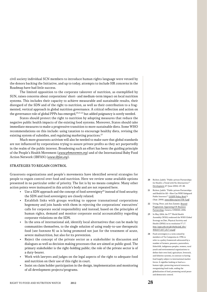civil society individual SCN members to introduce human rights language were vetoed by the donors backing the Initiative, and up to today, attempts to include HR concerns in the Roadmap have had little success.

The limited opposition to the corporate takeover of nutrition, as exemplified by SUN, raises concerns about corporations' short- and medium-term impact on local nutrition systems. This includes their capacity to achieve measurable and sustainable results, their disregard of the SDN and of the right to nutrition, as well as their contribution to a fragmented, vertical approach in global nutrition governance. A critical reflection and action on the governance role of global PPPs has emerged,  $^{20,21,22}$  but added poignancy is sorely needed.

States should protect the right to nutrition by adopting measures that reduce the negative public health impacts of the existing food systems. Moreover, States should take immediate measures to make a progressive transition to more sustainable diets. Some WHO recommendations on this include: using taxation to encourage healthy diets, revising the existing system of subsidies, and regulating marketing practices.<sup>23</sup>

Much more grassroots activism will also be needed to make sure that global standards are not influenced by corporations trying to assure private profits as they act purportedly in the realm of the public interest. Broadening such an effort has been the guiding principle of the People's Health Movement (www.phmovemtn.org) and of the International Baby Food Action Network (IBFAN) (www.ibfan.org).

# Strategies to regain control

Grassroots organizations and people's movements have identified several strategies for people to regain control over food and nutrition. Here we review some available options presented in no particular order of priority. The list is by no means complete. Many other action points were insinuated in this article's body and are not repeated here.

- Use a SDN approach and the concept of food sovereignty<sup>24</sup> instead of food security; the SDN and food sovereignty are closely related.
- Establish links with groups working to oppose transnational corporations hegemony and join hands with them in rejecting the corporations' executives' calls for corporate social responsibility and instead, based on the principles of human rights, demand and monitor corporate social accountability regarding corporate violations on the SDN.
- In the area of international aid, identify local alternatives that can be made by communities themselves, to the single solution of using ready-to-use therapeutic food (see footnote 8) as is being promoted not just for the treatment of acute, severe malnutrition, but also for its prevention.
- Reject the concept of the private sector as a stakeholder in discussion and dialogues as well as decision making processes that are aimed at public good. The primary stakeholder is the right-holding public; the role of the private sector is of a duty-bearer.
- Work with lawyers and judges on the legal aspects of the right to adequate food and nutrition on their use of this right in court.
- Insist on claim holder participation in the design, implementation and monitoring of all development projects/programs.
- 20 Richter, Judith. "Public-private Partnerships for Health: a Trend with No Alternatives? Development 47 (June 2004): 43–48.
- 21 Richter, Judith. "Public-private Partnerships and Health for All—How Can WHO Safeguard Public Interests?" GOSPP Policy Brief 5 (Sept. 2004). <www.ibfan.org/art/538-5.pdf>.
- 22 Utting, Peter, and Ann Zammit. Beyond Pragmatism: Appraising UN-Business Partnerships. Geneva: UNRISD, 2006.
- 23 In May 2004, the 57th World Health Assembly (WHA) endorsed the WHO Global Strategy on Diet, Physical Activity and Health (DPAS) in its resolution 57.17. [http://apps.who.int/gb/ebwha/pdf\\_files/](http://apps.who.int/gb/ebwha/pdf_files/WHA57/A57_R17-en.pdf) [WHA57/A57\\_R17-en.pdf](http://apps.who.int/gb/ebwha/pdf_files/WHA57/A57_R17-en.pdf).
- 24 Food sovereignty is a term coined by members of Via Campesina in 1996 to refer to a policy framework advocated by a number of farmers, peasants, pastoralists, fisherfolk, indigenous peoples, women, rural youth and environmental organizations to define their own food, agriculture, livestock, and fisheries systems, in contrast to having food largely subject to international market forces. It signifies looking at food as a human right, protecting natural resources, reorganizing food trade, ending the globalization of food, promoting social peace and democratic control.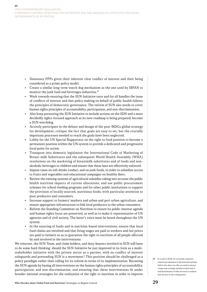Two Contemporary Challenges: Corporate Control over Food and Nutrition and the Absence of a Focus on the Social DETERMINANTS OF NUTRITION

- Denounce PPPs given their inherent clear conflict of interest and their being considered as a prime policy model.
- Create a similar long-term watch dog mechanism as the one used by IBFAN to monitor the junk food and beverages industries.<sup>25</sup>
- Work towards ensuring that the SUN Initiative once and for all handles the issue of conflicts of interest and that policy making on behalf of public health follows the principles of democratic governance. The reform of SUN also needs to cover human rights principles of accountability, participation, and non-discrimination.
- Also keep pressuring the SUN Initiative to include actions on the SDN and a more decidedly rights-focused approach as its new roadmap is being prepared; become a SUN watchdog.
- Actively participate in the debate and design of the post-MDGs global strategy for development; critique the fact that goals are easy to set, but the crucially important processes needed to reach the goals have been neglected.
- Lobby for the UN Special Rapporteur on the right to food position to become a permanent position within the UN system to provide a dedicated and progressive focal point for action.
- Transpose into domestic legislation the International Code of Marketing of Breast-milk Substitutes and the subsequent World Health Assembly (WHA) resolutions on the marketing of breastmilk substitutes and of foods and nonalcoholic beverages to children and ensure that these laws are effectively enforced.
- Impose taxes on soft drinks (sodas), and on junk foods, in order to subsidize access to fruits and vegetables and educational campaigns on healthy diets.
- Review the existing systems of agricultural subsidies taking into account the public health nutrition impacts of current allocations, and use public procurement schemes for school-feeding programs and for other public institutions to support the provision of locally sourced, nutritious foods, with particular attention to poor producers and consumers.
- Increase support to farmers' markets and urban and peri-urban agriculture, and ensure appropriate infrastructure to link local producers to the urban consumers.
- Reform the Standing Committee on Nutrition to ensure its public-interest agenda and human rights focus are preserved, as well as to make it representative of UN agencies and of civil society. The latter's voice must be heard throughout the UN system.
- In the sourcing of foods and in nutrition-based interventions, ensure that local food chains are involved and that living wages are paid to workers and fair prices are paid to farmers so as to guarantee the right to nutrition of all people affected by and involved in the interventions.

We reiterate, the SUN Team, and claim holders, and duty-bearers involved in SUN will have to do some hard thinking: should the SUN Initiative be just improved in its form as a multistakeholder initiative with the private sector as a partner, with no conflict of interest safeguards and pretending SUN is a movement? This position should be challenged as a policy paradigm rather than calling for its reform in terms of its implementation. Recasting the SUN agenda by basing all interventions on the human rights principles of accountability, participation, and non-discrimination, and ensuring that these interventions fit under broader national strategies for the realization of the right to nutrition in order to improve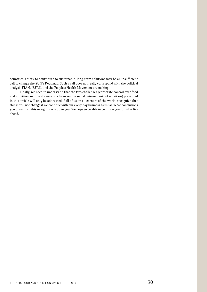countries' ability to contribute to sustainable, long-term solutions may be an insufficient call to change the SUN's Roadmap. Such a call does not really correspond with the political analysis FIAN, IBFAN, and the People's Health Movement are making.

Finally, we need to understand that the two challenges (corporate control over food and nutrition and the absence of a focus on the social determinants of nutrition) presented in this article will only be addressed if all of us, in all corners of the world, recognize that things will not change if we continue with our every day business as usual. What conclusions you draw from this recognition is up to you. We hope to be able to count on you for what lies ahead.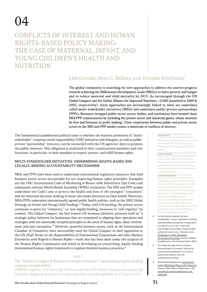# )4

# Conflicts of Interest and Human Rights-Based Policy Making: The Case of Maternal, Infant, and YOUNG CHILDREN'S HEALTH AND NUTRITION

# Lida Lhotska, Anne C. Bellows, and Veronika Scherbaum<sup>1</sup>

The global community is searching for new approaches to address the uneven progress towards achieving the Millennium Development Goals (MDGs) to halve poverty and hunger and to reduce maternal and child mortality by 2015. As encouraged through the UN Global Compact and the Global Alliance for Improved Nutrition—GAIN (launched in 2000 & 2002, respectively), these approaches are increasingly linked to what are sometimes called multi-stakeholder initiatives (MSIs) and sometimes public-private partnerships (PPPs). Resource-strapped public sector actors, bodies, and institutions have formed these MSI/PPP constituencies by including the private sector and industrial giants, whose interests lie first and foremost in profit-making.<sup>2</sup> Close cooperation between public and private sector actors in the MSI and PPP model creates a multitude of conflicts of interest.

The fundamental unaddressed political issue is whether the massive promotion of "multistakeholder" corporate social responsibility (CSR) initiatives and dialogues, as well as publicprivate "partnership" ventures, can be reconciled with the UN agencies' duty to promote the public interests. This obligation is enshrined in their constitutional mandates and core functions, in particular, in their mandate to respect, protect, and fulfill human rights.

# Multi-stakeholder Initiatives: Undermining Rights-based and Legally-binding Accountability Mechanisms

MSIs and PPPs have been used to undermine international regulatory measures that hold business sector actors accountable for not respecting human rights principles. Examples are the 1981 International Code of Marketing of Breast-milk Substitutes (the Code) and subsequent relevant World Health Assembly (WHA) resolutions. The MSI and PPP models undermine the Code's aim to protect the health and lives of the youngest "consumers" and the informed decision-making of those who make decisions on their behalf. Moreover, MSIs/PPPs undermine internationally agreed public health policies, such as the 2002 Global Strategy on Infant and Young Child Feeding.3,4 Today, with UN backing, the private sector continues to press for "voluntary," i.e. non-legally binding, measures to "self-regulate" its conduct. The Global Compact, the best known UN-business initiative, presents itself as "a strategic policy initiative for businesses that are committed to aligning their operations and strategies with ten universally accepted principles in the areas of human rights, labor, environment and anti-corruption."5 However, powerful business actors, such as the International Chamber of Commerce, have successfully used the Global Compact in their opposition to the UN Draft Norms on the Responsibilities of Transnational Corporations and other Business Enterprises with Regard to Human Rights—work that has been done under the auspices of the Human Rights Commission and aimed at developing an overarching, legally-binding international human-rights framework to regulate harmful business practices.<sup>6</sup>

# BOX 1

The "Children's Rights & Business Principles Initiative": undermining legally-binding corporate accountability?

UNICEF together with Save the Children and the UN Global Compact developed the Children's Rights & Business Principles Initiative, launched globally on 12 March 2012.7

Lida Lhotska is the programme manager at IBFAN-GIFA, the international liaison office for the International Baby Food Action Network (IBFAN). She has twenty years of experience working in politics for infant feeding.

Anne C. Bellows is professor of Gender and Nutrition in the Institute for Social Sciences in Agriculture, University of Hohenheim. She engages at the intersection of academic and civil society interests, with particular focus on human rights and food and nutrition sovereignty/security.

Veronika Scherbaum is senior research fellow at the Institute for Social Sciences in Agriculture, Gender and Nutrition at the University of Hohenheim. She holds a PhD in Nutritional Science, a MSc in Mother and Child Health and is involved in therapy and prevention of childhood malnutrition including breastfeeding research. The authors would like to thank Antonio Onorati, Maarten Immink, and Claudio Schuftan for their valuable help in the review of the article. The content of the article is the sole responsibility of the authors.

- 2 As Ann Zammit explains, the term "partnerships" "covers a multitude of activities and relationships, perhaps best conceptualized as a special case of 'close' rather than 'arms-length' relationships" between public and private sector actors. (Zammit, Anne. Development at Risk: Rethinking UN-business Partnership. Geneva: UNRISD in collaboration with the South Center, 2003.)
- 3 The Global Strategy calls for exclusive breastfeeding for six months, followed by continued breastfeeding for two years or beyond with adequate and safe complementary feeding.
- 4 World Health Organization. International Code of Marketing of Breast-milk Substitutes. Geneva: WHO Office of Publications, 1981. [www.who.int/nutrition/publications/code\\_](www.who.int/nutrition/publications/code_english.pdf) [english.pdf](www.who.int/nutrition/publications/code_english.pdf).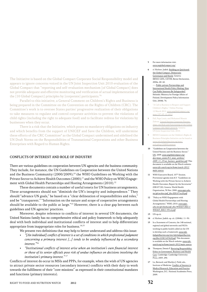The Initiative is based on the Global Compact Corporate Social Responsibility model and appears to ignore concerns voiced in the UN Joint Inspection Unit 2010 evaluation of the Global Compact that "reporting and self-evaluation mechanism [of Global Compact] does not provide adequate and effective monitoring and verification of actual implementation of the [10 Global Compact] principles by [corporate] participants."8

Parallel to this initiative, a General Comment on Children's Rights and Business is being prepared in the Committee on the Convention on the Rights of Children (CRC). The Committee's work is to oversee States parties' progressive realization of their obligations to take measures to regulate and control corporate activities to prevent the violations of child rights (including the right to adequate food) and to facilitate redress for violations by businesses when they occur.

There is a risk that the Initiative, which poses no mandatory obligations on industry and which benefits from the support of UNICEF and Save the Children, will undermine these efforts of the CRC Committee<sup>9</sup> as the Global Compact undermined and sidelined the UN Draft Norms on the Responsibilities of Transnational Corporations and other Business Enterprises with Regard to Human Rights.

# Conflicts of Interest and role of Industry

There are various guidelines on cooperation between UN agencies and the business community. They include, for instance, the UN Guidelines on Cooperation between the United Nations and the Business Community (2000/2009);<sup>10</sup> the WHO Guidelines on Working with the Private Sector to Achieve Health Outcomes (2000);<sup>11</sup> and the WHO Policy on WHO Engagement with Global Health Partnerships and Hosting Arrangements (2010).<sup>12</sup>

These documents contain a number of useful tenets for UN business arrangements. These arrangements should not "diminish the UN's integrity and independence." They should "advance UN goals," be based on a "clear delineation of responsibilities and roles," and be "transparent." "Information on the nature and scope of cooperative arrangements should be available to the public at large."13 However, there is a clear gap between such guidelines and UN agencies' practices.

Moreover, despite reference to conflicts of interest in several UN documents, the United Nations family has no comprehensive ethical and policy framework to help adequately deal with both individual and institutional conflicts of interest and to help differentiate appropriate from inappropriate roles for business.<sup>14,15</sup>

We present two definitions that may help to better understand and address this issue:

- "[An individual] conflict of interest is a set of conditions in which professional judgment concerning a primary interest […] tends to be unduly influenced by a secondary interest."<sup>16</sup>
- "Institutional conflicts of interest arise when an institution's own financial interest or those of its senior officials pose risk of undue influence on decisions involving the institution's primary interest." <sup>17</sup>

Conflicts of interest do occur in MSIs and PPPs, for example, when the wish of UN agencies to attract private sector resources (secondary interest) conflicts with their duty to work towards the fulfillment of their "core missions" as expressed in their constitutional mandates and functions (primary interests).

- 5 For more information visit: <www.unglobalcompact.org/>.
- 6 cf. Richter, Judith. Building on Quicksand: the Global Compact, Democratic Governance and Nestle. Geneva: IBFAN-GIFA, CETIM, Berne Declaration, 2004a. 40–42.

---. Public-private Partnerships and International Health Policy Making: How Can Public Interests Be Safeguarded? Helsinki: Ministry for Foreign Affairs of Finland, Development Policy Information Unit, 2004b. 74.

- 7 "A Call to Business to Respect and Support Children's Rights." Online Posting. 12 March 2012. [www.unglobalcompact.org/](www.unglobalcompact.org/news/197-03-12-2012) [news/197-03-12-2012](www.unglobalcompact.org/news/197-03-12-2012).
- 8 Fall, Papa Louis, and Mohamed Mounir Zahran. United Nations Corporate Partne ships: the Role and Functioning of the Global Compact (JIU/REP/2010/9). Geneva: UN Joint Inspection Unit, 2010.
- 9 IBFAN Comments on the Children's Rights & Business Principles Initiative can be found at www.info.babymilkaction.org/new [policyblog/CRBPIcomment](www.info.babymilkaction.org/news/policyblog/CRBPIcomment).
- 10 "Guidelines on Cooperation between the United Nations and the Business Sector." UN, 2009. [www.unglobalcompact.org/](www.unglobalcompact.org/docs/news_events/9.1_news_archives/2009_11_23/un_business_guidelines.pdf) [docs/news\\_events/9.1\\_news\\_archives/](www.unglobalcompact.org/docs/news_events/9.1_news_archives/2009_11_23/un_business_guidelines.pdf) [2009\\_11\\_23/un\\_business\\_guidelines.pdf](www.unglobalcompact.org/docs/news_events/9.1_news_archives/2009_11_23/un_business_guidelines.pdf). This document is available on the Watch website: [www.rtfn-watch.org/en/home/watch-2012/](http://www.rtfn-watch.org/en/home/watch-2012/main-sources) [main-sources](http://www.rtfn-watch.org/en/home/watch-2012/main-sources).
- 11 WHO Executive Board, 107<sup>th</sup> Session. Provisional agenda item 8.3. "Guidelines on Working with the Private Sector to Achieve Health Outcomes; Report by the Secretariat" (EB107/20). Geneva: World Health Organization, 30 Nov. 2000. [www.apps.who.](www.apps.who.int/gb/archive/pdf_files/EB107/ee20.pdf) [int/gb/archive/pdf\\_files/EB107/ee20.pdf](www.apps.who.int/gb/archive/pdf_files/EB107/ee20.pdf).
- 12 "Policy on WHO Engagement with Global Health Partnerships and Hosting Arrangements." WHO, 2010. [www.apps.](www.apps.who.int/gb/ebwha/pdf_files/WHA63-REC1/WHA63_REC1-P4-en.pdf) [who.int/gb/ebwha/pdf\\_files/WHA63-REC1/](www.apps.who.int/gb/ebwha/pdf_files/WHA63-REC1/WHA63_REC1-P4-en.pdf) [WHA63\\_REC1-P4-en.pdf](www.apps.who.int/gb/ebwha/pdf_files/WHA63-REC1/WHA63_REC1-P4-en.pdf).
- 13 UN op.cit.
- 14 cf. Richter, Judith. op. cit. (2004b). 11–50.
- 15 In a Statement of Concern, the 148 national, regional and global networks and NGOs working in public health called on the UN to develop such a framework: [www.info.](www.info.babymilkaction.org/sites/info.babymilkaction.org/files/COIC145%20.pdf) [babymilkaction.org/sites/info.babymilkaction.](www.info.babymilkaction.org/sites/info.babymilkaction.org/files/COIC145%20.pdf) [org/files/COIC145%20.pdf](www.info.babymilkaction.org/sites/info.babymilkaction.org/files/COIC145%20.pdf). This document is available on the Watch website: [www.rtfn](http://www.rtfn-watch.org/en/home/watch-2012/main-sources)[watch.org/en/home/watch-2012/main-sources](http://www.rtfn-watch.org/en/home/watch-2012/main-sources).
- 16 Thompson, Dennis F. Restoring Responsibility: Ethics in Government, Business and Health Care. Cambridge: Cambridge University Press, 2005. 290.
- 17 Lo, Bernard, and Marilyn I. Field, eds., Institute of Medicine. Conflict of Interest in Medical Research, Education and Practice. Washington, D.C.: National Academies Press, 2009.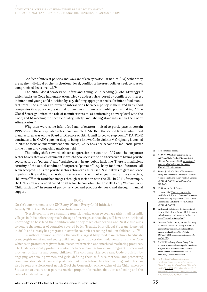Conflict of interest policies and laws are of a very particular nature: "[w]hether they are at the individual or the institutional level, conflict of interest policies seek to *prevent* compromised decisions […]."18

The 2002 Global Strategy on Infant and Young Child Feeding (Global Strategy),<sup>19</sup> which backs up Code implementation, tried to address risks posed by conflicts of interest in infant and young child nutrition by, e.g., defining appropriate roles for infant food manufacturers. The aim was to prevent interactions between policy makers and baby food companies that pose too great a risk of business influence on public policy making.<sup>20</sup> The Global Strategy limited the role of manufacturers to: a) conforming at every level with the Code; and b) meeting the specific quality, safety, and labeling standards set by the Codex Alimentarius.<sup>21</sup>

Why then were some infant food manufacturers invited to participate in certain PPPs beyond these stipulated roles? For example, DANONE, the second largest infant food manufacturer, was on the Board of Directors of GAIN, until forced to step down.22 DANONE continues to be GAIN's partner despite being a known Code violator.<sup>25</sup> Originally launched in 2008 to focus on micronutrient deficiencies, GAIN has since become an influential player in the infant and young child nutrition field.

The policy shift towards closer cooperation between the UN and the corporate sector has created an environment in which there seems to be no alternative to having private sector actors as "partners" and "stakeholders" in any public initiative. There is insufficient scrutiny of the actual conduct of corporate "partners", e.g. baby food manufacturers; all seem accepted. Thus the private sector actors can easily use UN initiatives to gain influence in public policy making arenas that intersect with their market goals, and, at the same time, "bluewash"<sup>24</sup> their tarnished images through association with the UN. In 2011, for example, the UN Secretary General called on all actors to contribute to the 2010 Every Woman Every Child Initiative<sup>25</sup> in terms of policy, service, and product delivery, and through financial support.

## BOX 2

Nestlé's commitment to the UN Every Woman Every Child Initiative In early 2011, the UN Initiative's website announced:

"Nestlé commits to expanding nutrition education to teenage girls in all its milk villages in India before they reach the age of marriage, so that they will have the nutritional knowledge to best feed their children when they reach childbearing age. Nestlé also aims to double the number of countries covered by its "Healthy Kids Global Program" launched in 2010, and already has programs in over 50 countries reaching 5 million children […]."26

In authors' opinion, allowing the world's largest baby food manufacturer to educate teenage girls on infant and young child feeding contradicts the fundamental aim of the Code which is to protect caregivers from biased information and unethical marketing practices. The Code specifically prohibits contact between manufacturers and pregnant women and mothers of infants and young children. The company sidesteps that Code provision by engaging with young women and girls, defining them as future mothers, and promoting communication about pre- and post-natal nutrition before they become pregnant. This can also be seen as a violation of Article 24 of the Convention on the Rights of the Child, whereby States are to ensure that parents receive proper information about breastfeeding and the risks of artificial feeding.

- 18 Idem (emphasis added).
- 19 WHO. WHO Global Strategy on Infant and Young Child Feeding. Geneva: WHO Office of Publications, 2003. [www.who.int/](www.who.int/maternal_child_adolescent/documents/9241562218/en/index.html) [maternal\\_child\\_adolescent/documents/](www.who.int/maternal_child_adolescent/documents/9241562218/en/index.html) [9241562218/en/index.html](www.who.int/maternal_child_adolescent/documents/9241562218/en/index.html).
- 20 Richter, Judith. Conflicts of Interests and Policy Implementation: Reflections from the Fields of Health and Infant Feeding. Geneva: IBFAN-GIFA, 2005. [www.ibfan.org/art/](www.ibfan.org/art/538-1.pdf) [538-1.pdf](www.ibfan.org/art/538-1.pdf).
- 21 WHO. op. cit. fn. 19, Para 44.
- 22 Lhotska, Lida. Whatever Happened to Health for All? Ups and Downs of Protection of Breastfeeding, Regulation of Transnational Corporations and Health for All. Geneva: IBFAN-GIFA, 2008.
- 23 Evidence of violations of the International Code of Marketing of Breastmilk Substitutes and subsequent resolutions can be found at <www.ibfan.org/art/dano-p1.pdf>.
- 24 "Bluewash" refers to corporations that wrap themselves in the blue UN flag in order to improve their social image (adapted from Greenwash Fact Sheet. CorpWatch, 22 March 2001. [www.corpwatch.org/article.](www.corpwatch.org/article.php?id=242)) [php?id=242](www.corpwatch.org/article.php?id=242))).
- 25 The UN 2010 Every Woman Every Child Initiative is presented as designed to accelerate progress towards women's and children's health and the achievement of MDG 4. <www.everywomaneverychild.org/>.
- For Nestlé original commitment see "Analysing Commitments to Advance the Global Strategy for Women's and Children's Health." PMNCH, 2011. (Web-Annex 1) 27. [www.who.int/pmnch/topics/part\\_publications/](www.who.int/pmnch/topics/part_publications/Web_Annex_1_-_29_09_2011.pdf) [Web\\_Annex\\_1\\_-\\_29\\_09\\_2011.pdf](www.who.int/pmnch/topics/part_publications/Web_Annex_1_-_29_09_2011.pdf).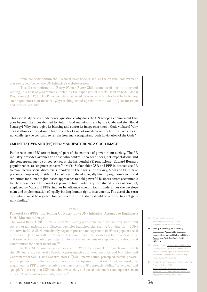Some concerns within the UN must have been raised, as the original commitment was reworded. Today, the UN Initiative's website states:

"Nestlé's commitment to Every Woman Every Child is anchored in continuing and scaling up a host of programmes, including the expansion of Nestlé Healthy Kids Global Programme (HKP) […] HKP has been designed to address today's complex health challenges, such as poor nutrition and obesity, by teaching school-age children the value of good nutrition and physical activity."27

This case study raises fundamental questions: why does the UN accept a commitment that goes beyond the roles defined for infant food manufacturers by the Code and the Global Strategy? Why does it give its blessing and confer its image on a known Code violator? Why does it allow a corporation to take on a role of a nutrition educator for children? Why does it not challenge the company to refrain from marketing infant foods in violation of the Code?

# CSR initiatives and (PP) PPPs: Manufacturing a good image

Public relations (PR) are an integral part of the exercise of power in our society. The PR industry provides avenues to those who control it to seed ideas, set expectations and the conceptual agenda of society or, as the influential PR practitioner Edward Bernays popularized it, to "engineer consent."28 Multi-Stakeholder CSR and PPP initiatives use PR to manufacture social discourse supportive to their goals. In this way, MSIs and PPPs have prevented, replaced, or sidetracked efforts to develop legally binding regulatory tools and structures for human rights-based approaches to hold powerful business actors accountable for their practices. The semantical power behind "voluntary" or "shared" codes of conduct, employed by MSIs and PPPs, implies beneficence when in fact it undermines the development and implementation of legally-binding human rights instruments. The use of the term "voluntary" must be rejected. Instead, such CSR initiatives should be referred to as "legally non-binding."

### BOX 3

# Powerful (PP)PPPs: the Scaling Up Nutrition (SUN) Initiative' Attempt to Engineer a Social Movement Image

The World Bank, UNICEF, WHO, and WFP along with some country partners, some civil society organizations, and bilateral agencies launched the Scaling Up Nutrition (SUN) initiative in 2010. SUN immediately began to present and legitimate itself as a popular social movement, "[t]he overall intention of this communications strategy is to encourage pride and satisfaction for public participation in a social movement to empower households and communities for better nutrition."29

In 2012, SUN issued a press release at the World Economic Forum in Davos in which the UN Secretary General's Special Representative for Food Security and Nutrition and Coordinator of SUN, David Nabarro, states, "[SUN] means sound, principled, people-privatepublic partnerships that empower societies for optimal nutrition." In other words, he magnified the PPP of private-public partnerships to a 5P approach (adding "principled" and "people") insisting that SUN includes civil society and social movements, and operates in an ethical, if not legally accountable, fashion.<sup>30</sup>

- 27 For more information visit: www.everywomaneverychild.
- [commitments/business-community](www.everywomaneverychild.org/commitments/business-community). 28 See e.g. in Richter, Judith. Holding Corporations Accountable: Corporate Conduct, International Codes, and Citizen Action. New York: Zed Books, 2001. 149–150.
- Nabarro, David. Introducing the Policy Brief, "Scaling Up Nutrition: A Framework for Action." Revised April 2010. www.satcawe [org/san/dmdocuments/SUN\\_Introducing\\_](www.satcaweb.org/san/dmdocuments/SUN_Introducing_Policy_David_Nabarro.pdf) [Policy\\_David\\_Nabarro.pdf](www.satcaweb.org/san/dmdocuments/SUN_Introducing_Policy_David_Nabarro.pdf).
- 30 Private Sector Engagement, Toolkit, Work in Progress, 8 Sept. 2011. [www.scalingupnutrition.org/wp-content/](www.scalingupnutrition.org/wp-content/uploads/2011/05/DRAFT8-Private-Sector-Engagement-Toolkit_090911.pdf)

uploads/2011/05/DRAFT8-Private-Sector [Engagement-Toolkit\\_090911.pdf](www.scalingupnutrition.org/wp-content/uploads/2011/05/DRAFT8-Private-Sector-Engagement-Toolkit_090911.pdf).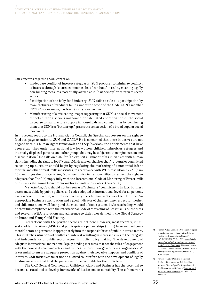Our concerns regarding SUN center on:

- Inadequate conflict of interest safeguards: SUN proposes to minimize conflicts of interest through "shared common codes of conduct," in reality meaning legally non-binding measures, potentially arrived at in "partnership" with private sector actors.
- Participation of the baby food industry: SUN fails to rule out participation by manufacturers of products falling under the scope of the Code. SUN's member EPODE, for example, has Nestlé as its core partner.
- Manufacturing of a misleading image: suggesting that SUN is a social movement reflects either a serious misnomer, or calculated appropriation of the social discourse to manufacture support in households and communities by convincing them that SUN is a "bottom-up," grassroots construction of a broad popular social movement.

In his recent report to the Human Rights Council, the Special Rapporteur on the right to food also pays attention to SUN and GAIN.<sup>31</sup> He is concerned that these initiatives are not aligned within a human rights framework and they "overlook the entitlements that have been established under international law for women, children, minorities, refugees and internally displaced persons, and other groups that may be subjected to marginalization and discrimination." He calls on SUN for "an explicit alignment of its initiatives with human rights, including the right to food" (para 15). He also emphasizes that "[c]ountries committed to scaling up nutrition should begin by regulating the marketing of commercial infant formula and other breast-milk substitutes, in accordance with WHA resolution 63.23" (para 16), and urges the private sector, "consistent with its responsibility to respect the right to adequate food," to "[c]omply fully with the International Code of Marketing of Breast-milk Substitutes abstaining from promoting breast-milk substitutes" (para 51.a.).

In conclusion, CSR should not be seen as a "voluntary" commitment. In fact, business actors must abide by public policies and codes adopted at international level, for all persons, everywhere in the world, with respect to everyone's human rights over their lifetime. An appropriate business contribution and a good indicator of their genuine respect for mother and child nutritional well-being and the most local of food systems, i.e. breastfeeding, would be their full compliance with the International Code of Marketing of Breast-milk Substitutes and relevant WHA resolutions and adherence to their roles defined in the Global Strategy on Infant and Young Child Feeding.

Interactions with the private sector are not new. However, most recently, multistakeholder initiatives (MSIs) and public-private partnerships (PPPs) have enabled commercial actors to permeate inappropriately into the responsibilities of public interest actors. This multiplies situations of conflicts of interest resulting in increased risks to the integrity and independence of public sector actors in public policy making. The development of adequate international and national legally binding measures that set the rules of engagement with the powerful economic actors and business-interest non-governmental organisations<sup>32</sup> is essential to ensure adequate protection against their negative impacts and conflicts of interests. CSR initiatives must not be allowed to interfere with the development of legally binding measures that hold the private sector accountable for their practices.

The CRC General Comment on Children's Rights and Business has the potential to become a crucial tool to develop frameworks of justice and accountability. These frameworks

- 31 Human Rights Council, 19th Session. "Report of the Special Rapporteur on the Right to Food to the Human Rights Council" (A/HRC/19/59). 26 Dec. 2011. [www2.ohchr.](www2.ohchr.org/english/bodies/hrcouncil/docs/19session/A.HRC.19.59_English.pdf) [org/english/bodies/hrcouncil/docs/19session/](www2.ohchr.org/english/bodies/hrcouncil/docs/19session/A.HRC.19.59_English.pdf) [A.HRC.19.59\\_English.pdf](www2.ohchr.org/english/bodies/hrcouncil/docs/19session/A.HRC.19.59_English.pdf). This document is available on the Watch website under article 3: [www.rtfn-watch.org/en/home/watch-2012/](http://www.rtfn-watch.org/en/home/watch-2012/main-sources) [main-sources](http://www.rtfn-watch.org/en/home/watch-2012/main-sources).
- 32 Paluzzi, Joan E. "Dualities of Interest: the Inter-Organizational Relationships between Disease-Specific Nonprofits and the Pharmaceutical Industry." International Journal of Health Services 42.2 (2012): 323–339.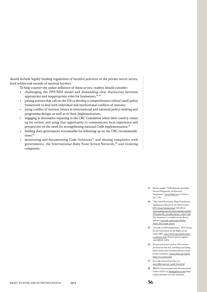should include legally-binding regulations of harmful practices of the private sector actors, both within and outside of national borders.

To help counter the undue influence of these actors, readers should consider:

- challenging the PPP/MSI model and demanding clear distinction between appropriate and inappropriate roles for businesses;<sup>33,34</sup>
- joining actions that call on the UN to develop a comprehensive ethical [and] policy framework to deal with individual and institutional conflicts of interest;
- using conflict of interest lenses in international and national policy-making and programme design, as well as in their implementation;
- engaging in alternative reporting to the CRC Committee when their country comes up for review, and using that opportunity to communicate local experience and perspective on the need for strengthening national Code implementation;<sup>35</sup>
- holding their government accountable for following up on the CRC recommendations:<sup>36</sup>
- monitoring and documenting Code violations<sup>37</sup> and sharing complaints with governments, the International Baby Food Action Network,<sup>38</sup> and violating companies.

- 33 Richter, Judith. "WHO Reform and Public Interest Safeguards: an Historical Perspective." Social Medicine 6.3 (2012): 141–150.
- 34 "The Greed Revolution, Mega Foundations, Agribusiness Muscle In On Public Goods" ETC Group Communiqué 108 (2012). [www.etcgroup.org/sites/www.etcgroup.org/files/](www.etcgroup.org/sites/www.etcgroup.org/files/ETComm108_GreedRevolution_120117.pdf) [ETComm108\\_GreedRevolution\\_120117.pdf](www.etcgroup.org/sites/www.etcgroup.org/files/ETComm108_GreedRevolution_120117.pdf). This document is available on the Watch website: [www.rtfn-watch.org/en/home/](http://www.rtfn-watch.org/en/home/watch-2012/main-sources) [watch-2012/main-sources](http://www.rtfn-watch.org/en/home/watch-2012/main-sources).
- 35 "A Guide to NGO Submissions." NGO Group for the Convention on the Rights of the Child. 2006. [www2.ohchr.org/english/bodies/](www2.ohchr.org/english/bodies/crc/partners.htm) [crc/partners.htm](www2.ohchr.org/english/bodies/crc/partners.htm). Shared reports together with IBFAN-GIFA.
- 36 All past and future country CRC reviews are listed on this link, including concluding observations and recommendations issued by the Committee: [www2.ohchr.org/english/](www2.ohchr.org/english/bodies/crc/sessions.htm) [bodies/crc/sessions.htm](www2.ohchr.org/english/bodies/crc/sessions.htm).
- 37 For Code monitoring forms see: [www.ibfan.org/code\\_watch-form.html](www.ibfan.org/code_watch-form.html).
- 38 IBFAN's International Code Documentation Center (ICDC) at *ibfanpg@tm.net.my* keeps a global database on Code violations.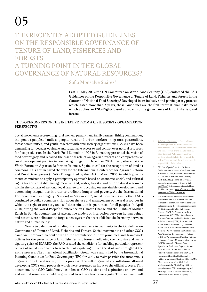# 05

## The Recently Adopted Guidelines on the Responsible Governance of Tenure of Land, Fisheries and FORESTS: A Turning Point in the Global Governance of Natural Resources?

### Sofia Monsalve Suárez<sup>1</sup>

Last 11 May 2012 the UN Committee on World Food Security (CFS) endorsed the FAO Guidelines on the Responsible Governance of Tenure of Land, Fisheries and Forests in the Context of National Food Security.<sup>2</sup> Developed in an inclusive and participatory process which lasted more than 3 years, these Guidelines are the first international instrument which applies an ESC-Rights based approach to the governance of land, fisheries, and forests.

#### The forerunners of this initiative from a Civil Society Organization **PERSPECTIVE**

Social movements representing rural women, peasants and family farmers, fishing communities, indigenous peoples, landless people, rural and urban workers, migrants, pastoralists, forest communities, and youth, together with civil society organizations (CSOs) have been demanding for decades equitable and sustainable access to and control over natural resources for food production. In the World Food Summit in 1996 in Rome they presented the vision of food sovereignty and recalled the essential role of an agrarian reform and comprehensive rural development policies in combating hunger. In December 2004 they gathered at the World Forum on Agrarian Reform in Valencia, Spain, to call for the recognition of land as commons. This Forum paved the way for the International Conference for Agrarian Reform and Rural Development (ICARRD) organized by the FAO in March 2006, in which governments committed to apply a participatory approach based on economic, social, and cultural rights for the equitable management of land, water, forests, and other natural resources within the context of national legal frameworks, focusing on sustainable development and overcoming inequalities in order to eradicate hunger and poverty. At the International Forum on Food Sovereignty (Nyeleni) in Mali in 2007, social movements and other CSOs continued to build a common vision about the use and management of natural resources in which the right to territory and self-determination is guaranteed for all peoples. In April 2010, during the World People's Conference on Climate Change and the Rights of Mother Earth in Bolivia, foundations of alternative models of interaction between human beings and nature were delineated to forge a new system that reestablishes the harmony between nature and human beings.

Nearly two decades of building alternatives came to bear fruits in the Guidelines on Governance of Tenure of Land, Fisheries and Forests. Social movements and other CSOs came well prepared to contribute to the formulation of new principles and framework policies for the governance of land, fisheries, and forests. Following the inclusive and participatory spirit of ICARRD, the FAO created the conditions for enabling particular representatives of social movements to actively participate right from the start and throughout the entire process. The International Facilitation Group was established by the International Planning Committee for Food Sovereignty (IPC)<sup>3</sup> in 2009 to make possible the autonomous organization of civil society in this process. The self-organized consultations allowed developing CSO's own proposals which were presented as input to the official process. This document, "the CSO Guidelines,"4 condenses CSO's visions and aspirations on how land and natural resources should be governed to achieve food sovereignty. This document will

- 1 Sofia Monsalve Suárez is the coordinator of the Programme on Access to Natural Resources at FIAN International Secretariat. The author would like to thank Fernanda Siles, Bernhard Walter, and Jenny Franco for their valuable help in the review of the article. The content of the article is the sole responsibility of the author.
- 2 CFS, 38<sup>th</sup> (Special) Session. "Voluntary Guidelines on the Responsible Governance of Tenure of Land, Fisheries and Forests in the Context of National Food Security" (CFS 2012/38/2). Rome, 11 May 2012. [http://www.fao.org/docrep/meeting/025/](http://www.fao.org/docrep/meeting/025/md708e.pdf) [md708e.pdf](http://www.fao.org/docrep/meeting/025/md708e.pdf). This document is available on the Watch website: [www.rtfn-watch.org/en/](http://www.rtfn-watch.org/en/home/watch-2012/main-sources) [home/watch-2012/main-sources](http://www.rtfn-watch.org/en/home/watch-2012/main-sources).
- 3 The International Facilitation Group was coordinated by FIAN International and consisted of 26 members from all continents and representing the following organizations: World Alliance of Mobile Indigenous Peoples (WAMIP), Friends of the Earth International, CENESTA, Asian Peasant Coalition, International Collective in Support of Fisherworkers (ICSF), International Indian Treaty Council (IITC), Crocevia, World Forum of Fish Harvesters and Fish Workers (WFF), Focus on the Global South, Arab Group for the Protection of Nature, IMSE, La Via Campesina, MAELA, National Indigenous Peasant Movement of Argentina (MNCI), Network of Farmers' and Agricultural Producers' Organizations of West Africa (ROPPA), Pesticide Action Network Asia and the Pacific (PAN-AP), Housing and Land Rights Network of Habitat International Coalition (HIC-HLRN). After the creation of the Civil Society Mechanism of the CFS in May 2011, this group became a CSM working group and more organizations such as Action Aid, Oxfam and others joined the group.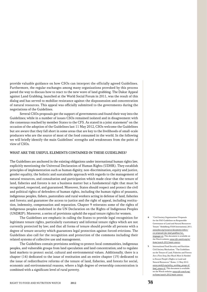provide valuable guidance on how CSOs can interpret the officially agreed Guidelines. Furthermore, the regular exchanges among many organizations provoked by this process paved the way to discuss how to react to the new wave of land grabbing. The Dakar Appeal against Land Grabbing, launched at the World Social Forum in 2011, was the result of this dialog and has served to mobilize resistance against the dispossession and concentration of natural resources. This appeal was officially submitted to the governments during the negotiations of the Guidelines.

Several CSOs proposals got the support of governments and found their way into the Guidelines; while in a number of issues CSOs remained isolated and in disagreement with the consensus reached by member States to the CFS. As stated in a joint statement<sup>5</sup> on the occasion of the adoption of the Guidelines last 11 May 2012, CSOs welcome the Guidelines but are aware that they fall short in some areas that are key to the livelihoods of small-scale producers who are the source of most of the food consumed in the world. In the following we will briefly identify the main Guidelines' strengths and weaknesses from the point of view of CSOs.

#### What are the useful elements contained in these Guidelines?

The Guidelines are anchored in the existing obligations under international human rights law, explicitly mentioning the Universal Declaration of Human Rights (UDHR). They establish principles of implementation such as human dignity, non-discrimination, equity and justice, gender equality, the holistic and sustainable approach with regards to the management of natural resources, and consultation and participation which made clear that the tenure of land, fisheries and forests is not a business matter but a fundamental right that must be recognized, respected, and guaranteed. Moreover, States should respect and protect the civil and political rights of defenders of human rights, including the human rights of peasants, indigenous peoples, fishers, pastoralists and rural workers acting in defense of land, fisheries and forests; and guarantee the access to justice and the right of appeal, including restitution, indemnity, compensation and reparation. Chapter 9 reiterates some of the rights of indigenous peoples enshrined in the UN Declaration on the Rights of Indigenous Peoples (UNDRIP). Moreover, a series of provisions uphold the equal tenure rights for women.

The Guidelines are emphatic in calling the States to provide legal recognition for legitimate tenure rights, particularly customary and informal tenure rights which are not currently protected by law; and that all forms of tenure should provide all persons with a degree of tenure security which guarantees legal protection against forced evictions. The Guidelines also call for the recognition and protection of the commons including their related systems of collective use and management.

The Guidelines contain provisions seeking to protect local communities, indigenous peoples, and vulnerable groups from land speculation and land concentration; and to regulate land markets to protect social, cultural and environmental values. Additionally, there is a chapter (14) dedicated to the issue of restitution and an entire chapter (15) dedicated to the issue of redistributive reforms of the tenure of land, fisheries, and forests for social, economic and environmental reasons, where a high degree of ownership concentration is combined with a significant level of rural poverty.

- 4 "Civil Society Organizations' Proposals for the FAO Guidelines on Responsible Governance of Land and Natural Resources Tenure." Heidelberg: FIAN International, 2011. [www.fian.org/resources/documents/others/](www.fian.org/resources/documents/others/cso-proposals-fao-land-guidlines?set_language=en) [cso-proposals-fao-land-guidlines?set\\_](www.fian.org/resources/documents/others/cso-proposals-fao-land-guidlines?set_language=en) [language=en](www.fian.org/resources/documents/others/cso-proposals-fao-land-guidlines?set_language=en). This document is available on the Watch website: [www.rtfn-watch.org/en/](http://www.rtfn-watch.org/en/home/watch-2012/main-sources) [home/watch-2012/main-sources](http://www.rtfn-watch.org/en/home/watch-2012/main-sources).
- 5 International Food Security and Nutrition Civil Society Mechanism. "The Guidelines on the Tenure of Land, Fisheries and Forests Are a First Step, But Much More Is Needed to Ensure People's Rights to Land and Natural Resources." Rome, 11 May 2012. [www.csm4cfs.org/policy\\_working\\_groups-6/](www.csm4cfs.org/policy_working_groups-6/land_tenure-6/) [land\\_tenure-6/](www.csm4cfs.org/policy_working_groups-6/land_tenure-6/). This document is available on the Watch website: [www.rtfn-watch.org/](http://www.rtfn-watch.org/en/home/watch-2012/main-sources) [en/home/watch-2012/main-sources](http://www.rtfn-watch.org/en/home/watch-2012/main-sources).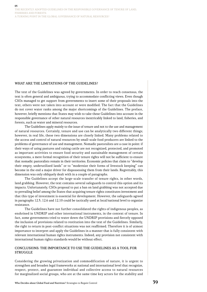#### WHAT ARE THE LIMITATIONS OF THE GUIDELINES?

The text of the Guidelines was agreed by governments. In order to reach consensus, the text is often general and ambiguous, trying to accommodate conflicting views. Even though CSOs managed to get support from governments to insert some of their proposals into the text, others were not taken into account or were modified. The fact that the Guidelines do not cover water ranks among the major shortcomings of the Guidelines. The preface, however, briefly mentions that States may wish to take these Guidelines into account in the responsible governance of other natural resources inextricably linked to land, fisheries, and forests, such as water and mineral resources.

The Guidelines apply mainly to the issue of tenure and not to the use and management of natural resources. Certainly, tenure and use can be analytically two different things; however, in real life, these two dimensions are closely linked. Many problems related to the access and control of natural resources by small-scale food producers are linked to the problems of governance of use and management. Nomadic pastoralists are a case in point: if their ways of using pastures and raising cattle are not recognized, protected, and promoted as important activities to ensure food security and sustainable management of certain ecosystems, a mere formal recognition of their tenure rights will not be sufficient to ensure that nomadic pastoralists remain in their territories. Economic policies that claim to "develop their empty, underutilized lands" or to "modernize their forms of livestock keeping" can become in the end a major driver for dispossessing them from their lands. Regrettably, this dimension was only obliquely dealt with in a couple of paragraphs.

The Guidelines accept the large-scale transfer of tenure rights, in other words, land grabbing. However, the text contains several safeguards to control this option and its impacts. Unfortunately, CSOs proposal to put a ban on land grabbing was not accepted due to prevailing belief among the States that acquiring tenure rights constitutes investment and that this type of investment is essential for development. However, the safeguards agreed in paragraphs 12.5, 12.6 and 12.10 could be tactically used at local/national level to organize resistance.

The Guidelines have not further consolidated the rights of indigenous peoples, as enshrined in UNDRIP and other international instruments, in the context of tenure. In fact, some governments tried to water down the UNDRIP provisions and fiercely opposed the inclusion of provisions related to restitution into the text of the Guidelines. Similarly, the right to return in post-conflict situations was not reaffirmed. Therefore it is of utmost importance to interpret and apply the Guidelines in a manner that is fully consistent with relevant international human rights instruments. Indeed, any provision not consistent with international human rights standards would be without effect.

#### Conclusions: the importance to use the Guidelines as a tool for **STRUGGLE**

Considering the growing privatization and commodification of nature, it is urgent to strengthen and broaden legal frameworks at national and international level that recognize, respect, protect, and guarantee individual and collective access to natural resources for marginalized social groups, who are at the same time key actors for the stability and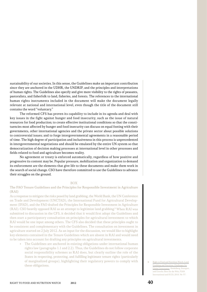sustainability of our societies. In this sense, the Guidelines make an important contribution since they are anchored in the UDHR, the UNDRIP, and the principles and interpretations of human rights. The Guidelines also specify and give more visibility to the rights of peasants, pastoralists, and fisherfolk to land, fisheries, and forests. The references to the international human rights instruments included in the document will make the document legally relevant at national and international level, even though the title of the document still contains the word "voluntary."

The reformed CFS has proven its capability to include in its agenda and deal with key issues in the fight against hunger and food insecurity, such as the issue of natural resources for food production; to create effective institutional conditions so that the constituencies most affected by hunger and food insecurity can discuss on equal footing with their governments, other international agencies and the private sector about possible solutions to controversial issues; and to forge intergovernmental agreements in a reasonable period of time. The high degree of participation and inclusiveness in this process is unprecedented in intergovernmental negotiations and should be emulated by the entire UN system so that democratization of decision making processes at international level in other processes and fields related to food and agriculture becomes reality.

No agreement or treaty is enforced automatically, regardless of how positive and progressive its content may be. Popular pressure, mobilization and organization to demand its enforcement are the elements that give life to these documents and make them work in the search of social change. CSO have therefore committed to use the Guidelines to advance their struggles on the ground.

#### BOX

#### The FAO Tenure Guidelines and the Principles for Responsible Investment in Agriculture (RAI)

As a response to mitigate the risks posed by land grabbing, the World Bank, the UN Conference on Trade and Development (UNCTAD), the International Fund for Agricultural Development (IFAD), and the FAO drafted the Principles for Responsible Investment in Agriculture (RAI). CSO heavily opposed RAI as an attempt to legitimize land grabbing.<sup>6</sup> When RAI was submitted to discussion in the CFS, it decided that it would first adopt the Guidelines and then start a participatory consultation on principles for agricultural investment to which RAI would be one input among others. The CFS also decided that these principles ought to be consistent and complementary with the Guidelines. The consultation on investment in agriculture started on 2 July 2012. As an input for the discussion, we would like to highlight key elements contained in the Tenure Guidelines which are absent in RAI and would need to be taken into account for drafting any principles on agricultural investments.

• The Guidelines are anchored in existing obligations under international human rights law (paragraphs 1.1 and 2.2). Thus, the Guidelines do not follow corporate social responsibility schemes as RAI does, but clearly outline the role of the States in respecting, protecting, and fulfilling legitimate tenure rights (particularly of marginalized groups), highlighting their regulatory powers to comply with these obligations.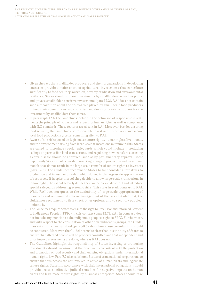- Given the fact that smallholder producers and their organizations in developing countries provide a major share of agricultural investments that contribute significantly to food security, nutrition, poverty eradication and environmental resilience, States should support investments by smallholders as well as public and private smallholder-sensitive investments (para 12.2). RAI does not contain such a recognition about the crucial role played by small-scale food producers to feed their communities and countries; and does not prioritize support for the investment by smallholders themselves.
- In paragraph 12.4, the Guidelines include in the definition of responsible investments the principle of no harm and respect for human rights as well as compliance with ILO standards. These features are absent in RAI. Moreover, besides ensuring food security, the Guidelines tie responsible investment to promote and secure local food production systems, something alien to RAI.
- Aware of the risks posed on legitimate tenure rights, human rights, livelihoods, and the environment arising from large-scale transactions in tenure rights, States are called to introduce special safeguards which could include introducing ceilings on permissible land transactions, and regulating how transfers exceeding a certain scale should be approved, such as by parliamentary approval. Most importantly States should consider promoting a range of production and investment models that do not result in the large-scale transfer of tenure rights to investors (para 12.6). The Guidelines recommend States to first consider alternatives to production and investment models which do not imply large-scale appropriation of resources. If in spite thereof they decide to allow large-scale transactions in tenure rights, they should clearly define them in the national context and introduce special safeguards addressing systemic risks. This stays in stark contrast to RAI. While RAI does not question the desirability of large-scale appropriation of resources and recommends micro-management of the risks entailed in it, the Guidelines recommend to first check other options, and to secondly put clear limits to it.
- The Guidelines require States to ensure the right to Free Prior and Informed Consent of Indigenous Peoples (FPIC) in this context (para 12.7). RAI, in contrast, does not include any mention to the indigenous peoples' right to FPIC. Furthermore, and with respect to the consultation of other non-indigenous groups, the Guidelines establish a new standard (para 3B.6) about how these consultations should be conducted. Moreover, the Guidelines make clear that it is the duty of States to ensure that affected people will be properly consulted and that independent and prior impact assessments are done, whereas RAI does not.
- The Guidelines highlight the responsibility of States investing or promoting investments abroad to ensure that their conduct is consistent with the protection and promotion of food security and their existing obligations under international human rights law. Para 3.2 also calls home States of transnational corporations to ensure that businesses are not involved in abuse of human rights and legitimate tenure rights. States, in accordance with their international obligations, should provide access to effective judicial remedies for negative impacts on human rights and legitimate tenure rights by business enterprises. States should take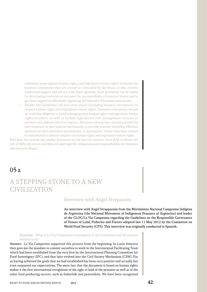additional steps against human rights and legitimate tenure rights violations by business enterprises that are owned or controlled by the State, or that receive substantial support and service from State agencies. Such provisions can be useful for developing countries to increase the accountability of investor States and to get their support in effectively regulating the behavior of business enterprises.

• Finally, the Guidelines call non-state actors (including business enterprises) to respect human rights and legitimate tenure rights. Business enterprises should act with due diligence to avoid infringing upon human rights and legitimate tenure rights of others, as well as include appropriate risk management systems to prevent and address adverse impacts. Business enterprises should provide for and cooperate in non-judicial mechanisms to provide remedy, including effective operational-level grievance mechanisms, if appropriate, where they have caused or contributed to adverse impacts on human rights and legitimate tenure rights.

RAI does not include any similar provisions on the last two matters since RAI conflates the role of different actors and does not spell specific obligations and responsibilities for business and investor States.

05a

## A Stepping Stone to a New **CIVILIZATION**

### Interview with Angel Strapazzón

An interview with Angel Strappazzón from the Movimiento Nacional Campesino IndÍgena de Argentina (the National Movement of Indigenous Peasants of Argentina) and leader of the CLOC/La Via Campesina regarding the Guidelines on the Responsible Governance of Tenure of Land, Fisheries and Forests adopted last 11 May 2012 by the Committee on World Food Security (CFS). This interview was originally conducted in Spanish.

#### Question: What is La Via Campesina's assessment of the Guidelines and the process behind them?

Answer: La Via Campesina supported this process from the beginning. In Latin America they gave me the mandate to commit ourselves to work in the International Facilitating Team which had been established from the very first by the International Planning Committee for Food Sovereignty (IPC), and that later evolved into the Civil Society Mechanism (CSM). For us having achieved the goals that we had established has been very positive and actually has even surpassed our expectations. The mere fact that the document is based on human rights makes it the first international recognition of the right to land of the peasants as well as of the other food producing sectors, such as fisherfolk and pastoralists. We have been recognized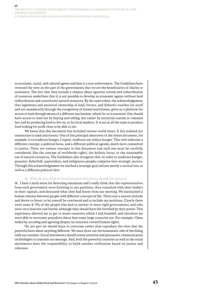as economic, social, and cultural agents and that is a true achievement. The Guidelines have reversed the view on the part of the governments that we are the beneficiaries of charity or assistance. The fact that they include a chapter about agrarian reform and redistribution of resources underlines that it is not possible to develop as economic agents without land redistribution and control over natural resources. By the same token, the acknowledgement that legitimate and ancestral ownership of land, forests, and fisheries vouches for itself and not mandatorily through the recognition of formal institutions, gives us a platform for access to land through means of a different mechanism, which for us is essential. One should have access to land not by buying and selling, but rather by ancestral custom or common law, and by producing food to live on, or for local markets. It is not at all the same to produce food looking for profit than to be able to eat.

We know that this document has included various world views. It has realized our connection to land and forests. One of the principal objectives of the entire document, for example, is to eradicate hunger, I repeat, eradicate not reduce hunger. This verb indicates a different concept, a political focus, and a different political agenda, much more committed to justice. There are various concepts in this document and each one must be carefully considered, like the concept of worldwide rights, the holistic focus, or the sustainable use of natural resources. The Guidelines also recognize that, in order to eradicate hunger, peasants, fisherfolk, pastoralists, and indigenous peoples comprise four strategic sectors. Through this acknowledgement we reached a strategic goal and not merely a tactical one, as well as a different political view.

#### Q: What do you think of the interaction with States during this process?

A: I have a sixth sense for detecting simulation and I really think that the representatives from each government were listening to our positions, they consulted with their leaders in their capitals, and discussed what they had learnt from our meeting. We maintained a human relation between people with different concepts of life. There was a sincere attitude and desire to listen, to let oneself be convinced and to include our positions. Clearly there were some 4–5% of the people who had to answer to more rigid governments, and who were very insecure and fearful, although they should have felt fortified by their power. This experience allowed me to get to know countries which I had branded, and therefore we were able to overcome prejudices about how some large countries are. For example, China ended by acceding and agreeing despite its reticence toward human rights.

On our part we should learn to overcome rather than reproduce the view that the powerful have about anything different. We must draw out the humanistic side of the dialog with our enemies. Social movements should create sensitive and persuasive communication technologies to transmit our message. And, both the powerful countries as well as the social movements have the responsibility to build another civilization based on justice and tolerance.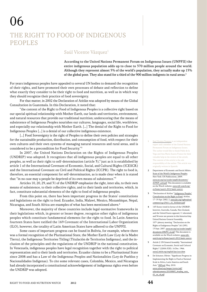# 06

# The Right to Food of Indigenous **PEOPLES**

## Saúl Vicente Vázquez<sup>1</sup>

According to the United Nations Permanent Forum on Indigenous Issues (UNPFII) the entire indigenous population adds up to close to 370 million people around the world. Although they represent almost 5% of the world's population, they actually make up 15% of the global poor. They also stand for a third of the 900 million indigents in rural areas.2

For years indigenous peoples have appealed to several UN bodies to demand the recognition of their rights, and have promoted their own processes of debate and reflection to define what exactly they consider to be their right to food and nutrition, as well as in which way they should recognize their practice of food sovereignty.

For that matter, in 2002 the Declaration of Atitlán was adopted by means of the Global Consultation in Guatemala. In this Declaration, it noted that:

"the content of the Right to Food of Indigenous Peoples is a collective right based on our special spiritual relationship with Mother Earth, our lands and territories, environment, and natural resources that provide our traditional nutrition; underscoring that the means of subsistence of Indigenous Peoples nourishes our cultures, languages, social life, worldview, and especially our relationship with Mother Earth. […] The denial of the Right to Food for Indigenous Peoples […] is a denial of our collective indigenous existence.

[...] Food Sovereignty is the right of Peoples to define their own policies and strategies for the sustainable production, distribution, and consumption of food, with respect for their own cultures and their own systems of managing natural resources and rural areas, and is considered to be a precondition for Food Security."3

In 2007, the United Nations Declaration on the Rights of Indigenous Peoples (UNDRIP) was adopted. It recognizes that all indigenous peoples are equal to all other peoples, as well as their right to self-determination (article 3), $^4$  just as it is established by article 1 of the International Covenant of Economic, Social, and Cultural Rights (ICESCR) and the International Covenant on Civil and Political Rights (ICCPR). The right to food is, therefore, an essential component for self-determination, as is made clear when it is stated that "in no case may a people be deprived of its own means of subsistence."5

Articles 10, 20, 29, and 31 of the UNDRIP emphasize the right, inter alia, to their own means of subsistence, to their collective rights, and to their lands and territories, which, in fact, constitute substantial elements of the right to food of indigenous peoples.

From this point on, there has been important progress in the States' constitutions and legislations on the right to food. Ecuador, India, Malawi, Mexico, Mozambique, Nepal, Nicaragua, and South Africa are examples of what has been mentioned above.<sup>6</sup>

Moreover, the majority of these countries include legal-normative frameworks in their legislations which, in greater or lesser degree, recognize other rights of indigenous peoples which constitute fundamental elements for the right to food. In Latin America fourteen States have ratified the 169 Covenant of the International Labor Organization (ILO), however, the totality of Latin American States have adhered to the UNPFII.

Some cases of important progress can be found in Bolivia, for example, where there was a formal recognition of the Plurinational State, the Mother Earth Law (Ley de la Madre Tierra), the Indigenous Territories Titling (Titulación de Territorios Indígenas), and the inclusion of the principles and the regulations of the UNDRIP in the national constitution. In Venezuela, indigenous peoples have legal recognition together with the right to political representation and to their lands and territories. Ecuador claims to be a Plurinational State since 2008 and has a Law of the Indigenous Peoples and Nationalities (Ley de Pueblos y Nacionalidades Indígenas). To cite some relevant cases, Colombia, Mexico, and Nicaragua had already incorporated a constitutional acknowledgement of indigenous rights even before the UNDRIP was adopted.

Saul Vicente Vazquez is an independent expert and a member of the United Nations Permanent Forum on Indigenous Issues. The author would like to thank Pablo de la Vega and Ana María Suarez Franco for their valuable help in the review of the article. The content of the article is the sole responsibility of the author. This article was originally written in Spanish.

- 2 Department of Economic and Social Affairs. State of the World's Indigenous Peoples. New York: UN Publications, 2009. [www.un.org/esa/socdev/unpfii/documents/](www.un.org/esa/socdev/unpfii/documents/SOWIP_web.pdf) [SOWIP\\_web.pdf](www.un.org/esa/socdev/unpfii/documents/SOWIP_web.pdf). This document is available on the Watch website: [www.rtfn-watch.org/](http://www.rtfn-watch.org/en/home/watch-2012/main-sources) [en/home/watch-2012/main-sources](http://www.rtfn-watch.org/en/home/watch-2012/main-sources).
- 3 "Declaration of Atitlan." Indigenous Peoples' Consultation on the Right to Food. Atitlan, 17–19 Apr. 2002. 2. [www.fao.org/righttofood/](www.fao.org/righttofood/common/ecg/25411_en_Atitlanen.pdf) [common/ecg/25411\\_en\\_Atitlanen.pdf](www.fao.org/righttofood/common/ecg/25411_en_Atitlanen.pdf).
- 4 143 States voted in favour of the UNDRIP; however, Australia, Canada, New Zealand, and the United States opposed, 11 abstained, and 34 were not present in this historical day. United Nations General Assembly, 107th plenary meeting. "Declaration on the Rights of Indigenous Peoples" (61/295). 13 Sept. 2007. [www.un.org/esa/socdev/unpfii/](www.un.org/esa/socdev/unpfii/documents/DRIPS_en.pdf) [documents/DRIPS\\_en.pdf](www.un.org/esa/socdev/unpfii/documents/DRIPS_en.pdf). This document is available on the Watch website: [www.rtfn](http://www.rtfn-watch.org/en/home/watch-2012/main-sources)[watch.org/en/home/watch-2012/main-sources](http://www.rtfn-watch.org/en/home/watch-2012/main-sources).
- 5 Article 2. UN General Assembly. "International Covenant on Economic, Social and Cultural Rights" (2200A XXI). 16 Dec. 1966. <www2.ohchr.org/english/law/cescr.htm>.
- 6 De Schutter, Olivier. "Significant Progress in Implementing the Right to Food at National Scale in Africa, Latin America and South Asia." SRFood. May, 2010. [www.srfood.org/images/stories/pdf/](www.srfood.org/images/stories/pdf/otherdocuments/20100805_briefing_note_01_en_ok.pdf)

[otherdocuments/20100805\\_briefing\\_note\\_](www.srfood.org/images/stories/pdf/otherdocuments/20100805_briefing_note_01_en_ok.pdf) [01\\_en\\_ok.pdf](www.srfood.org/images/stories/pdf/otherdocuments/20100805_briefing_note_01_en_ok.pdf).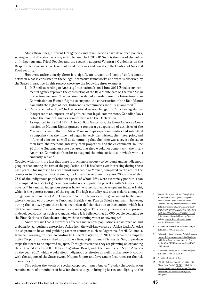Along those lines, different UN agencies and organizations have developed policies, strategies, and directives as a way to implement the UNDRIP. Such is the case of the Policy on Indigenous and Tribal Peoples and the recently adopted Voluntary Guidelines on the Responsible Governance of Tenure of Land, Fisheries and Forests in the Context of National Food Security.

However, unfortunately there is a significant breach and lack of enforcement between what is consigned in these legal-normative frameworks and what is observed by the States in practice. In this respect there are the following three examples:

- 1. In Brazil, according to Amnesty International: "on 1 June 2011 Brazil's environmental agency approved the construction of the Belo Monte dam on the river Xingu in the Amazon area. The decision has defied an order from the Inter-American Commission on Human Rights to suspend the construction of the Belo Monte dam until the rights of local Indigenous communities are fully guaranteed."7
- 2. Canada remarked how "the Declaration does not change any Canadian legislation. It represents an expression of political, not legal, commitment. Canadian laws define the limit of Canada's compromise with the Declaration."8
- 3. As reported in the 2011 Watch, in 2010, in Guatemala, the Inter-American Commission on Human Rights granted a temporary suspension of activities of the Marlin mine given that the Maya Mam and Sipakapa communities had submitted a complaint that the mine had began its activities without their free, prior, and informed consent; as well as denouncing that the mine was a severe threat to their lives, their personal integrity, their properties, and the environment. In June 2011, the Guatemalan State declared that they would not comply with the Inter-American Commission's order to suspend the mine activities in which work is currently active.<sup>9</sup>

Coupled with this is the fact that there is much more poverty to be found among indigenous peoples than among the rest of the population, and it has been ever increasing during these past years. This increase has been most noticeable in Mexico, compared to the rest of the countries in the region. In Guatemala, the Human Development Report 2008 showed that 73% of the indigenous population was poor, of whom 26% were extremely poor; this can be compared to a 35% of general non-indigenous population poverty, with 8% in extreme poverty.10 In Panama, indigenous peoples have the same Human Development Index as Haiti, which is the poorest country of the region. The high mortality rate from malaria among the indigenous Yanomamis of Alto Orinoco in Venezuela worried the government to the point where they had to promote the Yanomami Health Plan (Plan de Salud Yanomami); however, during the last two years there have been clear deficiencies due to inattention, which has left the community in an endangered state once again. This poverty scenario is also present in developed countries such as Canada, where it is believed that 20,000 people belonging to the First Nations of Canada are living without running water or sewerage.<sup>11</sup>

Another issue that is currently affecting indigenous populations is existence of land grabbing by agribusiness enterprises. Aside from the well-known case of Africa, Latin America is also prone to have land grabbing cases in countries such as Argentina, Brazil, Colombia, Jamaica, Paraguay, or Peru. According to GRAIN magazine, in 2011 the Japanese company Sojitz Corporation established a subsidiary firm, Sojitz Buenas Tierras del Sur, to produce crops that were to be exported to Japan. Through this venue, they are planning on expanding the cultivated area by 200,000 ha in Argentina, Brazil, and other countries in South America by the year 2017, which would affect indigenous territories as well; furthermore, it counts with the support of the State-owned Nippon Export and Investment Insurance for the risk insurances.12

This echoes the words of Special Rapporteur James Anaya: "[t]oday the Declaration remains more of a reminder of how far there is to go in bringing justice and dignity to the

- Amnesty International. Sacrificing Rights in the Name of Development: Indigenous Peoples under Threat in the Americas. London: Amnesty International Publications, 2011. 6. [www.amnesty.org/en/library/asset/](www.amnesty.org/en/library/asset/AMR01/001/2011/en/252e3768-5d1b-4078-9d29-4a4c7b3df619/amr010012011en.pdf) [AMR01/001/2011/en/252e3768-5d1b-4078-](www.amnesty.org/en/library/asset/AMR01/001/2011/en/252e3768-5d1b-4078-9d29-4a4c7b3df619/amr010012011en.pdf) [9d29-4a4c7b3df619/amr010012011en.pdf](www.amnesty.org/en/library/asset/AMR01/001/2011/en/252e3768-5d1b-4078-9d29-4a4c7b3df619/amr010012011en.pdf). This document is available on the Watch website: [www.rtfn-watch.org/en/home/](http://www.rtfn-watch.org/en/home/watch-2012/main-sources) [watch-2012/main-sources](http://www.rtfn-watch.org/en/home/watch-2012/main-sources).
- Wessendorf, Kathrin, ed. El Mundo Indígena 2011. Lima: IWGIA, 2011.59.
- 9 Right to Food and Nutrition Watch: Claiming Human Rights, the Accountability Challenge. Heidelberg, Stuttgart, and Utrecht: Brot für die Welt, FIAN International and ICCO, 2011. 64–66.
- 10 Mikkelsen, Cæcilie, ed. El Mundo Indígena 2010. Lima: IWGIA, 2010. 96.
- 11 Wessendorf, op.cit. 58–67.
- 12 "GRAIN Releases Data Set with Over 400 Global Land Grabs." GRAIN. 23 Feb. 2012. [www.grain.org/es/article/entries/4479-grain](www.grain.org/es/article/entries/4479-grain-releases-data-set-with-over-400-global-land-grabs)[releases-data-set-with-over-400-global](www.grain.org/es/article/entries/4479-grain-releases-data-set-with-over-400-global-land-grabs)[land-grabs](www.grain.org/es/article/entries/4479-grain-releases-data-set-with-over-400-global-land-grabs).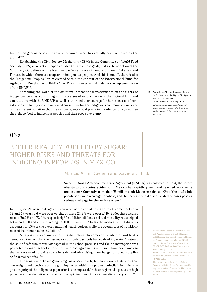lives of indigenous peoples than a reflection of what has actually been achieved on the ground."13

Establishing the Civil Society Mechanism (CSM) in the Committee on World Food Security (CFS) is in fact an important step towards those goals, just as the adoption of the Voluntary Guidelines on the Responsible Governance of Tenure of Land, Fisheries, and Forests, in which there is a chapter on indigenous peoples. And this is not all, there is also the Indigenous Peoples Forum created within the context of the International Fund for Agricultural Development (IFAD). The UNPFII is an essential body for the implementation of the UNDRIP.

Spreading the word of the different international instruments on the rights of indigenous peoples, continuing with processes of reconciliation of the national laws and constitutions with the UNDRIP, as well as the need to encourage further processes of consultation and free, prior, and informed consent within the indigenous communities are some of the different activities that the various agents could promote in order to fully guarantee the right to food of indigenous peoples and their food sovereignty.

06a

## Bitter Reality Fuelled by Sugar: Higher Risks and Threats for Indigenous Peoples in Mexico

### Marcos Arana Cedeño and Xaviera Cabada<sup>1</sup>

Since the North America Free Trade Agreement (NAFTA) was enforced in 1994, the severe obesity and diabetes epidemic in Mexico has rapidly grown and reached worrisome proportions.<sup>2</sup> Currently, more than 35 million adult Mexicans (almost 40% of the total adult population) are overweight or obese, and the increase of nutrition-related diseases poses a serious challenge for the health system.<sup>3</sup>

In 1999, 22.9% of school-age children were obese and almost a third of women between 12 and 49 years old were overweight, of these 21.2% were obese.<sup>4</sup> By 2006, these figures rose to 36.9% and 32.4%, respectively.<sup>5</sup> In addition, diabetes-related mortality rates tripled between 1980 and 2005, reaching 63/100,000 in 2011.<sup>6</sup> Today the medical cost of diabetes accounts for 15% of the overall national health budget, while the overall cost of nutritionrelated disorders reaches \$2 billion.7,8

As a possible explanation of this disturbing phenomenon, academics and NGOs denounced the fact that the vast majority of public schools had no drinking water.<sup>9</sup> Instead, the sale of soft drinks was widespread in the school premises and their consumption was promoted by many school authorities, who had agreements with soft drink companies so that schools would provide space for sales and advertising in exchange for school supplies or financial benefits.10,11

The situation in the indigenous regions of Mexico is by far more serious. Data show that overweight and obesity rates are growing faster within the poorest quintile, $12$  in which the great majority of the indigenous population is encompassed. In these regions, the persistent high prevalence of malnutrition coexists with a rapid increase of obesity and diabetes type II. $^{13,14}$ 

- Marcos Arana Cedeño is a member of IBFAN and WABA, director of CCESC (Training and Education Center on Ecology and Health for Peasants), and researcher for INNSZ (Mexico National Institute of Nutrition), OBSCIUDES, Defensoría del Derecho a la Salud, and Espacio DESC.
- Xaviera Cabada is a nutrition coordinator for El Poder del Consumidor and a member of IBFAN Mexico.

The authors would like to thank Stineke Oenema and Fabio Gomes for their valuable help in the review of the article. The content of the article is the sole responsibility of the authors.

13 Anaya, James. "It's Not Enough to Support the Declaration on the Rights of Indigenous Peoples, Says UN Expert." UNSR.JAMESANAYA. 9 Aug. 2010. [www.unsr.jamesanaya.org/esp/compress/](www.unsr.jamesanaya.org/esp/compress/its-not-enough-to-support-the-declaration-on-the-rights-of-indigenous-peoples-says-un-expert) [its-not-enough-to-support-the-declaration](www.unsr.jamesanaya.org/esp/compress/its-not-enough-to-support-the-declaration-on-the-rights-of-indigenous-peoples-says-un-expert)[on-the-rights-of-indigenous-peoples-says](www.unsr.jamesanaya.org/esp/compress/its-not-enough-to-support-the-declaration-on-the-rights-of-indigenous-peoples-says-un-expert)[un-expert](www.unsr.jamesanaya.org/esp/compress/its-not-enough-to-support-the-declaration-on-the-rights-of-indigenous-peoples-says-un-expert).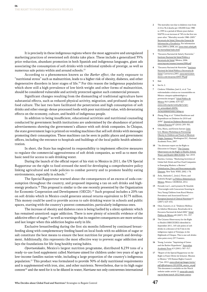It is precisely in these indigenous regions where the most aggressive and unregulated marketing practices of sweetened soft drinks take place. These include a generalized 35% price reduction, abundant promotion in both Spanish and indigenous languages, giant ads associating the consumption of soft drinks with traditional symbols of prestige, as well as numerous sale points within and around schools.15

According to a phenomenon known as the *Barker effect*, the early exposure to "nutritional stress" such as malnutrition, leads to a higher risk of obesity, diabetes, and other degenerative disorders in later stages of life.16 For this reason the indigenous populations which show still a high prevalence of low birth weight and other forms of malnutrition, should be considered vulnerable and actively protected against such commercial pressure.

Significant changes resulting from the dismantling of traditional agriculture have substantial effects, such as reduced physical activity, migration, and profound changes in food culture. The last two have facilitated the penetration and high consumption of soft drinks and other energy-dense processed foods with poor nutritional value, with devastating effects on the economy, culture, and health of indigenous people.

In addition to being insufficient, educational activities and nutritional counseling conducted by government health institutions are undermined by the abundance of printed advertisements showing the government's alliance with soft drink companies. In Chiapas, the state government logo is printed on vending machines that sell soft drinks with messages promoting their consumption. These machines can be seen in public places and government offices, including the entrance to hospitals and buildings of the local public health administration.

In short, the State has neglected its responsibility to implement effective measures to regulate the commercial aggressiveness of soft drink companies, as well as to meet the basic need for access to safe drinking water.

During the launch of the official report of his visit to Mexico in 2011, the UN Special Rapporteur on the right to food stressed the need for developing a comprehensive policy linking agricultural and trade policies to combat poverty and to promote healthy eating environments, especially in schools.17

The Special Rapporteur warned about the consequences of an excess of soda consumption throughout the country, and proposed imposing a tax on soft drinks and highenergy products.<sup>18</sup> This proposal is similar to the one recently presented by the Organization for Economic Cooperation and Development (OECD).19 Such proposal includes a 20% tax on soft drinks which in Mexico could generate annual returns equivalent to \$175 million. This money could be used to provide access to safe drinking water in schools and public spaces, starting with the country's poorest communities, particularly indigenous ones.

The increase of obesity and diabetes rates is being fuelled by a silent epidemic which has remained unnoticed: sugar addiction. There is now plenty of scientific evidence of the addictive effect of sugar,<sup>20</sup> as well as warnings that its negative consequences are more serious and last longer when this addiction begins early in life.

Exclusive breastfeeding during the first six months followed by continued breastfeeding along with complementary feeding based on local foods with no addition of sugar or salt constitute the best means to ensure the best nutrition for proper growth and development. Additionally, this represents the most effective way to prevent sugar addiction and lays the foundations for life-long healthy eating habits.

Oportunidades, Mexico's largest nutrition programme, distributed 8,239 tons of a ready-to-use food supplement called Nutrisano aimed for children under two years of age in low-income families nation-wide, including a large proportion of the country's indigenous population.21 This product was formulated to provide 30% of daily nutritional requirements and is supplemented with iron, zinc, and other nutrients. Nevertheless, due to its high sugar content<sup>22</sup> and the need for it to be diluted in water, *Nutrisano* not only contravenes international

- 2 The mortality rate due to diabetes rose from 21.8 to 36.2 deaths per 100,000 from 1980 to 1995 in a period of fifteen years before NAFTA to an increase of 74% in the first ten years after. "Mortality records 1980–2005." Secretaría de Salud, Dirección General de Información y Estadística. For information from 2000 to 2008, see: [www.sinais.salud.gob.](www.sinais.salud.gob.mx/mortalidad/index.html) [mx/mortalidad/index.html](www.sinais.salud.gob.mx/mortalidad/index.html).
- 3 "Encuesta Nacional de Salud y Nutrición." Instituto Nacional de Salud Pública y Secretaría de Salud. México, 2006. <www.insp.mx/ensanut/ensanut2006.pdf>.
- 4 "Encuesta Nacional de Nutrición." Instituto Nacional de Salud Pública y Secretaría de Salud. Cuernavaca, 2001. [www.nutricionen](www.nutricionenmexico.com/encuestas/ENN-99.pdf)[mexico.com/encuestas/ENN-99.pdf](www.nutricionenmexico.com/encuestas/ENN-99.pdf).
- 5 Ibid.
- 6 See fn. 2.
- 7 Córdova-Villalobos, José A., et al. "Las enfermedades crónicas no transmisibles en México: sinopsis epidemiológica y prevención integral." Salud Pública de México 50.5 (2008): 419–427. [www.scielo.org.mx/scielo.php?script=](www.scielo.org.mx/scielo.php?script=sci_arttext&pid=S0036-36342008000500015&lng=es) [sci\\_arttext&pid=S0036-](www.scielo.org.mx/scielo.php?script=sci_arttext&pid=S0036-36342008000500015&lng=es) [36342008000500015&lng=es](www.scielo.org.mx/scielo.php?script=sci_arttext&pid=S0036-36342008000500015&lng=es).
- 8 Zhang, Ping, et al. "Global Healthcare and Expenditure on Diabetes for 2010 and 2030". Journal on Diabetes Research and Clinical Practice 87 (2010): 293–301.
- 9 Oria, Maria, and Kristin Sawyer. Joint U.S.-Mexico Workshop on Preventing Obesity in Children and Youth of Mexican Origin: Summary. Washington D.C.: National Academic Press, 2007.
- 10 "An alternate report on the Right to Education in Chiapas." The Citizens Observatory on the Right to Health, School, Water and Health OBSCIUDES. Apr. 2010.
- 11 Hawkes, Corinna. "Marketing Activities of Global Soft Drink and Fast Food Companies in Emerging Markets: a Review." Globalization, Diets and Noncommunicable Diseases. New York: WHO, 2002. i-78.
- 12 Ávila, Abelardo C., Jesús J. Flores, and Gabriela Rangel. La Política Alimentaria en México. México: CEDRSSA, 2012.
- 13 Fernald, Lia C., and Lynnette M. Neufeld. "Overweight with Concurrent Stunting in Very Young Children from Rural Mexico: Prevalence and Associated Factors." European Journal of Clinical Nutrition 61 (2007): 623–632.
- 14 Olaíz, Gustavo, et al. "Diabetes Mellitus en Adultos Mexicanos. Resultados de la Encuesta Nacional de Salud 2000." Salud Pública de México 49 (2007): 331–337.
- 15 The Citizens Observatory for the Right to Health (OBSCIUDES) identified in September 2011, 165 sale points of soft drinks in a distance of 42.5 km in the indigenous region of Tenejapa, in the Highlands of Chiapas. This is one soft drinks sales point every 257.5 meters.
- 16 Young, Lorraine. "Imprinting of Genes and the Barker Hypothesis." Australian Academic Press 4.5 (2001): 307–317.
- 17 "Report of the Special Rapporteur on the Right to Food, Olivier de Schutter. Mission to Mexico." UN Human Rights Council. 17 Jan. 2012. [www.srfood.org/images/stories/](www.srfood.org/images/stories/pdf/officialreports/20120306_mexico_en.pdf) [pdf/officialreports/20120306\\_mexico\\_en.pdf](www.srfood.org/images/stories/pdf/officialreports/20120306_mexico_en.pdf). This document is available on the Watch website under article 12: **[www.rtfn-watch.](http://www.rtfn-watch.org/en/home/watch-2012/main-sources)** [org/en/home/watch-2012/main-sources](http://www.rtfn-watch.org/en/home/watch-2012/main-sources).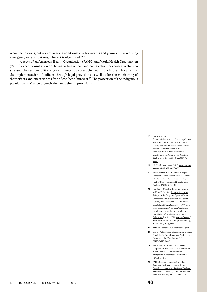recommendations, but also represents additional risk for infants and young children during emergency relief situations, where it is often used.<sup>23,24</sup>

A recent Pan American Health Organization (PAHO) and World Health Organization (WHO) expert consultation on the marketing of food and non-alcoholic beverages to children stressed the responsibility of governments to protect the health of children. It called for the implementation of policies through legal provisions as well as for the monitoring of their effects and effectiveness free of conflict of interest.<sup>25</sup> The protection of the indigenous population of Mexico urgently demands similar provisions.

18 Hawkes, op. cit.

For more information on the concept known as 'Coca-Colisation' see: Toribio, Laura. "Desayunan con refresco el 70% de niños rurales." Excelsior. 8 Mar. 2012. [www.excelsior.com.mx/index.php?m=](www.excelsior.com.mx/index.php?m=nota&seccion=tendencia-lo-mas-leido&cat=412&id_nota=816606#.T1jC2gT9OWw.mailto) [nota&seccion=tendencia-lo-mas-leido&cat=](www.excelsior.com.mx/index.php?m=nota&seccion=tendencia-lo-mas-leido&cat=412&id_nota=816606#.T1jC2gT9OWw.mailto) [412&id\\_nota=816606#.T1jC2gT9OWw.](www.excelsior.com.mx/index.php?m=nota&seccion=tendencia-lo-mas-leido&cat=412&id_nota=816606#.T1jC2gT9OWw.mailto) [mailto](www.excelsior.com.mx/index.php?m=nota&seccion=tendencia-lo-mas-leido&cat=412&id_nota=816606#.T1jC2gT9OWw.mailto).

- 19 OECD, Obesity Update 2012. [www.oecd.org/](www.oecd.org/dataoecd/1/61/49716427.pdf) [dataoecd/1/61/49716427.pdf](www.oecd.org/dataoecd/1/61/49716427.pdf).
- 20 Avena, Nicole, et al. "Evidence of Sugar Addiction: Behavioural and Neurochemical Effects of Intermittent, Excessive Sugar Intake." Neuroscience and Biobehavioral Reviews 32 (2008): 20–39.
- 21 Hernández, Mauricio, Bernardo Hernández, and Jose E. Urquieta. Evaluación externa de impacto del Programa Oportunidades. Cuernavaca: Instituto Nacional de Salud Pública, 2006. [www.sedesol.gob.mx/work/](www.sedesol.gob.mx/work/models/SEDESOL/Resource/1650/1/images/salud_educacion.pdf) [models/SEDESOL/Resource/1650/1/images/](www.sedesol.gob.mx/work/models/SEDESOL/Resource/1650/1/images/salud_educacion.pdf) [salud\\_educacion.pdf](www.sedesol.gob.mx/work/models/SEDESOL/Resource/1650/1/images/salud_educacion.pdf); see also: "Suplementos alimenticios, auditoría financiera y de cumplimiento." Auditoría Superior de la Federación. Mexico, 2010. [www.asf.gob.mx/](www.asf.gob.mx/Trans/Informes/IR2010i/Grupos/Desarrollo_Social/2010_0926_a.pdf) [Trans/Informes/IR2010i/Grupos/Desarrollo\\_](www.asf.gob.mx/Trans/Informes/IR2010i/Grupos/Desarrollo_Social/2010_0926_a.pdf) [Social/2010\\_0926\\_a.pdf](www.asf.gob.mx/Trans/Informes/IR2010i/Grupos/Desarrollo_Social/2010_0926_a.pdf).
- 22 Nutrisano contains 104 Kcals per 44 grams.
- 23 Dewey, Kathryn, and Chessa Lutter. Guiding Principles for Complementary Feeding of the Breastfed Child. Washington, D.C.: PAHO-WHO, 2007.
- 24 Arana, Marcos. "Cuando la ayuda lastima: Las prácticas inadecuadas de alimentación infantil durante las situaciones de emergencia." Cuadernos de Nutrición 2 (2010): 57–64.
- 25 PAHO. Recommendations from a Pan American Health Organization Expert Consultation on the Marketing of Food and Non-alcoholic Beverages to Children in the Americas. Washington D.C.: PAHO, 2011.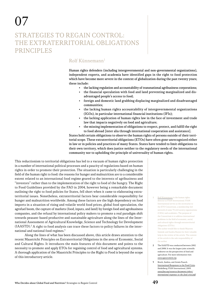# Strategies to Regain Control: the Extraterritorial Obligations **PRINCIPLES**

## $R$ olf Künnemann<sup>1</sup>

Human rights defenders (including intergovernmental and non-governmental organizations), independent experts, and academia have identified gaps in the right to food protection which have become more severe in the context of globalization during the past twenty years; these include:

- the lacking regulation and accountability of transnational agribusiness corporations;
- the financial speculation with food and land preventing marginalized and disadvantaged people's access to food;
- foreign and domestic land grabbing displacing marginalized and disadvantaged communities;
- the lacking human rights accountability of intergovernmental organizations (IGOs), in particular international financial institutions (IFIs);
- the lacking application of human rights law in the face of investment and trade law that impacts negatively on food and agriculture;
- the missing implementation of obligations to respect, protect, and fulfill the right to food abroad [inter alia through international cooperation and assistance].

States hold certain obligations to observe the human rights of persons outside of their territorial scope. These extraterritorial obligations (ETOs) have often gone unrecognized either in law or in policies and practices of many States. States have tended to limit obligations to their own territory, which does justice neither to the regulatory needs of the international community nor to upholding the principle of universality of human rights.

This reductionism to territorial obligations has led to a vacuum of human rights protection in a number of international political processes and a paucity of regulations based on human rights in order to promote their protection. The situation is particularly challenging in the field of the human right to food: the reasons for hunger and malnutrition are to a considerable extent related to an international food regime geared to the interests of agribusiness and "investors" rather than to the implementation of the right to food of the hungry. The Right to Food Guidelines provided by the FAO in 2004, however being a remarkable document outlining the right to food policies for States, fell short when it came to elaborating extraterritorial issues. Nonetheless, extraterritorial factors bear considerable responsibility for hunger and malnutrition worldwide. Among these factors are the high dependency on food imports in a situation of rising and volatile world food prices, global food speculation, the agrofuel boom, the capture of markets (food, inputs, and land) by foreign food and agrobusiness companies, and the refusal by international policy makers to promote a real paradigm shift towards peasant-based productive and sustainable agriculture along the lines of the International Assessment of Agricultural Knowledge, Science and Technology for Development  $(IAASTD).<sup>2</sup>$  A right to food analysis can trace these factors to policy failures in the international and national food regimes.3

Along the lines of what has been discussed above, this article draws attention to the recent Maastricht Principles on Extraterritorial Obligations in the area of Economic, Social and Cultural Rights. It introduces the main features of this document and points to the necessity to promote and apply ETOs for regaining control of food and agricultural systems. A thorough application of the Maastricht Principles to the Right to Food is beyond the scope of this introductory article.

- Rolf Künnemann is the human rights director at FIAN International. FIAN International serves as the secretariat to the ETO Consortium, a membership-led network of some 70 civil society organizations (CSOs) and academics. The purpose of the Consortium is to address international problems in the field of economic, social, and cultural rights through extraterritorial obligations (ETOs). The author would like to thank Maarten Immink and Sandra Ratjen for their valuable help in the review of the article. The content of the article is the sole responsibility of the author
- 2 The IAASTD was conducted between 2002 and 2008. It was the largest joint scientific endeavor on the perspectives of food and agriculture. For more information visit: <www.agassessment.org>.
- 3 Brock, Andrea, and Armin Paasch. International Responses to the Food Crisis. Heidelberg: FIAN International, 2009. [www.fian.org/resources/documents/others/](www.fian.org/resources/documents/others/international-responses-to-the-food-crisis/pdf) [international-responses-to-the-food-crisis/pdf](www.fian.org/resources/documents/others/international-responses-to-the-food-crisis/pdf).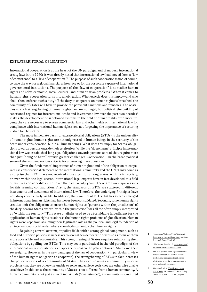#### Extraterritorial obligations

International cooperation is at the heart of the UN paradigm and of modern international treaty law: in the 1960s it was already noted that international law had moved from a "law of coexistence" to a "law of cooperation."4 The purpose of such cooperation is not, of course, to pave the way for a global financial aristocracy or for the corporate capture of international governmental institutions. The purpose of the "law of cooperation" is to realize human rights and solve economic, social, cultural and humanitarian problems.<sup>5</sup> When it comes to human rights, cooperation turns into an obligation. What exactly does this imply—and who shall, then, enforce such a duty? If the duty to cooperate on human rights is breached, the community of States will have to provide the pertinent sanctions and remedies. The obstacles to such strengthening of human rights law are not legal, but political: the building of sanctioned regimes for international trade and investment law over the past two decades<sup>6</sup> makes the development of sanctioned systems in the field of human rights even more urgent; they are necessary to screen commercial law and other fields of international law for compliance with international human rights law, not forgetting the importance of restoring justice for the victims.

The most immediate basis for extraterritorial obligations (ETOs) is the universality of human rights: human rights are not only vested in human beings in the territory of the State under consideration, but in all human beings. What does this imply for States' obligations towards persons outside their territories? While the "do no harm" principle in international law was established long ago, obligations towards persons abroad that require more than just "doing no harm" provide greater challenges. Cooperation—in the broad political sense of the word—provides criteria for answering these questions.

Given the fundamental importance of human rights (and of the obligation to cooperate) as constitutional elements of the international community and the UN, it may come as a surprise that ETOs have not received more attention among States, within civil society, or even within the legal sector. International legal experts have in fact developed this field of law to a considerable extent over the past twenty years. There are two major reasons for this seeming contradiction. Firstly, the standards on ETOs are scattered in different instruments and documents of international law. Therefore, the underlying Principles have not always been clearly visible. In addition, the structure of ETOs that has already emerged in international human rights law has never been consolidated. Secondly, some human rights treaties limit the obligation to ensure human rights to "persons within the jurisdiction" of the duty-bearing States, where "within the jurisdiction" was all too often simply interpreted as "within the territory." This state of affairs used to be a formidable impediment for the application of human rights to address the human rights problems of globalization. Human rights were kept from assuming their legitimate role as the political and legal foundation of an international social order where everybody can enjoy their human rights.

Regaining control over major policy fields with a strong global component, such as food and nutrition policies, is necessary to strengthen democratic States so as to make them more accessible and accountable. This strengthening of States requires reinforcing their obligations by spelling out ETOs. This may seem paradoxical in the old paradigm of the international law of coexistence, as it appears to weaken the policy options of States and their sovereignty. However, in the new paradigm of the law of cooperation $^7$  (in particular in view of the human rights obligation to cooperate), the strengthening of ETOs in fact increases the policy options of a community of States: they can now—as a community—solve problems that they are otherwise unable to solve and achieve goals they are otherwise unable to achieve. In this sense the community of States is not different from a human community. A human community is not just a sum of individuals ("coexistence"); a community is structured

- 4 Friedmann, Wolfgang. The Changing Structure of International Law. London: Stevens & Sons, 1964. 60.
- 5 UN Charter. Article 1.3. [www.un.org/en/](www.un.org/en/documents/charter/chapter1.shtml) [documents/charter/chapter1.shtml](www.un.org/en/documents/charter/chapter1.shtml).
- 6 The WTO, other trade agreements and bilateral investment treaties include mechanisms that provide judicial or arbitration procedures that can lead to hefty and costly sanctions.
- 7 Kimminich, Otto. Einführung in das Völkerrecht. München: KG Saur Verlag Gmbh & Co, 1987. 111, 320, supra n. 2.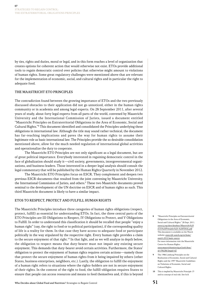by ties, rights and duties, moral or legal, and in this form reaches a level of organization that creates options for coherent action that would otherwise not exist. ETOs provide additional tools to regain democratic control over policies that otherwise might amount to violations of human rights. Some great regulatory challenges were mentioned above that are relevant for the implementation of economic, social, and cultural rights and in particular the right to adequate food.

#### The Maastricht ETO Principles

The contradiction found between the growing importance of ETOs and the two previously discussed obstacles to their application did not go unnoticed, either in the human rights community or in academia and among legal experts. On 28 September 2011, after several years of study, about forty legal experts from all parts of the world, convened by Maastricht University and the International Commission of Jurists, issued a document entitled "Maastricht Principles on Extraterritorial Obligations in the Area of Economic, Social and Cultural Rights."8 This document identified and consolidated the Principles underlying these obligations in international law. Although the title may sound rather technical, the document has far-reaching implications and paves the way for human rights to assume their legitimate role as basic international law. The Principles provide the so desirable consolidation mentioned above, allow for the much needed regulation of international global activities and operationalize the duty to cooperate.

The Maastricht ETO Principles are not only significant as a legal document, but are of great political importance. Everybody interested in regaining democratic control in the face of globalization should study it—civil society, governments, intergovernmental organizations, and business leaders. Those interested in a deeper legal analysis should consult the legal commentary that will be published by the Human Rights Quarterly in November 2012.

The Maastricht ETO Principles focus on ESCR. They complement and deepen two previous ESCR-documents that resulted from the joint convening by Maastricht University, the International Commission of Jurists, and others.<sup>9</sup> These two Maastricht documents proved seminal to the development of the UN doctrine on ESCR and of human rights as such. This third Maastricht document is likely to have a similar impact.

#### ETOs to Respect, Protect and Fulfill Human Rights

The Maastricht Principles introduce three categories of human rights obligations (respect, protect, fulfill) as essential for understanding ETOs. In fact, the three central parts of the ETO Principles are III Obligations to Respect, IV Obligations to Protect, and V Obligations to Fulfill. In order to understand this classification it should be recalled that people "enjoy a human right" (say, the right to food or to political participation), if the corresponding quality of life is a reality for them. In that case they have access to adequate food or participate politically in the way stipulated by the respective right. Every human right provides a claim to the secure enjoyment of that right.<sup>10</sup> In that light, and as we will analyze in depth below, the obligation to respect means that duty-bearer must not impair any existing secure enjoyment. This demands that duty-bearer avoid certain activities. Furthermore, the States' obligation to protect the enjoyment of human rights requires certain actions—namely those that protect the secure enjoyment of human rights from it being impaired by others (other States, business enterprises, neighbors, etc.). Lastly, the obligation to fulfill the enjoyment of a human right refers to situations where the rights-holders are not in secure enjoyment of their rights. In the context of the right to food, the fulfill-obligation requires States to ensure that people can access resources and means to feed themselves and, if this is beyond

- 8 "Maastricht Principles on Extraterritorial Obligations in the Area of Economic, Social and Cultural Rights." 28 Sept. 2011. [www.icj.org/dwn/database/Maastricht%20](www.icj.org/dwn/database/Maastricht%20ETO%20Principles%20-%20FINAL.pdf) [ETO%20Principles%20-%20FINAL.pdf](www.icj.org/dwn/database/Maastricht%20ETO%20Principles%20-%20FINAL.pdf). This document is available on the Watch website: [www.rtfn-watch.org/en/home/](http://www.rtfn-watch.org/en/home/watch-2012/main-sources) [watch-2012/main-sources](http://www.rtfn-watch.org/en/home/watch-2012/main-sources). For more information visit the Maastricht Centre for Human Rights: [www.maastrichtuniversity.nl/web/show/](www.maastrichtuniversity.nl/web/show/id=596286/langid=42) [id=596286/langid=42](www.maastrichtuniversity.nl/web/show/id=596286/langid=42).
- The 1986 Limburg Principles on the Realization of Economic, Social and Cultural Rights and the 1997 Maastricht Guidelines on Violations of Economic, Social and Cultural Rights.
- 10 This is implied by Maastricht Principle 13 and its concept of real risk. See fn.8.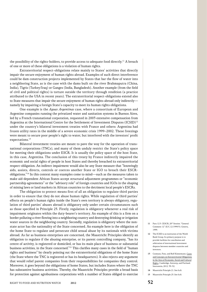the possibility of the rights-holders, to provide access to adequate food directly.<sup>11</sup> A breach of one or more of these obligations is a violation of human rights.

Extraterritorial respect-obligations relate mainly to States' activities that directly impair the secure enjoyment of human rights abroad. Examples of such direct interference could be dam construction projects implemented by States that bar the flow of water into a neighboring State, as is the case with the dams built on the river Brahmaputra (China, India), Tigris (Turkey/Iraq) or Ganges (India, Bangladesh). Another example (from the field of civil and political rights) is torture outside the territory through rendition (a practice attributed to the USA in recent years). The extraterritorial respect-obligations extend also to State measures that impair the secure enjoyment of human rights abroad only indirectly namely by impairing a foreign State's capacity to meet its human rights obligations.

One example is the *Aquas Argentinas* case, where a consortium of European and Argentine companies running the privatized water and sanitation systems in Buenos Aires, led by a French transnational corporation, requested in 2003 extensive compensation from Argentina at the International Centre for the Settlement of Investment Disputes (ICSID)12 under the country's bilateral investment treaties with France and others: Argentina had frozen utility rates in the middle of a severe economic crisis 1999–2002. These freezings were meant to secure poor people's right to water, but interfered with the investors' profit expectations.<sup>13</sup>

Bilateral investment treaties are meant to pave the way for the operation of transnational corporations (TNCs), and many of them unduly restrict the State's policy space for meeting their obligations under ESCR. It is usually the policy space of the host State, in this case, Argentina. The conclusion of this treaty by France indirectly impaired the economic and social rights of people in host States and thereby breached its extraterritorial respect-obligation. An indirect impairment would also be any State measure that "knowingly aids, assists, directs, controls or coerces another State or IGO to breach their ESCRobligations."14 In this context many examples come to mind—such as the measures taken to make aid-dependent African States accept structural adjustment programmes or "economic partnership agreements" or the "advisory role" of foreign countries and IGOs in the shaping of mining laws or land markets in African countries to the detriment local people's ESCRs.

The obligation to protect means first of all an obligation to regulate third parties in order to ensure that they do not abuse human rights. While regulation of third parties' effects on people's human rights inside the State's own territory is always obligatory, regulation of third parties' abuses abroad is obligatory only under certain circumstances such as those specified in Principle 25. Firstly, regulation is obligatory whenever a real risk of impairment originates within the duty-bearer's territory. An example of this is a firm on a border polluting a river flowing into a neighboring country and destroying drinking or irrigation water sources in the neighboring country. Secondly, regulation is obligatory where the nonstate actor has the nationality of the State concerned. An example here is the obligation of the home State to regulate and persecute child sexual abuse by its nationals with victims abroad. As far as business enterprises are concerned, the Maastricht Principles identify an obligation to regulate if the abusing enterprise, or its parent controlling company, "has its centre of activity, is registered or domiciled, or has its main place of business or substantial business activities, in the State concerned."15 This clarifies many cases in the field of "human rights and business" by clearly pointing out the extraterritorial obligations of the home State (the State where the TNC is registered or has its headquarters). It also rejects any argument that would relief parent companies from their responsibilities for companies they control. Moreover, it goes beyond the obligations of home States, but includes States where the TNC has substantive business activities. Thereby, the Maastricht Principles provide a broad basis for protection against agrobusiness corporations with a number of States obliged to exercise

- 11 Para 12.5. CESCR, 20<sup>th</sup> Session. "General Comment 12" (E/C.12/1999/5). Geneva, 1999.
- 12 The ICSID is an institution of the World Bank Group. Its primary purpose is to provide facilities for conciliation and arbitration of international investment disputes between member countries and investors.
- 13 Coomans, Fons, and Rolf Künnemann. Cases and Concepts on Extraterritorial Obligations in the Area of Economic, Social and Cultural Rights. Cambridge, Antwerp, and Portland: Intersentia, 2012. 39–52.
- 14 Maastricht Principle 21. See fn.8.
- 15 Maastricht Principle 25. See fn.8.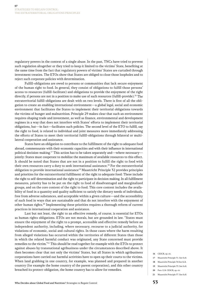regulatory powers in the context of a single abuse. In the past, TNCs have tried to prevent such regulation altogether or they tried to keep it limited to the victims' State, benefiting at the same time from the fact that regulatory powers of victims' States are curtailed through investment treaties. The ETOs show that States are obliged to close those loopholes and to reject such corporate policies with determination.

Fulfill-obligations are owed to persons or communities that lack secure enjoyment of the human right to food. In general, they consist of obligations to fulfill those persons' access to resources (fulfill-facilitate) and obligations to provide the enjoyment of the right directly, if persons are not in a position to make use of such resources (fulfill-provide).<sup>16</sup> The extraterritorial fulfill-obligations are dealt with on two levels. There is first of all the obligation to create an enabling international environment—a global legal, social and economic environment that facilitates the States to implement their territorial obligations towards the victims of hunger and malnutrition. Principle 29 makes clear that such an environment requires shaping trade and investment, as well as finance, environmental and development regimes in a way that does not interfere with States' efforts to implement their territorial obligations, but—in fact—facilitates such policies. The second level of the ETO to fulfill, say the right to food, is related to individual and joint measures more immediately addressing the efforts of States to meet their territorial fulfill-obligations through bilateral or multilateral cooperation and assistance.

States have an obligation to contribute to the fulfillment of the right to adequate food abroad, commensurate with their economic capacities and with their influence in international political decision-making.17 This action has to be taken separately and—where necessary jointly: States must cooperate to mobilize the maximum of available resources to this effect. It should be noted that States that are not in a position to fulfill the right to food with their own resources carry a duty to seek international assistance.<sup>18</sup> For the extraterritorial obligation to provide international assistance19 Maastricht Principle 32 provides principles and priorities for the extraterritorial fulfillment of the right to adequate food: These include the right to self-determination and the right to participate in decision making. In all fulfillment measures, priority has to be put on the right to food of disadvantaged and marginalized groups, and on the core content of the right to food. This core content includes the availability of food in a quantity and quality sufficient to satisfy the dietary needs of individuals, free from adverse substances, and acceptable within a given culture—and the accessibility of such food in ways that are sustainable and that do not interfere with the enjoyment of other human rights.20 Implementing these priorities requires a thorough reform of current practices in international cooperation and assistance.

Last but not least, the right to an effective remedy, of course, is essential for ETOs as human rights obligations. ETOs are not morals, but are grounded in law. "States must ensure the enjoyment of the right to a prompt, accessible and effective remedy before an independent authority, including, where necessary, recourse to a judicial authority, for violations of economic, social and cultural rights. In those cases where the harm resulting from alleged violations has occurred within the territories of different States than those in which the related harmful conduct was originated, any State concerned must provide remedies to the victim."21 This should be read together for example with the ETOs to protect against abuses by transnational agribusiness under the circumstances described above. It then becomes clear that not only the victims' States, but all States in which agribusiness corporations have carried out harmful activities have to open up their courts to the victims. When land grabbing in one country, for example, was planned and prepared in another country (for example the home country of the parent corporation), and this other country breached its protect-obligation, the home country has to allow for remedies.

- 16 CESCR, op. cit.
- 17 Maastricht Principle 31. See fn.8.
- 18 Maastricht Principle 34 See fn.8.
- 19 Maastricht Principle 33. See fn.8.
- 20 Para 12.8. CESCR, op. cit.
- 21 Maastricht Principle 37. See fn.8.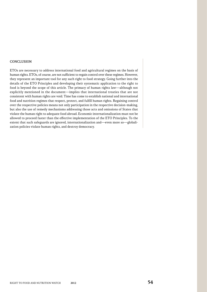#### **CONCLUSION**

ETOs are necessary to address international food and agricultural regimes on the basis of human rights. ETOs, of course, are not sufficient to regain control over these regimes. However, they represent an important tool for any such right to food strategy. Going further into the details of the ETO Principles and developing their systematic application to the right to food is beyond the scope of this article. The primacy of human rights law—although not explicitly mentioned in the document—implies that international treaties that are not consistent with human rights are void. Time has come to establish national and international food and nutrition regimes that respect, protect, and fulfill human rights. Regaining control over the respective policies means not only participation in the respective decision-making, but also the use of remedy mechanisms addressing those acts and omissions of States that violate the human right to adequate food abroad. Economic internationalization must not be allowed to proceed faster than the effective implementation of the ETO Principles. To the extent that such safeguards are ignored, internationalization and—even more so—globalization policies violate human rights, and destroy democracy.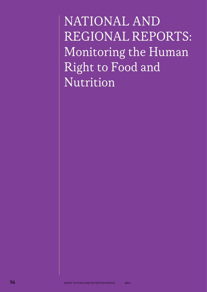NATIONAL AND Regional Reports: Monitoring the Human Right to Food and Nutrition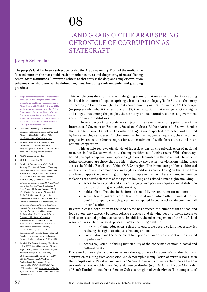# 08

## Land Grabs of the Arab Spring: Chronicle of Corruption as **STATECRAFT**

## Joseph Schechla1

The people's land has been a subject central to the Arab awakening. Much of the media have focused more on the mass mobilization in urban centers and the priority of reestablishing central State institutions. However, a subtext to that story is the deep and complex corruption schemes that characterize the defunct regimes, including their endemic land grabbing practices.

- 1 Joseph Schechla is coordinator of the Middle East/North African Program of the Habitat International Coalition's Housing and Land Rights Network (HIC-HLRN). During 2011, he also served as representative of the UN High Commissioner for Human Rights in Tunisia. The author would like to thank Maarten Immink for his valuable help in the review of the article. The content of the article is the sole responsibility of the author.
- 2 UN General Assembly. "International Covenant on Economic, Social and Cultural Rights" (2200A XXI). 16 Dec. 1966. <www2.ohchr.org/english/law/cescr.htm>.
- 3 Articles 2.3 and 16. UN General Assembly. "International Covenant on Civil and Political Rights" (2200A XXI). 16 Dec. 1966. <www2.ohchr.org/english/law/ccpr.htm>.
- 4 ICESCR, op. cit. Article 13.
- 5 ICCPR, op. cit. Article 25.
- 6 Article 9.9. Committee on World Food Security, 38<sup>th</sup> (Special) Session. "Voluntary Guidelines on the Responsible Governance of Tenure of Land, Fisheries and Forests in the Context of National Food Security" (CFS 2012/38/2). Rome, 11 May 2012. <www.fao.org/docrep/meeting/025/md708e.pdf> (see article 5 of this Watch); Guideline 3: Free, Prior and Informed Consent (FPIC). "Civil Society Organizations' Proposals for the FAO Guidelines on Responsible Governance of Land and Natural Resources Tenure." Heidelberg: FIAN International, 2011. [www.fian.org/resources/documents/others/cso](www.fian.org/resources/documents/others/cso-proposals-fao-land-guidlines?set_language=en)[proposals-fao-land-guidlines?set\\_language=en](www.fian.org/resources/documents/others/cso-proposals-fao-land-guidlines?set_language=en); Tamang, Parshuram. An Overview of the Principle of Free, Prior and Informed Consent and Indigenous Peoples in International and Domestic Law and Practices. (Contribution to Workshop on Free, Prior and Informed Consent). New York: UN Department of Economic and Social Affairs, Division for Social Policy and Development, Secretariat of the Permanent Forum on Indigenous Issues. 17-19 Jan. 2005.
- 7 Article 8. UN General Assembly. "Resolution 217 A (III) Universal Declaration of Human Rights." Paris, 10 Dec. 1948. [www.un.org/en/](www.un.org/en/documents/udhr) [documents/udhr](www.un.org/en/documents/udhr); Article 2, para 3 (b). UN General Assembly, op. cit. fn. 3; and UN CESCR "Agenda Item 3: The Domestic Application of the Covenant, General comment No. 9" (E/C.12/1998/24). Geneva, 16 Nov.-4 Dec. 1998. [www.unhchr.ch/tbs/doc.](www.unhchr.ch/tbs/doc.nsf/0/4ceb75c5492497d9802566d500516036?Opendocument) [nsf/0/4ceb75c5492497d9802566d500516036?](www.unhchr.ch/tbs/doc.nsf/0/4ceb75c5492497d9802566d500516036?Opendocument) [Opendocument](www.unhchr.ch/tbs/doc.nsf/0/4ceb75c5492497d9802566d500516036?Opendocument).

This article considers four States undergoing transformation as part of the Arab Spring initiated in the form of popular uprisings. It considers the legally liable State as the entity defined by  $(1)$  the territory (land and its corresponding natural resources);  $(2)$  the people (or peoples) who inhabit the territory; and (3) the institutions that manage relations (rights and obligations) among the peoples, the territory, and its natural resources as government and other public institutions.

These aspects of statecraft are subject to the seven over-riding principles of the International Covenant on Economic, Social and Cultural Rights (Articles  $1-3$ ),<sup>2</sup> which guide the State to ensure that all of the enshrined rights are respected, protected and fulfilled by implementing self-determination, nondiscrimination, gender equality, the rule of law, progressive realization (nonretrogression), the maximum of available resources, and international cooperation.

This article reviews official-level investigations on the privatization of national resources in four States, which led to the impoverishment of their citizens. While the treatybound principles explain "how" specific rights are elaborated in the Covenant, the specific rights concerned are those that are highlighted by the pattern of violations taking place across the Middle East/North Africa (MENA) region. The immediate problems addressed in this report relate to common housing rights conditions across the region that arise from a failure to apply the over-riding principles of implementation. These amount to common violations of specific elements of the right to housing and related human rights including:

- access to public goods and services, ranging from poor water quality and distribution to urban planning as a public service;
- habitability of housing in the form of squalid living conditions for millions;
- secure tenure guaranteed by law, the violation of which often manifests in the denial of property through government-imposed forced evictions, destruction and/ or confiscation.

In certain cases, corruption in the land sector has affected the human right to food and food sovereignty directly by monopolistic practices and denying needy citizens access to land as an essential productive resource. In addition, the mismanagement of the State's land resources has violated related "process" rights, including rights to:

- information<sup>3</sup> and education<sup>4</sup> related to equitable access to land necessary for realizing the rights to adequate housing and food;
- participation<sup>5</sup> and the principle of free, prior, and informed consent of the affected populations;<sup>6</sup>
- access to justice, including justiciability of the concerned economic, social and cultural rights.7

Extreme human rights violations across the region are characteristic of the dramatic deprivation resulting from occupation and demographic manipulation of entire regions, as in the occupations of Palestine and Western Sahara. However, similar practices prevail within territorial States, notably involving Sudanese territories (e.g., Darfur and Nuba Mountains of South Kordofan) and Iran's Persian Gulf coast region of Arab Ahwaz. The composite of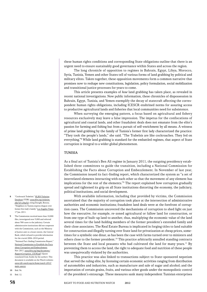these human rights conditions and corresponding State obligations outline that there is an urgent need to ensure sustainably good governance within States and across the region.

The long chronicle of opposition to regimes in Bahrain, Egypt, Libya, Morocco, Syria, Tunisia, Yemen and other States tell of various forms of land grabbing by political and military elites. Taken together, these opposition movements form a common narrative that promises now to reshape new constitutions, legislation, policy formulation, social mobilization and transitional justice processes for years to come.

This article presents examples of *how* land grabbing has taken place, as revealed in recent national investigations. Now public information, these chronicles of dispossession in Bahrain, Egypt, Tunisia, and Yemen exemplify the decay of statecraft affecting the correspondent human rights obligations, including ICESCR enshrined norms for assuring access to productive agricultural lands and fisheries that local communities need for subsistence.

When surveying the emerging pattern, a focus based on agricultural and fishery resources exclusively may leave a false impression. The impetus for the confiscations of agricultural and coastal lands, and other fraudulent deals does not emanate from the elite's passion for farming and fishing but from a pursuit of self-enrichment by all means. A witness of prime land grabbing by the family of Tunisia's former first lady characterized the practice: "They took the people's lands," she said. "The Trabelsis are like cockroaches. They fed on everything."<sup>8</sup> While land grabbing is standard for the embattled regimes, that aspect of State corruption is integral to a wider global phenomenon.

#### **TUNISIA**

As a final act of Tunisia's Ben Ali regime in January 2011, the outgoing presidency established three committees to guide the transition, including a National Commission for Establishing the Facts about Corruption and Embezzlement. In November of last year, the Commission issued its fact-finding report, which characterized the system as "a set of interrelated elements interacting with each other so that the movement of any element has implications for the rest of the elements."9 The report explained how corruption gradually spread and tightened its grip on all State institutions distorting the economy, the judiciary, political institutions, and social development.

With available information, including that provided by victims, the Commission ascertained that the majority of corruption took place at the intersection of administrative authorities and economic institutions; fraudulent land deals were at the forefront of corruption cases. The Commission uncovered the mechanisms of corruption to shed light on just how the executive, for example, re-zoned agricultural or fallow land for construction, or from one type of built-up land to another, thus, multiplying the economic value of the land several times for the land-holding members of the former president's extended family and their close associates. The Real Estate Bureau is implicated in forging titles to land suitable for construction and illegally turning over State land for privatization at cheap prices, sometimes for a symbolic one dinar, as has been the case with farms turned over to ministers and others close to the former president.<sup>10</sup> This practice arbitrarily annulled standing contracts between the State and local peasants who had cultivated the land for many years.<sup>11</sup> By preventing them to access the land, the right to adequate food and nutrition of these people was unequivocally violated by the authorities.

This practice was also linked to transactions subject to State-sponsored nepotism that served the ruling elite, by licensing certain economic activities ranging from distribution of automobiles and industries, such as manufacture and sale of sugar and alcohol; and the importation of certain grains, fruits, and various other goods under the monopolistic control of the president's entourage. These measures sank many independent Tunisian enterprises

- 8 "Cockroach Trabelsis." HLRN Violation Database (VDB). [www.hlrn.org/violation.](www.hlrn.org/violation.php?id=o2hqZQ) [php?id=o2hqZQ](www.hlrn.org/violation.php?id=o2hqZQ), citing Daraghi, Borzou. "Neighbors in Tunisia express disgust over former first lady's family." Los Angeles Times. 17 Jan. 2011.
- 9 The Commission received more than 10,000 files, investigated over 5,000 and referred about 300 cases to the judiciary. Certain administrative institutions did not cooperate with the Commission, such as the Ministry of Justice and, to a lesser extent, the Central Bank, which refused to provide information for the crucial 2006–2010 period. "National Fact-finding Commission Report." National Commission to Establish the Facts about Corruption and Embezzlement. Nov. 2011. [www.hlrn.org/img/documents/](www.hlrn.org/img/documents/RapportCorruption_CICM.pdf) [RapportCorruption\\_CICM.pdf](www.hlrn.org/img/documents/RapportCorruption_CICM.pdf). (Quote translated from Arabic by the author). This document is available on the Watch website: [www.rtfn-watch.org/en/home/watch-2012/](http://www.rtfn-watch.org/en/home/watch-2012/main-sources) [main-sources](http://www.rtfn-watch.org/en/home/watch-2012/main-sources)
- 10 Ibid. 56.
- 11 Ibid. 12.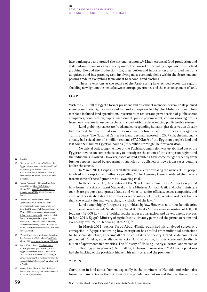into bankruptcy and eroded the national economy.<sup>12</sup> Much essential food production and distribution in Tunisia came directly under the control of the ruling clique not only by land grabbing. Beyond the production side, distribution and importation also formed part of a ubiquitous and integrated system involving most economic fields within the State, encompassing trade in everything from wheat to second-hand clothing.

These revelations at the source of the Arab Spring have echoed across the region, shedding new light on the nexus between corrupt governance and the mismanagement of land.

#### **EGYPT**

With the 2011 fall of Egypt's former president and his cabinet members, several trials pursued some prominent figures involved in land corruption led by the Mubarak clan. Their methods included land speculation, investment in real estate, privatization of public sector companies, construction, capital investment, public procurement, and maximizing profits from health-sector investments that coincided with the deteriorating public health system.

Land grabbing, real estate fraud, and corresponding human rights deprivation already had reached the level of national discourse well before opposition forces converged on Tahrir Square. The National Center for Land Use had reported in 2007 that the land mafia already had seized some 16 million feddans  $(67,200km^2)$  of the Egyptian people's land and lost some 800 billion Egyptian pounds (98€ billion) through illicit privatization.<sup>13</sup>

No official body along the lines of the Tunisian Commission was established out of the Egyptian revolution comprehensively to investigate the extent of the corruption regime and the individuals involved. However, cases of land grabbing have come to light recently from further reports leaked by government agencies or published as news from cases pending before the courts.

In March 2011, Egypt's Central Bank issued a letter revealing the names of 138 people involved in corruption and influence peddling.14 The Attorney General ordered their assets frozen; some of these figures are still awaiting trial.

In December 2011, the auditors of the New Urban Communities Authority reported how former President Husni Mubarak, Prime Minister Ahmad Nazif, and other ministers took State property and granted lands and villas to senior officials, select companies, and elites of other Arab States. These deals were the subject of direct executive orders at far less than the actual value and were, thus, in violation of the law.15

Land ownership by foreigners is prohibited by law. However, notorious beneficiaries of this legal breach include Saudi Prince Walīd Bin Talal's Mubarak-era acquisition of 100,000 feddans (42,008 ha) in the Toshka southern desert irrigation and development project. In June 2011, Egypt's Ministry of Agriculture ultimately permitted the prince to retain and eventually own 25,000 feddans (10,502 ha).<sup>16</sup>

In March 2011, author Faruq Abdul-Khaliq published his analyzed systematic corruption in Egypt, recounting how corruption has shifted from individual deviations to the social structure, affecting all entities of State and society. Grand-scale corruption permeated 16 fields, especially construction, land allocation, infrastructure and the distribution of apartments in new cities. The Ministry of Housing illicitly allocated land valued at 136.1 billion Egyptian pounds (16.6€ billion) to favored businessmen.<sup>17</sup> All such operations had the backing of the president himself, his ministers, and the premiers.<sup>18</sup>

#### **YEMEN**

Corruption in land across Yemen, especially in the provinces of Hudaida and Aden, also formed a main factor in the outbreak of the popular revolution and the overthrow of the

#### 12 Ibid. 13.

- 13 "Report on the 'Corruption' in Egypt: the Egyptian Government Has Allocated Land to Cronies Space Equal to an Area of 5 Arab Countries." Citizen Gate. Mar. 2012. <www.mwaten.net/?p=363>. (Available only in Arabic).
- 14 "Egypt: Names of 138 Personalities Who Looted Egypt." HIC-MENA News. 11 Mar. 2011. [www.hic-mena.org/arabic/](http://www.hic-mena.org/arabic/news.php?id=pHBkZg) [news.php?id=pHBkZg](http://www.hic-mena.org/arabic/news.php?id=pHBkZg). (Available only in Arabic).
- 15 "Report 755: Report of the Urban Communities Authority Reveals the Involvement of Sulaimān and Shafīq in State-land Grabbing." al-Ayam al-Masriyya. 22 Apr. 2012. [www.alayam-almasria.com/](http://www.alayam-almasria.com/default_ar.aspx?id=11488) [default\\_ar.aspx?id=11488](http://www.alayam-almasria.com/default_ar.aspx?id=11488). (Available only in Arabic); excerpts of the original document [www.ayam25.com/index.php?option=com\\_](www.ayam25.com/index.php?option=com_content&view=category&id=1:2010-12-09-22-46-00&layout=blog&Itemid=3) [content&view=category&id=1:2010-12-09-](www.ayam25.com/index.php?option=com_content&view=category&id=1:2010-12-09-22-46-00&layout=blog&Itemid=3) [22-46-00&layout=blog&Itemid=3](www.ayam25.com/index.php?option=com_content&view=category&id=1:2010-12-09-22-46-00&layout=blog&Itemid=3). (Available only in Arabic).
- 16 "Prince Alwaleed and Minister of Agriculture Sign Contract for Toshka Land." AMEinfo. 8 June 2011. <www.ameinfo.com/267536.html>.
- 17 Abd ul-Khaliq, Faruq. The Economics of Corruption in Egypt: How Egypt and Egyptians Became Corrupt (1974–2010). Cairo: al-Shuruq International Library, 2011. [www.hlrn.org/img/documents/corruption%20](www.hlrn.org/img/documents/corruption%20economic%20of%20egypt.pdf) [economic%20of%20egypt.pdf](www.hlrn.org/img/documents/corruption%20economic%20of%20egypt.pdf). (Available only in Arabic).
- 18 Namely, Prime Ministers Atif Ubaid and Ahmad Nazif, serving from 1999–2004 and 2004–2011, respectively.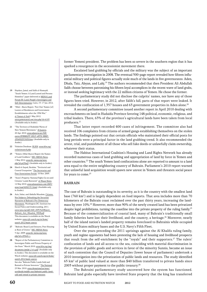- 19 Haydara, Jamal, and Salih al-Humaydi. "South Yemen: A Land Looted and Persons Homeless" paper delivered at MENA Land Forum III: Land, People's Sovereignty and Self-Determination. Cairo, 15–17 Jan. 2012.
- 20 "Hilal—Basra Report. 'Part One' Names [of] Looters of Residences and Government Establishments after the 1994 War." al-Yaman al-Said.1 May 2012. <www.yemensaeed.com/view.php?id=6105>. (Available only in Arabic).
- 21 "The Territory of Hodeidah Warns of New Yemeni Movement." Al Jazeera. 20 Apr. 2010. [www.aljazeera.net/NR/](www.aljazeera.net/NR/exeres/B3B8B2FF-DE25-4FF8-9BBD-2FA492D53430.htm) [exeres/B3B8B2FF-DE25-4FF8-9BBD-](www.aljazeera.net/NR/exeres/B3B8B2FF-DE25-4FF8-9BBD-2FA492D53430.htm)[2FA492D53430.htm](www.aljazeera.net/NR/exeres/B3B8B2FF-DE25-4FF8-9BBD-2FA492D53430.htm). (Available only in Arabic).
- 22 Violation Database. HLRN. [www.hlrn.org/](www.hlrn.org/violationsearch.php) [violationsearch.php](www.hlrn.org/violationsearch.php).
- 23 "Yemen: (Hilal-Basra) Report the Names of Land Grabbers." HIC-MENA News. 1 May 2012. [www.hic-mena.org/news.](http://www.hic-mena.org/news.php?id=pG9taQ) [php?id=pG9taQ](http://www.hic-mena.org/news.php?id=pG9taQ). (Available only in Arabic).
- 24 Sherif el-Sayed, Ibrahim. "Territorial and Coastal Usurpation." The Secretariat and Four Associations Forum. 10 Nov. 2005.
- 25 "State's Property: National Fights Go on until Citizens' Lands Restored." al-Wasat News. 12 May 2010. [www.alwasatnews.com/2805/](www.alwasatnews.com/2805/news/read/420213/1.html) [news/read/420213/1.html](www.alwasatnews.com/2805/news/read/420213/1.html). (Available only in Arabic).
- 26 Aziz, Sahar, and Abdulla Musalem. Citizens, Not Subjects: Debunking the Sectarian Narrative of Bahrain's Pro-Democracy Movement. Washington DC: Institute for Social Policy and Understanding, 2011. [www.ispu.org/pdfs/640\\_ISPU%20Report\\_](www.ispu.org/pdfs/640_ISPU%20Report_Bahrain_Aziz_Musalem_WEB.pdf) [Bahrain\\_Aziz\\_Musalem\\_WEB.pdf](www.ispu.org/pdfs/640_ISPU%20Report_Bahrain_Aziz_Musalem_WEB.pdf). This document is available on the Watch website: [www.rtfn-watch.org/en/home/](http://www.rtfn-watch.org/en/home/watch-2012/main-sources) [watch-2012/main-sources](http://www.rtfn-watch.org/en/home/watch-2012/main-sources).
- 27 "Bahrain: Royal Land Seizures, Poor Housing at Root of Unrest." HIC-MENA News. 3 Apr. 2009. [www.hic-mena.org/news.](www.hic-mena.org/news.php?id=o3FrbA==) [php?id=o3FrbA==](www.hic-mena.org/news.php?id=o3FrbA==).
- 28 "Report of the Parliamentary Committee to Investigate Public and Private Property of the State." March 2010. [www.hlrn.org/img/](www.hlrn.org/img/documents/amlak-2-4-t.pdf) [documents/amlak-2-4-t.pdf](www.hlrn.org/img/documents/amlak-2-4-t.pdf). (Available only in Arabic). This document is available on the Watch website: [www.rtfn-watch.org/en/home/](http://www.rtfn-watch.org/en/home/watch-2012/main-sources) [watch-2012/main-sources](http://www.rtfn-watch.org/en/home/watch-2012/main-sources). See also "Bahrain Public Lands Sold and Rented to Private Investors." The National. 25 Mar. 2010. [www.thenational.ae/news/](www.thenational.ae/news/worldwide/middle-east/bahraini-public-lands-sold-and-rented-to-private-investors) [worldwide/middle-east/bahraini-public-lands](www.thenational.ae/news/worldwide/middle-east/bahraini-public-lands-sold-and-rented-to-private-investors)[sold-and-rented-to-private-investors](www.thenational.ae/news/worldwide/middle-east/bahraini-public-lands-sold-and-rented-to-private-investors).

former Yemeni president. The problem has been so severe in the southern region that it has sparked a resurgence in the secessionist movement there.

Escalated land grabbing by officials and the military was the subject of an important parliamentary investigation in 2008. The eventual 500-page report revealed how fifteen influential military and political figures actually stole much of the lands in five governorates: Aden, Dhala, Taiz, Abyan, and Lahj.19 The authors recommended that then President Ali Abdullah Salih choose between patronizing his fifteen loyal accomplices in the recent wave of land grabs, or instead seeking legitimacy with the 22 million citizens of Yemen. He chose the former.

The parliamentary study did not disclose the culprits' names, nor have any of those figures been tried. However, in 2012, after Sālih's fall, parts of that report were leaked. It revealed the confiscation of 1,357 houses and 63 government properties in Aden alone.<sup>20</sup>

A second parliamentary committee issued another report in April 2010 dealing with encroachments on land in Hudaida Province favoring 148 political, economic, religious, and tribal leaders. There, 63% of the province's agricultural lands have been taken from local producers.<sup>21</sup>

That latter report recorded 400 cases of infringement. The committee also had received 106 complaints from citizens of armed gangs establishing themselves on the stolen lands. The findings pointed out that certain officials who maintained their official posts for long periods were a principal factor in the land grabbing trend. It also recommended the arrest, trial, and punishment of all those who sell fake deeds or unlawfully claim ownership, whatever their status.

The Habitat International Coalition's Housing and Land Rights Network has already recorded numerous cases of land grabbing and appropriation of land by force in Yemen and other countries.<sup>22</sup> The south Yemen land confiscations alone are reported to amount to a land area equal to the entire neighboring country of Bahrain. Parliament's 2010 report warned that unlawful land acquisition would spawn new unrest in Yemen and threaten social peace for years to come.<sup>23</sup>

#### **BAHRAIN**

The case of Bahrain is outstanding in its severity, as it is the country with the smallest land base (760 km<sup>2</sup>) and is largely dependent on food imports. That area includes more than 70 kilometers of the Bahrain coast reclaimed over the past thirty years, increasing the landmass by over 10%.<sup>24</sup> However, more than 90% of the newly created land has been privatized despite legal prohibitions, turning the coastline into the private property of the ruling family.<sup>25</sup> Because of the commercialization of coastal land, many of Bahrain's traditionally small family fisheries have lost their livelihood, and the country, a heritage.<sup>26</sup> Moreover, nearly half of the island nation's landed property remains foreclosed to Bahrainis while occupied by United States military bases and the U.S. Navy's Fifth Fleet.

Over the years preceding the 2011 uprisings against the Al Khalifa ruling family, youth and regime opponents had been protesting the lack of housing and livelihood prospects that result from the self-enrichment by the "royals" and their supporters.<sup>27</sup> The rulers' confiscation of lands and all access to the sea, coinciding with material discrimination in the provision of public goods and services in favor of the minority Sunnis, became an issue of such contention that the Council of Deputies (lower house of parliament) undertook a 2010 investigation into the privatization of public lands and resources. The study identified 65 km2 of public land valued at more than \$40 billion transferred to private hands since 2003 without proper payment to the public treasury.<sup>28</sup>

The Bahraini parliamentary study uncovered how the system has functioned. Bahraini land grabs especially have involved State property that the king has transferred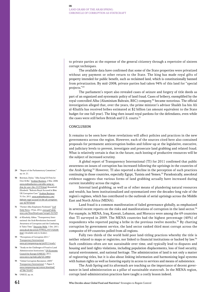to private parties at the expense of the general citizenry through a repertoire of sixteen corrupt techniques.

The available data have confirmed that some of the State properties were privatized without any payment or other return to the State. The king has made royal gifts of property intended for public benefit, such as reclaimed land, which is constitutionally banned from privatization. By mid-2008, private parties had taken 94% of this land for "special projects."29

The parliament's report also revealed cases of seizure and forgery of title deeds as part of an organized and systematic policy of land fraud. Cases of bribery, exemplified by the royal-controlled Alba (Aluminium Bahrain, BSC) company,<sup>30</sup> became notorious. The official investigation alleged that, over the years, the prime minister's advisor Shaikh Isa bin Ali al-Khalifa has received bribes estimated at \$2 billion (an amount equivalent to the State budget for one full year). The king then issued royal pardons for the defendants, even while the cases were still before British and U.S. courts.<sup>31</sup>

#### **CONCLUSION**

It remains to be seen how these revelations will affect policies and practices in the new governments across the region. However, each of the sources cited here also contained proposals for permanent anticorruption bodies and follow-up at the legislative, executive, and judiciary levels to prevent, investigate and prosecute land grabbing and related fraud. What is relatively certain is that in the future, such looting of productive resources will be the subject of increased scrutiny.

A global report of Transparency International (TI) for 2011 confirmed that public awareness on issues of corruption has increased following the uprisings in the countries of the Arab Spring.32 However, TI also reported a decline in the perception of such practices continuing in those countries, especially Egypt, Tunisia and Yemen.<sup>33</sup> Paradoxically, anecdotal evidence suggests that various forms of land grabbing actually have increased during current instability across the region.

Internal land grabbing, as well as of other means of plundering natural resources and wealth, has been institutionalized and systematized over the decades-long rule of the region's regimes, which has contributed to the outbreak of serial uprisings across the Middle East and North Africa (MENA).

Land fraud is a common manifestation of failed governance globally, as emphasized in several recent reports on the risks and manifestations of corruption in the land sector.<sup>34</sup> For example, in MENA, Iraq, Kuwait, Lebanon, and Morocco were among the 69 countries that TI surveyed in 2009. The MENA countries had the highest percentage (40%) of respondents who reported paying a bribe in the previous twelve months.<sup>35</sup> By charting corruption by government service, the land sector ranked third most corrupt across the composite of 69 countries polled from all regions.

Fully two thirds of the world hold poor land-titling practices whereby the title is neither related to maps or registries, nor linked to financial institutions or backed by law.<sup>36</sup> Such conditions often are not sustainable over time, and typically lead to disputes and housing and land rights violations, including population displacements, loss of food security, natural environment, and national heritage. The administration of land is not only a matter of registering titles, but it is also about linking information and harmonizing legal systems with human rights as well as fostering equity in access to services and means of subsistence.

The Arab Spring and its aftermath are teaching us the importance of decent governance in land administration as a pillar of sustainable statecraft. In the MENA region, corrupt land-administration practices have taught a costly lesson indeed.

- 29 "Report of the Parliamentary Committee." op. cit. 21.
- 30 Bowman, Dylan. "Alba Suing US Firm for Over \$1Bn." Arabian Business. 2 Mar. 2008. [www.arabianbusiness.com/alba-suing-us](www.arabianbusiness.com/alba-suing-us-firm-for-over-1bn-151370.html)[firm-for-over-1bn-151370.html](www.arabianbusiness.com/alba-suing-us-firm-for-over-1bn-151370.html); Broomhall, Elizabeth. "Bahrain Royal Accused in \$6m UK Corruption Case." Arabian Business. 31 Oct. 2011. [www.arabianbusiness.com/](www.arabianbusiness.com/bahrain-royal-accused-in-6m-uk-corruption-case-427874.html) [bahrain-royal-accused-in-6m-uk-corruption](www.arabianbusiness.com/bahrain-royal-accused-in-6m-uk-corruption-case-427874.html)[case-427874.html](www.arabianbusiness.com/bahrain-royal-accused-in-6m-uk-corruption-case-427874.html).
- 31 "Former Alba Employees Pardoned." Gulf Daily News. 19 Jan. 2012. www.qulf-daily[news.com/NewsDetails.aspx?storyid=321929](http://www.gulf-daily-news.com/NewsDetails.aspx?storyid=321929).
- 32 al-Khashaly, Abbas. "Transparency International: the Arab Revolutions Increased Awareness of Corruption and the Combating It Takes Time." Deutsche Welle. 1 Dec. 2011. [www.dw.de/dw/article/9799/0,,15571320,00.](www.dw.de/dw/article/9799/0,,15571320,00.html) [html](www.dw.de/dw/article/9799/0,,15571320,00.html). (Available only in Arabic).
- 33 "Perceptions of Corruption 2011." Transparency International. <www.cpi.transparency.org/cpi2011/results/>.
- 34 "Study on the Challenges of Fraud to Land Administration Institutions." UN Economic Council for Europe (UNECE). 2011. <www.unece.org/index.php?id=24802>.
- 35 "Global Corruption Barometer, 2009." Transparency International. 7. Figure 3. [www.transparency.org/content/download/](www.transparency.org/content/download/43788/701097) [43788/701097](www.transparency.org/content/download/43788/701097).
- 36 UNECE, op. cit.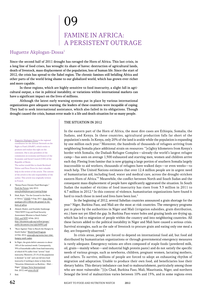# 09 Famine in Africa: A persistent outrage

### Huguette Akplogan-Dossa<sup>1</sup>

Since the second half of 2011 drought has ravaged the Horn of Africa. This last crisis, in a long line of food crises, has wrought its share of havoc: destruction of agricultural lands, death of livestock, mass displacement of the population, loss of human life. Since the start of 2012, the crisis has spread to the Sahel region. The chronic famines still befalling Africa and other parts of the world bring shame to our globalized world, which has grown ever richer and more capable.

In these regions, which are highly sensitive to food insecurity, a slight fall in agricultural output, a rise in political instability, or variations within international markets can have a significant impact on the lives of millions.

Although the latest early warning systems put in place by various international organizations gave adequate warning, the leaders of these countries were incapable of coping. They had to seek international assistance, which also failed in its obligations. Though drought caused the crisis, human error made it a life and death situation for so many people.

1 Huguette Akplogan-Dossa is the regional coordinator for the African Network on the Right to Food (ANoRF), which works to promote and realize this right on the continent. She is also president of the commission on economy and finance of the Economic and Social Council (CES) of the Republic of Benin. The author would like to thank Bernhard

Walter and Peter Prove for their valuable help in the review of the article. The content of the article is the sole responsibility of the author. This article was originally written in French.

- 2 "Kenya Faces Chronic Food Shortages." Feed the Future. July 2012. <www.feedthefuture.gov/country/kenya>.
- 3 Shah, Rajiv. "On the Ground in the Horn of Africa." USAID. 9 Aug. 2011. [http://blog.](http://blog.usaid.gov/2011/08/on-the-ground-in-the-horn-of-africa) [usaid.gov/2011/08/on-the-ground-in-the](http://blog.usaid.gov/2011/08/on-the-ground-in-the-horn-of-africa)[horn-of-africa](http://blog.usaid.gov/2011/08/on-the-ground-in-the-horn-of-africa).
- 4 Ahmed, Shukri, and Stanlake Samkange. "FAO/WFP Crop and Food Security Assessment Mission to South Sudan." FAO, and WPF. 8 Feb. 2012. [http://documents.wfp.org/stellent/groups/](http://documents.wfp.org/stellent/groups/public/documents/ena/wfp244901.pdf) [public/documents/ena/wfp244901.pdf](http://documents.wfp.org/stellent/groups/public/documents/ena/wfp244901.pdf).
- 5 "Race Against Time to Reach the Hungry in South Sudan." World Food Program. 22 Feb. 2012. [www.wfp.org/stories/race-time](www.wfp.org/stories/race-time-hungry-south-sudan)[hungry-south-sudan](www.wfp.org/stories/race-time-hungry-south-sudan).
- In Niger, the grain deficit amounts to about 18% of the national needs. Consequently, 35% of households suffer from food insecurity, of which 8.5% suffer from "severe" food insecurity. Moreover, 23.1% of the population is deemed "at risk" and can fall into food insecurity if nothing is done to help them. "Situation Alimentaire au Burkina – Mali – Niger." Afrique Verte International. Feb. 2012; and **<www.cilss.bf>**.
- 7 Ibid.

#### THE SITUATION IN 2012

In the eastern part of the Horn of Africa, the most dire cases are Ethiopia, Somalia, the Sudans, and Kenya. In these countries, agricultural production falls far short of the population's needs. In Kenya, only 20% of the land is arable while the population is expanding by one million each year.<sup>2</sup> Moreover, the hundreds of thousands of refugees arriving from neighboring Somalia place additional strain on resources: "[e]ighty kilometers from Kenya's border with Somalia, the Dadaab Refugee Complex—already the world's largest refugee camp—has seen on average 1,500 exhausted and starving men, women and children arrive each day. Fleeing from famine that is now gripping a large portion of southern Somalia largely inaccessible to aid workers, thousands of refugees have walked days—or even weeks—to reach help. The United Nations estimates that over 12.4 million people are in urgent need of humanitarian aid, including food, water and medical care, across the drought-stricken eastern Horn of Africa."3 Meanwhile, the conflict between North and South Sudan and the consequent mass displacement of people have significantly aggravated the situation. In South Sudan the number of victims of food insecurity has risen from 3.3 million in 2011 to 4.7 million in 2012.<sup>4</sup> In this context of violence, humanitarian organizations have found it hard to reach those in need and lives have been lost.<sup>5</sup>

In the beginning of 2012, several Sahelian countries announced a grain shortage for the year.<sup>6</sup> Niger, Burkina Faso, and Mali are the most at-risk countries. The emergency programs put in place by the authorities in Niger and Mali (irrigation subsidies, grain distribution, etc.) have not yet filled the gap. In Burkina Faso water holes and grazing lands are drying up, which has led to migration of people within the country and into neighboring countries. All these factors added to the political instability in Niger and Mali have caused a serious crisis. Survival strategies, such as the sale of livestock to procure grain and eating only one meal a day, are frequently observed.<sup>7</sup>

In crisis areas, people are forced to depend on international food aid, but food aid distributed by humanitarian organizations or through governmental emergency measures is rarely adequate. Emergency rations are often composed of staple foods (powdered milk, oil, grain—mainly wheat—and industrial high protein paste) and do not satisfy the specific needs of various groups, such as newborns, children, pregnant women, lactating mothers, and others. To survive, millions of people are forced to adopt an exhausting rhythm of migration and adaptation. Unable to produce their own food, aid beneficiaries lose their dietary habits. This dietary imbalance can lead to malnourishment, particularly among those who are most vulnerable: "[i]n Chad, Burkina Faso, Mali, Mauritania, Niger, and northern Senegal the level of malnutrition varies between 10% and 15%, and in some regions even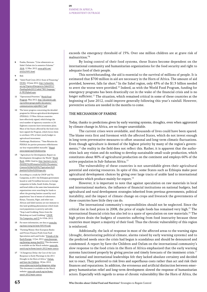- 8 Fomba, Harouna. "Crise alimentaire au Sahel: Oxfam tire la sonnette d'alarme." Afrik. 12 Mar. 2012. [www.afrik.com/](www.afrik.com/article25051.html) [article25051.html](www.afrik.com/article25051.html).
- $9 11$
- "Sahel Food Crisis 2012: State of Financing." OCHA. 10 June 2012. [http://ochaonline.](http://ochaonline.un.org/UrgencesEmergencies/Sahel2012/FundingSahel2012/tabid/7801/language/fr-FR/Default.aspx) [un.org/UrgencesEmergencies/Sahel2012/](http://ochaonline.un.org/UrgencesEmergencies/Sahel2012/FundingSahel2012/tabid/7801/language/fr-FR/Default.aspx) [FundingSahel2012/tabid/7801/language/](http://ochaonline.un.org/UrgencesEmergencies/Sahel2012/FundingSahel2012/tabid/7801/language/fr-FR/Default.aspx) [fr-FR/Default.aspx](http://ochaonline.un.org/UrgencesEmergencies/Sahel2012/FundingSahel2012/tabid/7801/language/fr-FR/Default.aspx).
- 11 "Operational Priorities." World Food Program. May 2012. [http://documents.wfp.](http://documents.wfp.org/stellent/groups/public/documents/communications/wfp248217.pdf) [org/stellent/groups/public/documents/](http://documents.wfp.org/stellent/groups/public/documents/communications/wfp248217.pdf) [communications/wfp248217.pdf](http://documents.wfp.org/stellent/groups/public/documents/communications/wfp248217.pdf).
- 12 The latest progress concerning the detailed program for African agricultural development (PDDAA): 15 West African countries have effectively signed, which brings the total number of signatory countries to 24. Eighteen countries have investment plans. Most of the States affected by the food crisis have signed the Program, which forces them to attribute 10% of their yearly budget to agricultural investment.

Ouédraogo, Roukiattou. "7ème Réunion du PDDAA: les parties prenantes réfléchissent sur leur responsabilité mutuelle." Nepad. <www.nepad.org/fr/foodsecurity>.

- 13 "Agriculture for Development; Report on Development throughout the World." World Bank. 2008. Cited in: [http://partners.cta.int/](http://partners.cta.int/INADES%20Formation%20SG/Documents/Contexte%20de%20l%27agriculture%20familiale%20en%20Arique.doc) [INADES%20Formation%20SG/Documents/](http://partners.cta.int/INADES%20Formation%20SG/Documents/Contexte%20de%20l%27agriculture%20familiale%20en%20Arique.doc) [Contexte%20de%20l%27agriculture%20](http://partners.cta.int/INADES%20Formation%20SG/Documents/Contexte%20de%20l%27agriculture%20familiale%20en%20Arique.doc) [familiale%20en%20Arique.doc](http://partners.cta.int/INADES%20Formation%20SG/Documents/Contexte%20de%20l%27agriculture%20familiale%20en%20Arique.doc).
- 14 According to a study by CNOP and Via Campesina, in 2011 the Ethiopian government leased or sold 3.6 million hectares to foreign companies in India, Saudi Arabia, Europe, and Israel while at the same time humanitarian organizations were searching for funds to offset the growing famine caused by rural populations' loss of means of subsistence. Kenya, Tanzania, Niger, and other east African and Sahel nations are not immune to this land-grabbing phenomenon which leads rural populations to poverty and exile. "Stop Land Grabbing; Notes from the Workshop on Land Grabbing." CNOP, Via Campesina, and CJ. 8–9 Feb. 2012.
- 15 For more information, see data at  $www.fao$ . [org/news/story/en/item/50519/icode](www.fao.org/news/story/en/item/50519/icode).
- 16 "Farming Money: How European Banks and Private Finance Profit from Food Speculation and Land Grabs." Friends of the Earth Europe. 12 Jan. 2012. [www.foeeurope.](www.foeeurope.org/farming-money-Jan2012) [org/farming-money-Jan2012](www.foeeurope.org/farming-money-Jan2012). This document is available on the Watch website:  $www.rtfn$ [watch.org/en/home/watch-2012/main-sources](http://www.rtfn-watch.org/en/home/watch-2012/main-sources).
- 17 "A Dangerous Delay: the Cost of the Late Response to Early Warnings in the 2011 Drought in the Horn of Africa." Oxfam, and Save the Children. 18 Jan. 2012. <www.oxfam.org/en/policy/dangerous-delay>. This document is available on the Watch website: [www.rtfn-watch.org/en/home/](http://www.rtfn-watch.org/en/home/watch-2012/main-sources) [watch-2012/main-sources](http://www.rtfn-watch.org/en/home/watch-2012/main-sources).

exceeds the emergency threshold of 15%. Over one million children are at grave risk of malnutrition."8

By losing control of their food systems, these States become dependent on the international community and humanitarian organizations for the food security and right to adequate food of their people.

This notwithstanding, the aid is essential to the survival of millions of people. It is estimated that \$700 million in aid are necessary in the Horn of Africa. The amount of aid provided, however, falls far short.<sup>9</sup> In the Sahel region, only 43% of the \$1.5 billion needed to avert the worse were provided.<sup>10</sup> Indeed, as with the World Food Program, funding for emergency programs has been drastically cut in the wake of the financial crisis and is no longer sufficient.<sup>11</sup> The situation, which remained critical in some of these countries at the beginning of June 2012, could improve generally following this year's rainfall. However, preventive actions are needed in the months to come.

#### The mechanism of famine

Today, thanks to predictions given by early warning systems, droughts, even when aggravated by climate change in Africa, are no longer unavoidable.

The current crises were avoidable, and thousands of lives could have been spared. The blame rests first and foremost with the affected States, which do not invest enough in long-term preventative measures to offset seasonal and long-term climatic fluctuations. Even though agriculture is deemed of the highest priority by many of the region's governments, $12$  the reality in the field does not reflect this. Rather, it is apparent that the authorities lack any vision and do nothing to develop sustainable small-scale production, which constitutes about 80% of agricultural production on the continent and employs 60% of the active population in Sub-Saharan Africa.<sup>13</sup>

The vulnerability of these countries is not unavoidable given their agricultural potential and existing resources. In spite of this, some States such as Ethiopia make poor agricultural development choices by giving over large tracts of arable land to international companies which produce mainly for export. $14$ 

However, it is important to note that against speculation on raw materials in local and international markets, the influence of financial institutions on national budgets, bad agricultural and rural development strategies inherited from previous governments, political instability, and the impact of climate change on crops and livestock the governments of these countries have little they can do.

The international community's responsibilities should not be neglected. Since the critical rise in food prices in 2008, the price of staple foods has remained very high.<sup>15</sup> The international financial crisis has also led to a spate of speculation on raw materials.<sup>16</sup> The high prices drain the budgets of countries suffering from food insecurity because these countries must import a majority of their food. Thus the chronic vulnerability of this region is reinforced.

Additionally, the lack of response in most of the affected areas to the warning signs (drought, deteriorating political climate, alarms raised by early warning systems) and to the predicted needs once the crisis had begun is scandalous and should be denounced and condemned. A report by Save the Children and Oxfam on the international community's slow response to the food crisis in the Horn of Africa emphasized that the early warning systems functioned properly by giving precise and timely forecasts of the imminent crisis.<sup>17</sup> But national and international leaderships felt they lacked absolute certainty and decided not to react. They preferred to risk lives and superfluous costs rather than act and risk their finances and reputations. In addition, the erroneous and artificial distinction between emergency humanitarian relief and long-term development slowed the response of humanitarian actors. Especially with regards to areas of chronic vulnerability like the Horn of Africa, the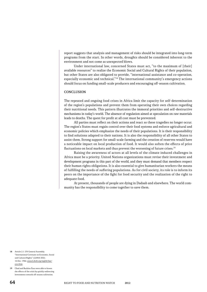report suggests that analysis and management of risks should be integrated into long-term programs from the start. In other words, droughts should be considered inherent to the environment and not come as unexpected blows.

Under international law, concerned States must act, "to the maximum of [their] available resources" to realize the Economic Social and Cultural Rights of their population, but other States are also obligated to provide, "international assistance and co-operation, especially economic and technical."18 The international community's emergency actions should focus on funding small-scale producers and encouraging off-season cultivation.

#### **CONCLUSION**

The repeated and ongoing food crises in Africa limit the capacity for self-determination of the region's populations and prevent them from operating their own choices regarding their nutritional needs. This pattern illustrates the immoral priorities and self-destructive mechanisms in today's world. The absence of regulation aimed at speculation on raw materials leads to deaths. The quest for profit at all cost must be prevented.

All parties must reflect on their actions and react so these tragedies no longer occur. The region's States must regain control over their food systems and enforce agricultural and economic policies which emphasize the needs of their populations. It is their responsibility to find solutions adapted to their nations. It is also the responsibility of all other States to assist them. Strong support for small-scale farming and the creation of reserves would have a noticeable impact on local production of food. It would also soften the effects of price fluctuations on local markets and thus prevent the worsening of future crises.<sup>19</sup>

Raising the awareness of actors at all levels of the climate induced challenges in Africa must be a priority. United Nations organizations must revise their investment and development programs in this part of the world, and they must demand that members respect their human rights obligations. It is also essential to give humanitarian workers the means of fulfilling the needs of suffering populations. As for civil society, its role is to inform its peers on the importance of the fight for food security and the realization of the right to adequate food.

At present, thousands of people are dying in Dadaab and elsewhere. The world community has the responsibility to come together to save them.

- 18 Article 2.1. UN General Assembly. "International Covenant on Economic, Social and Cultural Rights" (2200A XXI). 16 Dec. 1966. [www2.ohchr.org/english/law/](www2.ohchr.org/english/law/cescr.htm) [cescr.htm](www2.ohchr.org/english/law/cescr.htm).
- 19 Chad and Burkina Faso were able to lessen the effects of the crisis by quickly redirecting investments towards off-season cultivation.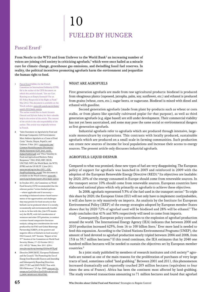# 10 FUELED BY HUNGER

### Pascal Erard1

From Nestle to the WTO and from Unilever to the World Bank<sup>2</sup> an increasing number of voices are joining civil society in criticizing agrofuels,<sup>3</sup> which were once hailed as a miracle cure for climate change, greenhouse gas emissions, and dwindling fossil fuel reserves. In reality, the political incentives promoting agrofuels harm the environment and jeopardize the human right to food.

1 Pascal Erard lobbies for the French Committee for International Solidarity (CFSI). He is the author of the CFSI document on which this article is based, "Are our Cars Running on an Empty Stomach? For an EU Policy Respectful of the Right to Food." May 2012. This document is available on the Watch website: [www.rtfn-watch.org/en/home/](http://www.rtfn-watch.org/en/home/watch-2012/main-sources) [watch-2012/main-sources](http://www.rtfn-watch.org/en/home/watch-2012/main-sources). The author would like to thank Antonio

Onorati and Sylvain Aubry for their valuable help in the review of the article. The content of the article is the sole responsibility of the author. This article was originally written in French.

- 2 "Joint Statement on Agrofuels by Food and Beverage Companies; G20 Governments Must Address Agrofuels as a Cause of Food Crisis." Nestle, Olayan, PepsiCo, and Unilever. 3 Nov. 2011. [www.nestle.com/](www.nestle.com/Common/NestleDocuments/Documents/Media/Statements/G20_letter_nestle_biofuels%20(2).pdf) [Common/NestleDocuments/Documents/](www.nestle.com/Common/NestleDocuments/Documents/Media/Statements/G20_letter_nestle_biofuels%20(2).pdf) [Media/Statements/G20\\_letter\\_nestle\\_](www.nestle.com/Common/NestleDocuments/Documents/Media/Statements/G20_letter_nestle_biofuels%20(2).pdf) [biofuels%20\(2\).pdf](www.nestle.com/Common/NestleDocuments/Documents/Media/Statements/G20_letter_nestle_biofuels%20(2).pdf); and "Price Volatility in Food and Agricultural Markets: Policy Responses." FAO, IFAD, IMF, OECD, UNCTAD, WFP, the World Bank, the WTO, IFPRI and the UN HLTF. 2 June 2011. [www.unctad.org/en/docs/2011\\_G20\\_](www.unctad.org/en/docs/2011_G20_FoodPriceVolatility_en.pdf) [FoodPriceVolatility\\_en.pdf](www.unctad.org/en/docs/2011_G20_FoodPriceVolatility_en.pdf). This document is available on the Watch website:  $www.rtfn$ [watch.org/en/home/watch-2012/main-sources](http://www.rtfn-watch.org/en/home/watch-2012/main-sources).
- 3 In October 2011, the Committee on World Food Security (CFS) recommended that the relevant parties "review biofuels policies —where applicable and if necessary according to balanced science-based assessments of the opportunities and challenges they may present for food security so that biofuels can be produced where it is socially, economically and environmentally feasible to do so. In line with this, [the CFS mandates] the HLPE, with full consideration of resources and other CFS priorities, to conduct a science-based comparative literature analysis, taking into consideration the work produced by the FAO and Global Bioenergy Partnership (GBEP), of the positive and negative effects of biofuels on food security." FAO Council, 143rd Session. "Report of the 37th Session of the Committee on World Food Security (Rome, 17–22 October 2011) (CL 143/2)." Rome, Nov. 2011. §50-i. <www.fao.org/docrep/meeting/024/mc497E.pdf>.
- 4 Directive 2009/28/EC. European Parliament and the Council. "On Promoting the Use of Energy from Renewable Sources and Amending and Subsequently Repealing Directives 2001/77/EC and 2003/30/EC Text with EEA Relevance." 23 Apr. 2009. [www.eur-lex.](http://www.eur-lex.europa.eu/LexUriServ/LexUriServ.do?uri=OJ:L:2009:140:0016:01:FR:HTML) [europa.eu/LexUriServ/LexUriServ.do?uri=OJ:](http://www.eur-lex.europa.eu/LexUriServ/LexUriServ.do?uri=OJ:L:2009:140:0016:01:FR:HTML) [L:2009:140:0016:01:FR:HTML](http://www.eur-lex.europa.eu/LexUriServ/LexUriServ.do?uri=OJ:L:2009:140:0016:01:FR:HTML).

#### WHAT ARE AGROFUELS

First generation agrofuels are made from raw agricultural products: biodiesel is produced from oleaginous plants (rapeseed, jatropha, palm, soy, sunflower, etc.) and ethanol is produced from grains (wheat, corn, etc.), sugar beets, or sugarcane. Biodiesel is mixed with diesel and ethanol with gasoline.

Second generation agrofuels (made from plant by-products such as wheat or corn stalks, or from plants like specially cultivated poplar for that purpose), as well as third generation agrofuels (e.g. algae based) are still under development. Their commercial viability has not yet been ascertained, and some may pose the same social or environmental dangers as first generation agrofuels.

Industrial agrofuels refer to agrofuels which are produced through intensive, largescale monoculture by corporations. This contrasts with locally produced, sustainable agrofuels which are produced on a small scale in farming communities. Such production can create new sources of income for local populations and increase their access to energy sources. The present article only discusses industrial agrofuels.

#### AGROFUELS: LIQUID DESPAIR

Compared to what was promised, these new types of fuel are very disappointing. The European policy of support for agrofuels was launched in 2003 and reinforced in 2009 with the adoption of the European Renewable Energy Directive (RED).<sup>4</sup> Its objectives are laudable: by 2020, 20% of the energy consumed in Europe should come from renewable sources. In the transport sector 10% should come from renewable sources. European countries have elaborated national plans which rely primarily on agrofuels to achieve these objectives.

In 2008, agrofuels represented 3.3% of the fuel used in the transport sector.<sup>5</sup> To triple this share by 2020, the European Union (EU) will not only have to implement costlysubsidies, it will also have to rely massively on imports. An analysis by the Institute for European Environmental Policy (IEEP) of the energy strategies adopted by European member States shows that by 2020 72% of agrofuel used will be biodiesel and 28% will be ethanol.<sup>6</sup> The study concludes that 41% and 50% respectively will need to come from imports.

Consequently, European policy contributes to the explosion of agrofuel production around the world. The International Energy Agency (IEA) indicates that between 2000 and 2010 production increased 625%, from 16 to 100 billion liters.<sup>7</sup> Ever more land is needed to feed this expansion. According to the United Nations Environmental Programs (UNEP), the amount of land devoted to agrofuel production nearly tripled between 2004 and 2008, from 13.8 to 35.7 million hectares.<sup>8</sup> If this trend continues, the IEA estimates that by 2040 one hundred million hectares will be needed to sustain the objectives set by European member countries.9

In a joint study published by members of research institutes and civil society<sup>10</sup> agrofuels are named as one of the main reasons for the proliferation of purchases of very large tracts of land, sometimes called "land grabbing." Between 2001 and 2011, this phenomenon increased dramatically and reportedly touched 203 million hectares (equivalent to four times the area of France). Africa has been the continent most affected by land-grabbing. The study reviewed transactions amounting to 71 million hectares and found that agrofuel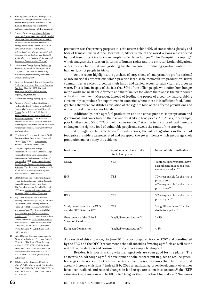- 5 Munting, Monique. Impact de l'expansion des cultures des agrocarburants dans les pays en développement. Brussels: CETRI, 2010.12. This study was done for the Belgium administration (DG Environment).
- 6 Bowyer, Catherine. Anticipated Indirect Land Use Change Associated with Expanded Use of Agrofuels and Bioliquids in the EU: an Analysis of the National Renewable Energy Action Plans. London: IEEP, 2010. [www.ieep.eu/assets/731/Anticipated\\_](www.ieep.eu/assets/731/Anticipated_Indirect_Land_Uce_Change_Associated_with_Expanded_Use_of_Biofuels_and_Bioliquids_in_the_EU_-_An_Analysis_of_the_National_Renewable_Energy_Action_Plans.pdf) Indirect Land Uce Change Associated with [Expanded\\_Use\\_of\\_Biofuels\\_and\\_Bioliquids\\_](www.ieep.eu/assets/731/Anticipated_Indirect_Land_Uce_Change_Associated_with_Expanded_Use_of_Biofuels_and_Bioliquids_in_the_EU_-_An_Analysis_of_the_National_Renewable_Energy_Action_Plans.pdf) [in\\_the\\_EU\\_-\\_An\\_Analysis\\_of\\_the\\_National\\_](www.ieep.eu/assets/731/Anticipated_Indirect_Land_Uce_Change_Associated_with_Expanded_Use_of_Biofuels_and_Bioliquids_in_the_EU_-_An_Analysis_of_the_National_Renewable_Energy_Action_Plans.pdf) [Renewable\\_Energy\\_Action\\_Plans.pdf](www.ieep.eu/assets/731/Anticipated_Indirect_Land_Uce_Change_Associated_with_Expanded_Use_of_Biofuels_and_Bioliquids_in_the_EU_-_An_Analysis_of_the_National_Renewable_Energy_Action_Plans.pdf).
- 7 International Energy Agency. Technology Roadmap: Agrofuels for Transport. Paris: IEA, and OECD, 2011. 11. [www.iea.org/](www.iea.org/publications/freepublications/publication/Biofuels_Roadmap.pdf) [publications/freepublications/publication/](www.iea.org/publications/freepublications/publication/Biofuels_Roadmap.pdf) [Biofuels\\_Roadmap.pdf](www.iea.org/publications/freepublications/publication/Biofuels_Roadmap.pdf).
- 8 Bringezu, Stefan, et al. Towards Sustainable Production and Use of Resources: Assessing Agrofuels. Nairobi: UNEP, 2009. 63. [www.unep.org/pdf/biofuels/Assessing\\_](www.unep.org/pdf/biofuels/Assessing_Biofuels_Full_Report.pdf) [Biofuels\\_Full\\_Report.pdf](www.unep.org/pdf/biofuels/Assessing_Biofuels_Full_Report.pdf).
- 9 International Energy Agency, op. cit. 25–26.
- 10 Anseeuw, Ward, et al. Land Rights and the Rush for Land: Findings of the Global Commercial Pressures on Land Research Project. Rome: ILC, 2012. 19, 24–25. [www.alimenterre.org/ressource/land-rights](www.alimenterre.org/ressource/land-rights-and-the-rush-for-land)[and-the-rush-for-land](www.alimenterre.org/ressource/land-rights-and-the-rush-for-land). This document is available on the Watch website: [www.rtfn](http://www.rtfn-watch.org/en/home/watch-2012/main-sources)[watch.org/en/home/watch-2012/main-sources](http://www.rtfn-watch.org/en/home/watch-2012/main-sources). For more information, see: [www.landportal.](www.landportal.info/landmatrix) [info/landmatrix](www.landportal.info/landmatrix).
- 11 "The State of Food Insecurity in the World, Addressing Food Insecurity in Protracted Crises." FAO. 2010. 11. [www.fao.org/](www.fao.org/docrep/013/i1683e/i1683e00.htm) [docrep/013/i1683e/i1683e00.htm](www.fao.org/docrep/013/i1683e/i1683e00.htm).
- 12 "(Bio)Fueling Injustice: Europe's Responsibility to Counter Climate Change without Provoking Land Grabbing and Compounding Food Insecurity in Africa." EuropAfrica. 2011. [www.europafrica.info/](www.europafrica.info/fr/publications/forum-alternativo-mondiale-dell-acqua) [fr/publications/forum-alternativo-mondiale](www.europafrica.info/fr/publications/forum-alternativo-mondiale-dell-acqua)[dell-acqua](www.europafrica.info/fr/publications/forum-alternativo-mondiale-dell-acqua). This document is available on the Watch website: [www.rtfn-watch.org/en/](http://www.rtfn-watch.org/en/home/watch-2012/main-sources) [home/watch-2012/main-sources](http://www.rtfn-watch.org/en/home/watch-2012/main-sources).
- 13 UN Millennium Project. Halving Hunger: It Can Be Done; Summary of the Report by Expert Group on Hunger. New York: The Earth Institute at Columbia University, 2005. 4–6. [www.unmillenniumproject.org/](www.unmillenniumproject.org/documents/HTF-SumVers_FINAL.pdf) [documents/HTF-SumVers\\_FINAL.pdf](www.unmillenniumproject.org/documents/HTF-SumVers_FINAL.pdf).

 $\overline{a}$ 

 $\overline{a}$ 

 $\overline{a}$ 

- 14 High Level Panel of Experts on Food Security and Nutrition (HLPE). HLPE Price Volatility and Food Security Report 2011. Rome: CFS, 2011. [www.fao.org/fileadmin/](www.fao.org/fileadmin/user_upload/hlpe/hlpe_documents/HLPE-price-volatility-and-food-security-report-July-2011.pdf) [user\\_upload/hlpe/hlpe\\_documents/HLPE](www.fao.org/fileadmin/user_upload/hlpe/hlpe_documents/HLPE-price-volatility-and-food-security-report-July-2011.pdf)[price-volatility-and-food-security-report-](www.fao.org/fileadmin/user_upload/hlpe/hlpe_documents/HLPE-price-volatility-and-food-security-report-July-2011.pdf)[July-2011.pdf](www.fao.org/fileadmin/user_upload/hlpe/hlpe_documents/HLPE-price-volatility-and-food-security-report-July-2011.pdf). This document is available on the Watch website: [www.rtfn-watch.org/en/](http://www.rtfn-watch.org/en/home/watch-2012/main-sources) [home/watch-2012/main-sources](http://www.rtfn-watch.org/en/home/watch-2012/main-sources); and FAO, IFAD, IMF, OECD, UNCTAD, WFP, the World Bank, the WTO, IFPRI and the UN HLTF, op. cit.
- 15 United Nations Economic Commission for Africa of the Social and Economic Council, 7th Session. "The State of Food Security in Africa" (E/ECA/CFSSD/7/2). Addis Ababa, Oct. 2011.3. [http://new.uneca.org/](http://new.uneca.org/Portals/rio20/documents/cfssd7/CFSSD-7-0024-ORE-TheStatus-ofFoodSecurity-inAfrica.pdf) [Portals/rio20/documents/cfssd7/CFSSD-](http://new.uneca.org/Portals/rio20/documents/cfssd7/CFSSD-7-0024-ORE-TheStatus-ofFoodSecurity-inAfrica.pdf)[7-0024-ORE-TheStatus-ofFoodSecurity](http://new.uneca.org/Portals/rio20/documents/cfssd7/CFSSD-7-0024-ORE-TheStatus-ofFoodSecurity-inAfrica.pdf)[inAfrica.pdf](http://new.uneca.org/Portals/rio20/documents/cfssd7/CFSSD-7-0024-ORE-TheStatus-ofFoodSecurity-inAfrica.pdf).
- 16 This is an updated version of Monique Muntig's Table. Muntig, op. cit. 36. See also FAO, IFAD, IMF,OECD, UNCTAD, WFP, the World Bank, the WTO, IFPRI and the UN HLTF, op. cit.

production was the primary purpose; it is the reason behind 40% of transactions globally and 66% of transactions in Africa. Meanwhile, Africa is one of the world regions most affected by food insecurity. One in three people suffer from hunger.<sup>11</sup> The EuropAfrica report,<sup>12</sup> which analyses the situation in terms of human rights and the extraterritorial obligations of States, concludes that land grabbing for the purpose of producing agrofuel violates the human rights of people in Africa.

As the report highlights, the purchase of large tracts of land primarily profits national or international corporations which practice large-scale monoculture production. Rural communities are often forced off their lands and denied access to such vital resources as water. This is done in spite of the fact that 80% of the billion people who suffer from hunger in the world are small-scale farmers and their families for whom their land is the main source of food and income.<sup>13</sup> Moreover, instead of feeding the people of a country, land-grabbing aims mainly to produce for export even in countries where there is insufficient food. Landgrabbing therefore constitutes a violation of the right to food of the affected populations and worsens food insecurity worldwide.

Additionally, both agrofuel production and the consequent misappropriation and grabbing of land contribute to the rise and volatility in food prices.<sup>14</sup> In Africa, for example, poor families spend 50 to 75% of their income on food.15 Any rise in the price of food therefore endangers the right to food of vulnerable people and swells the ranks of the starving.

Although, as the table below<sup>16</sup> clearly shows, the role of agrofuels in the rise of food prices is widely demonstrated and accepted, the governments which encourage their production and use deny the evidence.

| Institution                                              | Agrofuels contribute to the<br>rise in food prices | Impact of this contribution                                                                                        |
|----------------------------------------------------------|----------------------------------------------------|--------------------------------------------------------------------------------------------------------------------|
| OECD                                                     | YES                                                | "biofuel support policies have<br>a significant impact on global<br>commodity prices" <sup>17</sup>                |
| IMF                                                      | <b>YES</b>                                         | 70% responsible for the rise in<br>price of corn,<br>40% responsible for the rise in<br>price of soy <sup>18</sup> |
| <b>IFPRI</b>                                             | <b>YES</b>                                         | 30% responsible for the rise in<br>price of grain <sup>19</sup>                                                    |
| Study coordinated by the FAO<br>and the OECD for the G20 | <b>YES</b>                                         | "a significant factor" for the<br>rise in food prices <sup>20</sup>                                                |
| Government of the United<br>States of America            | "negligible contribution" <sup>21</sup>            | $2 - 3%$                                                                                                           |
| European Commission                                      | "negligible contribution" <sup>22</sup>            | $< 4\%$                                                                                                            |

As a result of this situation, the June 2011 report prepared for the  $G20^{23}$  and coordinated by the FAO and the OECD recommends that all subsidies favoring agrofuels as well as the restrictive production and consumption objectives simply be dropped.

Besides, it is worth asking whether agrofuels are even good for the planet. The answer is no. Although agrofuel development policies were put in place to reduce greenhouse gas emissions in the transport sector, current research shows that their use would actually increase emissions.<sup>24</sup> Indeed, if by 2020 all national agrofuel development objectives have been realized, and related changes in land usage are taken into account,<sup>25</sup> the IEEP estimates that emissions will be 80 to 167% higher than from fossil fuels alone.<sup>26</sup> Numerous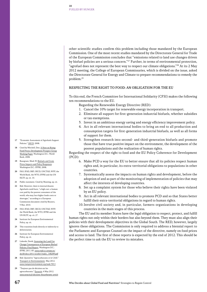other scientific studies confirm this problem including those mandated by the European Commission. One of the most recent studies mandated by the Directorate General for Trade of the European Commission concludes that "emissions related to land use changes driven by biofuel policies are a serious concern."27 Further, in terms of environmental protection, "agrofuel does not represent the best way to respect our climate obligations."<sup>28</sup> At its 2 May 2012 meeting, the College of European Commissaries, which is divided on the issue, asked the Directorate General for Energy and Climate to prepare recommendations to remedy the problem.29

#### RESPECTING THE RIGHT TO FOOD: AN OBLIGATION FOR THE EU

To this end, the French Committee for International Solidarity (CFSI) makes the following ten recommendations to the EU.

Regarding the Renewable Energy Directive (RED):

- 1. Cancel the 10% target for renewable energy incorporation in transport.
- 2. Eliminate all support for first-generation industrial biofuels, whether subsidies or tax exemptions.
- 3. Invest in an ambitious energy saving and energy efficiency improvement policy.
- 4. Act in all relevant international bodies to bring an end to all production and consumption targets for first-generation industrial biofuels, as well as all forms of support for them.
- 5. Strengthen research into second- and third-generation biofuels and promote those that have true positive impact on the environment, the development of the poorest populations and the realization of human rights.

Regarding the respect of the right to food and the EU Policy Coherence for Development (PCD):

- 6. Make PCD a way for the EU to better ensure that all its policies respect human rights and, in particular, its extra-territorial obligations to populations in other countries.
- 7. Systematically assess the impacts on human rights and development, before the adoption of and as part of the monitoring of implementation of policies that may affect the interests of developing countries.
- 8. Set up a complaint system for those who believe their rights have been violated by an EU policy.
- 9. Act in all relevant international bodies to promote PCD and so that States better fulfill their extra-territorial obligations in regard to human rights.
- 10. Involve civil society and, in particular, farmers organizations in developing countries in the main stages of this process.

The EU and its member States have the legal obligation to respect, protect, and fulfill human rights not only within their borders but also beyond them. They must also align their policies with their development objectives in the Global South. The RED, however, largely ignores these obligations. The Commission is only required to address a biennial report to the Parliament and European Counsel on the impact of the directive, namely on food prices and access to land. The first of these reports is expected by the end of 2012. This should be the perfect time to ask the EU to review its mistakes.

- 17 "Economic Assessment of Agrofuels Support Policies." OECD. 2008.
- 18 Cited by Mitchell, Don. A Note on Rising Food Prices; Development Prospect Group Working Paper. Washington D.C.: World Bank, 2008.
- 19 Rosegrant, Mark W. Biofuels and Grain Prices Impacts and Policy Responses. Washington D.C.: IFPRI, 2008.
- 20 FAO, IFAD, IMF, OECD, UNCTAD, WFP, the World Bank, the WTO, IFPRI and the UN HLTF, op. cit. 10.
- 21 Public statement. Cited by Munting, op. cit.
- 22 Ibid. However, there is internal dissent. Agrofuels could have, "a high cost: a human cost paid by the poorest consumers of the world, who may face higher foods costs or shortages," according to a European Commission document cited by Reuters, 5 Mar. 2010.
- 23 FAO, IFAD, IMF, OECD, UNCTAD, WFP, the World Bank, the WTO, IFPRI and the UN HLTF, op. cit. 27.
- 24 Institute for European Environmental Policy, op. cit.
- 25 This transition leads directly or indirectly to deforestation.
- 26 Institute for European Environmental Policy, op. cit.
- 27 Laborde, David. Assessing the Land Use Change Consequences of European Biofuel Policies; Final Report. Washington D.C.: IFPRI, 2011. 85. [www.trade.ec.europa.eu/](www.trade.ec.europa.eu/doclib/docs/2011/october/tradoc_148289.pdf) [doclib/docs/2011/october/tradoc\\_148289.pdf](www.trade.ec.europa.eu/doclib/docs/2011/october/tradoc_148289.pdf).
- 28 Ibid. Quoted in "Agrocarburants et le CASI." Transport et Environnement. May 2012. <www.transportenvironment.org/node/3011>.
- 29 "Toujours pas de décision sur les agrocarburants." Euractiv. 4 May 2012. <www.euractiv.fr/decisions-biocarburants-article>.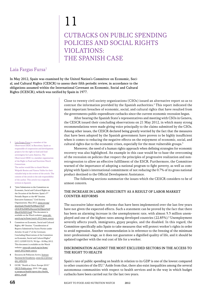# 11

# Cutbacks on Public Spending Policies and Social Rights VIOLATIONS: the Spanish Case

## Laia Fargas Fursa<sup>1</sup>

In May 2012, Spain was examined by the United Nation's Committee on Economic, Social, and Cultural Rights (CESCR) to assess their fifth periodic review, in accordance to the obligations assumed within the International Covenant on Economic, Social and Cultural Rights (ICESCR), which was ratified by Spain in 1977.

> Close to twenty civil society organizations (CSOs) issued an alternative report so as to contrast the information provided by the Spanish authorities.2 This report indicated the most important breaches of economic, social, and cultural rights that have resulted from the governments public expenditure cutbacks since the current economic recession began.

> After hearing the Spanish State's representatives and meeting with CSOs in Geneva, the CESCR issued their concluding observations on 21 May 2012, in which many strong recommendations were made giving voice principally to the claims submitted by the CSOs. Among other issues, the CESCR declared being greatly worried by the fact that the measures that have been adopted by the Spanish government have proven to be highly insufficient when it comes to reducing the negative effects on the enjoyment of economic, social, and cultural rights due to the economic crises, especially for the most vulnerable groups.<sup>3</sup>

> Moreover, the need of a human rights approach when defining strategies for economic recovery was also highlighted. An example in this case would be to base the overcoming of the recession on policies that respect the principles of progressive realization and nonretrogression to allow an effective fulfillment of the ESCR. Furthermore, the Committee warned of the importance of adopting a national program to fight poverty, as well as complying with Spain's international commitment of not reducing the 0.7% of its gross national product destined to the Official Development Assistance.

> The following sections summarize the issues which the CESCR considers to be of utmost concern.

#### The increase in labor insecurity as a result of labor market counter-reforms

The successive labor market reforms that have been implemented over the last few years have not given the expected effects. Such a statement can be proved by the fact that there has been an alarming increase in the unemployment rate, with almost 5.3 million unemployed and one of the highest rates among developed countries (22.85%).4 Unemployment severely affects youth, immigrants, gypsy peoples, and the disabled. In this regard, the Committee specifically asks Spain to take measures that will protect worker's rights in order to avoid regression. Another recommendation is in reference to the freezing of the minimum inter-professional wage, as it does not guarantee a dignified quality of life, and it should be updated together with the real cost of life for a worker.

#### Discrimination against the most excluded sectors in the access to THE RIGHT TO HEALTH

Spain's rate of public spending on health in relation to its GDP is one of the lowest compared to other countries of the EU.<sup>5</sup> Aside from that, there also exist inequalities among the several autonomous communities with respect to health services and in the way in which budget cutbacks have been carried out for the last two years.

1 Laia Fargas Fursa is a member of the Observatori DESC in Barcelona, Spain as responsible of cooperation and development projects for the right to food and food sovereignty for Latin America. The Observatori DESC is a member organization of the Right to Food and Nutrition Watch **Consortium** The author would like to thank Martin

Wolpold-Bosien and Vanesa Valiño for their valuable help in the review of the article. The content of the article is the sole responsibility of the author. This article was originally written in Spanish.

- 2 "Joint Submission to the Committee on Economic, Social and Cultural Rights on the Occasion of the Review. Spain's 5<sup>th</sup> Periodic Report at the 48<sup>th</sup> Session. Executive Summary." Civil Society Organizations. May 2012. [www.cesr.org/](www.cesr.org/downloads/Parallel%20Report%20CESCR%2048%20session%20Spain%20March%202012.pdf) [downloads/Parallel%20Report%20](www.cesr.org/downloads/Parallel%20Report%20CESCR%2048%20session%20Spain%20March%202012.pdf) [CESCR%2048%20session%20Spain%20](www.cesr.org/downloads/Parallel%20Report%20CESCR%2048%20session%20Spain%20March%202012.pdf) [March%202012.pdf](www.cesr.org/downloads/Parallel%20Report%20CESCR%2048%20session%20Spain%20March%202012.pdf). This document is available on the Watch website: [www.rtfn](http://www.rtfn-watch.org/en/home/watch-2012/main-sources)[watch.org/en/home/watch-2012/main-sources](http://www.rtfn-watch.org/en/home/watch-2012/main-sources).
- 3 Committee on Economic, Social and Cultural Rights, 48th Session. "Consideration of Reports Submitted by States Parties under Articles 16 and 17 of the Covenant; Concluding Observations of the Committee on Economic, Social and Cultural Rights" (E/C.12/ESP/CO/5). 30 Apr.–18 May 2012. This document is available on the Watch website: [www.rtfn-watch.org/en/home/](http://www.rtfn-watch.org/en/home/watch-2012/main-sources) [watch-2012/main-sources](http://www.rtfn-watch.org/en/home/watch-2012/main-sources).
- 4 Encuesta de Poblacion Activa. Insituto Nacional de Estadistica. [www.ine.es/prensa/](www.ine.es/prensa/epa_tabla.htm) [epa\\_tabla.htm](www.ine.es/prensa/epa_tabla.htm).
- 5 OCDE. "Health at Glace: Europe 2010." OECD Publications. 2010. 106. [www.](www.ec.europa.eu/health/reports/docs/health_glance_en.pdf) [ec.europa.eu/health/reports/docs/health\\_](www.ec.europa.eu/health/reports/docs/health_glance_en.pdf) [glance\\_en.pdf](www.ec.europa.eu/health/reports/docs/health_glance_en.pdf).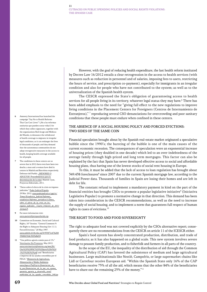6 Amnesty International has launched the campaign "Say No to Health Reforms That Can Cost Lives!" (¡No a las reformas sanitarias que pueden costar vidas!) for which they collect signatures, together with the organizations Red Acoge and Médicos del Mundo, to denounce the withdrawal of health coverage to migrants in irregular legal conditions, as it can endanger the lives of thousands of people; and they demand that the autonomous communities do not adopt retrogressive measures in the access to health, keeping health coverage available for all people.

- 7 The conditions in these centers are so severe that in 2012 there even have been two deaths; a man and a woman have died in centers in Madrid and Barcelona respectively. Defensor del Pueblo. ¿MENORES O ADULTOS? Procedimientos para la determinación de la edad. Madrid: Cyan, Proyectos Editoriales, 2011.
- 8 "Datos sobre el efecto de la crisis en órganos judiciales." Poder Judicial España. 29 Mar. 2012. [www.poderjudicial.es/cgpj/es/](www.poderjudicial.es/cgpj/es/Temas/Estadistica_Judicial/Informes_estadisticos/Informes_periodicos/ci.Datos_sobre_el_efecto_de_la_crisis_en_los_organos_judiciales__Cuarto_trimestre_de_2011.formato3) [Temas/Estadistica\\_Judicial/Informes\\_](www.poderjudicial.es/cgpj/es/Temas/Estadistica_Judicial/Informes_estadisticos/Informes_periodicos/ci.Datos_sobre_el_efecto_de_la_crisis_en_los_organos_judiciales__Cuarto_trimestre_de_2011.formato3) [estadisticos/Informes\\_periodicos/ci.Datos\\_](www.poderjudicial.es/cgpj/es/Temas/Estadistica_Judicial/Informes_estadisticos/Informes_periodicos/ci.Datos_sobre_el_efecto_de_la_crisis_en_los_organos_judiciales__Cuarto_trimestre_de_2011.formato3) sobre el efecto de la crisis en los [organos\\_judiciales\\_\\_Cuarto\\_trimestre\\_de\\_2011](www.poderjudicial.es/cgpj/es/Temas/Estadistica_Judicial/Informes_estadisticos/Informes_periodicos/ci.Datos_sobre_el_efecto_de_la_crisis_en_los_organos_judiciales__Cuarto_trimestre_de_2011.formato3) [.formato3](www.poderjudicial.es/cgpj/es/Temas/Estadistica_Judicial/Informes_estadisticos/Informes_periodicos/ci.Datos_sobre_el_efecto_de_la_crisis_en_los_organos_judiciales__Cuarto_trimestre_de_2011.formato3).
- For more information visit: <www.quenotehipotequenlavida.org>.
- 10 Committee on Economic, Social and Cultural Rights, 16th Session. "General Comment 9: the Right to Adequate Housing (Art 11.1). Forced Evictions." 20 May 1997. [www.unhchr.ch/tbs/doc.nsf/0/959f71e476284](www.unhchr.ch/tbs/doc.nsf/0/959f71e476284596802564c3005d8d50) [596802564c3005d8d50](www.unhchr.ch/tbs/doc.nsf/0/959f71e476284596802564c3005d8d50).
- 11 "Una política agraria común para el 1%." Veterinarios Sin Fronteras. May 2012. [www.veterinariossinfronteras.org/mm/file/](www.veterinariossinfronteras.org/mm/file/Una%20%20PAC%20%20para%20el%201%25%282%29.pdf) [Una%20%20PAC%20%20para%20el%20](www.veterinariossinfronteras.org/mm/file/Una%20%20PAC%20%20para%20el%201%25%282%29.pdf) [1%25%282%29.pdf](www.veterinariossinfronteras.org/mm/file/Una%20%20PAC%20%20para%20el%201%25%282%29.pdf); and "Beneficiarios e importes de las ayudas concedidas por el FEGA." Ministerio de Agricultura, Alimentación y Medio Ambiente. [www.fega.es/PwfGcp/es/financiacion\\_de\\_](www.fega.es/PwfGcp/es/financiacion_de_la_pac/financiacion_de_la_pac_en_espana_garantia_agraria_y_desarrollo_rural/publicidad_de_las_ayudas_concedidas_240.jsp) [la\\_pac/financiacion\\_de\\_la\\_pac\\_en\\_espana\\_](www.fega.es/PwfGcp/es/financiacion_de_la_pac/financiacion_de_la_pac_en_espana_garantia_agraria_y_desarrollo_rural/publicidad_de_las_ayudas_concedidas_240.jsp) [garantia\\_agraria\\_y\\_desarrollo\\_rural/](www.fega.es/PwfGcp/es/financiacion_de_la_pac/financiacion_de_la_pac_en_espana_garantia_agraria_y_desarrollo_rural/publicidad_de_las_ayudas_concedidas_240.jsp) [publicidad\\_de\\_las\\_ayudas\\_concedidas\\_240.jsp](www.fega.es/PwfGcp/es/financiacion_de_la_pac/financiacion_de_la_pac_en_espana_garantia_agraria_y_desarrollo_rural/publicidad_de_las_ayudas_concedidas_240.jsp).

However, with the goal of reducing health expenditure, the last health reform instituted by Decree Law 16/2012 entails a clear retrogression in the access to health services (with measures such as reduction in personnel and of salaries, imposing fees to users, restricting the hours of service, and prescription co-payment), especially for immigrants in an irregular condition and also for people who have not contributed to the system; as well as to the universalization of the Spanish health system.

The CESCR expressed the State's obligation of guaranteeing access to health services for all people living in its territory, whatever legal status they may have.<sup>6</sup> There has been added emphasis to the need for "giving full effect to the new regulations to improve living conditions in the Placement Centers for Foreigners (Centros de Internamiento de Extranjeros),"<sup>7</sup> reproducing several CSO denunciations for overcrowding and poor sanitary conditions that these people must endure when confined in these centers.

#### The absence of a social housing policy and forced evictions: two sides of the same coin

Financial speculation brought about by the Spanish real-estate market originated a speculative bubble since the 1990's; the bursting of the bubble is one of the main causes of the current economic recession. The consequences of speculation were an exponential increase of housing prices (they doubled in one decade) which led to an over-indebtedness of the average family through high-priced and long term mortgages. This factor can also be explained by the fact that Spain has never developed effective access to social and affordable housing plans, thus having one of the lowest stocks of social rent housing in Europe.

To this, it must be added that the lack of access to loan regulation has brought about 349.438 foreclosures<sup>8</sup> since 2007 due to the current Spanish mortgage law, according to the Judicial Power data. Thousands of families in Spain are losing their homes and are left in debt for life.

The constant refusal to implement a mandatory payment in kind on the part of the financial entities has brought CSOs to promote a popular legislative initiative<sup>9</sup> (Iniciativa Legislativa Popular) to promote a normative change in that direction. This demand has been taken into consideration in the CESCR recommendations, as well as the need to increase the supply of social housing, and to implement a norm that guarantees full respect of human rights in cases of evictions.10

#### The right to food and food sovereignty

The right to adequate food was not covered explicitly by the CSOs alternative report; consequently there are no recommendations from the CESCR on article 11 of the ICESCR either.

Spain's food system has slowly concentrated production, distribution, and trade of food products; as it has also happened on a global scale. This new system involves severe damage to peasant family production, and to fisherfolk and farmers in all parts of the country.

In the scope of the EU, the inequality of the distribution of aid through the Common Agricultural Policy (CAP) has favored the subsistence of medium and large agricultural businesses. Large multinationals like Nestlé, Campofrío, or large supermarket chains like Lidl or Carrefour receive European aid. "Within the Spanish State only 16% of the CAP beneficiaries receive 75% of all the aid, which means that the other 84% of the beneficiaries have to share out the remaining 25% of the money."<sup>11</sup>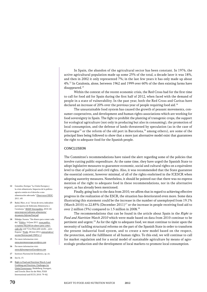In Spain, the abandon of the agricultural sector has been constant. In 1976, the active agricultural population made up some 25% of the total, a decade later it was 18%, and then in 2002 it only represented 7%; in the last few years it has only made up about 4%.12 In Catalonia, alone, between 1962 and 1999 over 60% of the then existing farms have disappeared.<sup>13</sup>

Within the context of the recent economic crisis, the Red Cross had for the first time to call for food aid for Spain during the first half of 2012, when faced with the demand of people in a state of vulnerability. In the past year, both the Red Cross and Caritas have declared an increase of 20% over the previous year of people requiring food aid.<sup>14</sup>

The unsustainable food system has caused the growth of peasant movements, consumer cooperatives, and development and human rights associations which are working for food sovereignty in Spain. The fight to prohibit the planting of transgenic crops, the support for ecological agriculture (not only in producing but also in consuming), the promotion of local consumption, and the defense of lands threatened by speculation (as in the case of Eurovegas<sup>15</sup> or the reform of the old port in Barcelona,<sup>16</sup> among others), are some of the principal lines being followed to show that a more just alternative model exist that guarantees the right to adequate food for the Spanish people.

#### **CONCLUSION**

The Committee's recommendations have raised the alert regarding some of the policies that involve cutting public expenditure. At the same time, they have urged the Spanish State to adopt legislative measures to guarantee economic, social and cultural rights on a equivalent level to that of political and civil rights. Also, it was recommended that the State guarantee the essential content, however minimal, of all of the rights enshrined in the ICESCR when adopting austerity measures. Nonetheless, it should be pointed out that there was no express mention of the right to adequate food in these recommendations, nor in the alternative report, as has already been mentioned.

Finally, going back to the data from 2010, we affirm that in regard to achieving effective progress in the realization of the ESCR, the situation has deteriorated even more. Some data illustrating this statement could be the increase in the number of unemployed from 19.1% (March 2010) to 22.85% (December 2011)<sup>17</sup> or the increase in people receiving food aid to over 2 million (5%) compared to 1.5 million in 2008.18

The recommendations that can be found in the article about Spain in the Right to Food and Nutrition Watch 2010 which were made based on data from 2010 continue to be pertinent and urgent.19 As for the right to adequate food, we must continue to insist upon the necessity of tackling structural reforms on the part of the Spanish State in order to transform the present industrial food system, and to create a new model based on the respect, the protection, and the fulfillment of all human rights. To this end, we will continue to call for market regulation and for a social model of sustainable agriculture by means of agroecologic production and the development of local markets to promote local consumption.

- 12 Gonzáles, Enrique "La Unión Europea y la crisis alimentaria. Impactos de la política agraria común en el derecho a una alimentación adecuada." Observatori DESC. 2011. 69.
- 13 Badal, Marc, et al. "Arran de terra; indicadors participatius de Sobirania Alimentaria a Catalunya." IEEEP-Entrepobles, 2010. 60. [www.ieeep.net/sobirania-alimentaria/](www.ieeep.net/sobirania-alimentaria/documents/InformeFinal.pdf) [documents/InformeFinal.pdf](www.ieeep.net/sobirania-alimentaria/documents/InformeFinal.pdf).
- 14 Hidalgo, Susana. "Sin dinero para comer cada día." Público. 16 June 2011. [www.publico.](www.publico.es/espana/382200/sin-dinero-para-comer-cada-dia) [es/espana/382200/sin-dinero-para-comer](www.publico.es/espana/382200/sin-dinero-para-comer-cada-dia)[cada-dia](www.publico.es/espana/382200/sin-dinero-para-comer-cada-dia); and "Cruz Roja pide ayuda … para Espana." Prode. 28 June 2012. [www.prode.es/](www.prode.es/seccion/Noticias/pub/1949/v/-1) [seccion/Noticias/pub/1949/v/-1](www.prode.es/seccion/Noticias/pub/1949/v/-1).
- 15 For more information visit: <www.aturemeurovegas.wordpress.com>.
- 16 For more information visit: <www.defensemportvell.wordpress.com>.
- 17 Instituto Nacional de Estadística, op. cit.
- 18 See fn. 13.
- 19 Right to Food and Nutrition Watch: Land Grabbing and Nutrition, Challenges for Global Governance. Heidelberg, Stuttgart, and Utrecht: Brot für die Welt, FIAN International and ICCO, 2010. 79–82.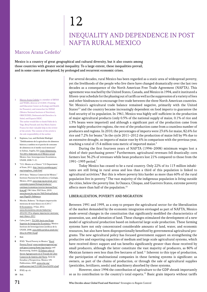# 12 Inequality and Dependence in Post NAFTA Rural Mexico

## Marcos Arana Cedeño<sup>1</sup>

Mexico is a country of great geographical and cultural diversity, but it also counts among those countries with greater social inequality. To a large extent, these inequalities prevail, and in some cases are deepened, by prolonged and recurrent economic crises.

1 Marcos Arana Cedeño is a member of IBFAN and WABA, director of CCESC (Training and Education Center on Ecology and Health for Peasants), and researcher for INNSZ (Mexico National Institute of Nutrition), OBSCIUDES, Defensoría del Derecho a la Salud, and Espacio DESC.

The author would like to thank Pablo de la Vega, Biraj Patnaik and Ana María Suárez Franco for their valuable help in the review of the article. The content of the article is the sole responsibility of the author.

- 2 Espinosa, Luz, and Herlinda Madrigal. "Debilitamiento de la agricultura de alimentos básicos y cambios en el patrón de consumo de alimentos en el medio rural mexicano" in Salinas, Argelia, Ed. Crisis Alimentaria, TLCAN y Soberanía en el México actual. Mexico: Inst. Investigaciones Económicas, UNAM, 2008. 3–21.
- 3 "U.S.-Mexico at a Glance." U.S Department of State, 2011. [http://mexico.usembassy.gov/](http://mexico.usembassy.gov/eng/eataglance_trade.html) [eng/eataglance\\_trade.html](http://mexico.usembassy.gov/eng/eataglance_trade.html).
- 4 2010 data: "Balanza Comercial de México." Instituto Nacional de Estadística y Geología. Mexico, 2010. [www.inegi.org.mx/prod\\_serv/](www.inegi.org.mx/prod_serv/contenidos/espanol/bvinegi/productos/continuas/economicas/exterior/mensual/bcm/bcm.pdf) [contenidos/espanol/bvinegi/productos/](www.inegi.org.mx/prod_serv/contenidos/espanol/bvinegi/productos/continuas/economicas/exterior/mensual/bcm/bcm.pdf) [continuas/economicas/exterior/mensual/bcm/](www.inegi.org.mx/prod_serv/contenidos/espanol/bvinegi/productos/continuas/economicas/exterior/mensual/bcm/bcm.pdf) [bcm.pdf](www.inegi.org.mx/prod_serv/contenidos/espanol/bvinegi/productos/continuas/economicas/exterior/mensual/bcm/bcm.pdf); 1961 data: FAO Stats, 2010. [www.faostat.fao.org/site/368/DesktopDefault.](www.faostat.fao.org/site/368/DesktopDefault.aspx?PageID=368#ancor) [aspx?PageID=368#ancor](www.faostat.fao.org/site/368/DesktopDefault.aspx?PageID=368#ancor).
- 5 Morales, Roberto. "Se dispara importación mexicana de maíz blanco en el 2011." El Economista. 19 Jan. 2012. [www.eleconomista.com.mx/industrias/](www.eleconomista.com.mx/industrias/2012/01/19/se-dispara-importacion-mexicana-maiz-blanco-2011) [2012/01/19/se-dispara-importacion-mexicana](www.eleconomista.com.mx/industrias/2012/01/19/se-dispara-importacion-mexicana-maiz-blanco-2011)[maiz-blanco-2011](www.eleconomista.com.mx/industrias/2012/01/19/se-dispara-importacion-mexicana-maiz-blanco-2011).
- 6 Calva, José L. TLCAN: hacia una Etapa Superior de Integración Económica. Mexico: Instituto de Investigaciones Jurídicas de la UNAM, 2008. [www.biblio.juridicas.unam.mx/](www.biblio.juridicas.unam.mx/libros/6/2904/16.pdf) [libros/6/2904/16.pdf](www.biblio.juridicas.unam.mx/libros/6/2904/16.pdf).
- 7 Ibid.
- 8 IFAD. "Rural Poverty in Mexico." Rural Poverty Portal. [www.ruralpovertyportal.org/](www.ruralpovertyportal.org/web/guest/country/home/tags/mexico) [web/guest/country/home/tags/mexico](www.ruralpovertyportal.org/web/guest/country/home/tags/mexico); and Rosenzweig, Andrés. El Debate sobre el Sector Agropecuario en el Tratado de Libre Comercio de América del Norte. Serie de Estudios y Perspectivas. Mexico: UN Publications, 2005. [www.eclac.org/](www.eclac.org/publicaciones/xml/5/21085/Serie%2030-vf.pdf) [publicaciones/xml/5/21085/Serie%2030-vf.pdf](www.eclac.org/publicaciones/xml/5/21085/Serie%2030-vf.pdf).
- IFAD, op. cit.

10 Ibid.

For several decades, rural Mexico has been regarded as a static area of widespread poverty, yet the livelihoods of the people who live there have changed dramatically over the last two decades as a consequence of the North American Free Trade Agreement (NAFTA). This agreement was reached by the United States, Canada, and Mexico in 1994, and it instituted a fifteen-year schedule for the phasing out of tariffs as well as the suppression of a variety of fees and other hindrances to encourage free trade between the three North American countries. Yet Mexico's agricultural trade balance remained negative, primarily with the United States $2.3$  and the country became increasingly dependent on food imports to guarantee the food security of its population. In 1961, Mexico was highly self-sufficient in the production of major agricultural products (only 0.5% of the national supply of maize, 0.1% of rice and 1.3% beans were imported) and although a significant part of the production came from some highly productive regions, the rest of the production came from a countless number of producers and regions. In 2010, the percentages of imports were 23.6% for maize, 82.6% for rice and 7.2% for beans.<sup>4</sup> In the cycle 2011–2012 the production of maize fell by 9% due to an extensive drought, so imports of maize rose by 6% in comparison with the previous year, reaching a total of 15.4 million tons metric of imported maize.<sup>5</sup>

During the first fourteen years of NAFTA (1994–2008) minimum wages lost a third of their purchasing power.<sup>6</sup> Furthermore, agricultural revenues fell drastically: corn farmers lost 36.2% of revenues while bean producers lost 21% compared to those from the 1991–1993 period.7

Today Mexico has ceased to be a rural country. Only 22% of its 113 million inhabitants are still living in rural areas and less than a third of this population is linked to agricultural activities.<sup>8</sup> But this is where poverty hits harder as more than 60% of the rural population live in poverty.9 The vast majority of the indigenous population is living outside the cities, below the poverty line. In Oaxaca, Chiapas, and Guerrero States, extreme poverty affects more than half of the population.10

#### Liberalization, poverty and migration

Between 1991 and 1995, as a step to prepare the agricultural sector for the liberalization of the market demanded by the economic integration envisaged as part of NAFTA, Mexico made several changes in the constitution that significantly modified the characteristics of possession, use, and alienation of land. These changes stimulated the development of a new model of agricultural production based on industrial large scale production. These farming systems have not only concentrated considerable amounts of land, water, and economic resources, but also have been disproportionally benefited by governmental agricultural programs. The new agricultural policy has focused government support on strengthening the productive and exporting capacities of medium and large scale agricultural systems, which have received direct support and tax benefits significantly greater than those received by small producers, although the latter constitute the vast majority of producers, as 80% of Mexican farmers own less than five hectares of land.<sup>11</sup> Inherent to this type of production, the participation of multinational companies in these farming systems is significant: as owners, as part of the chains of production, or through the sale of agricultural supplies (pesticides, fertilizers, seeds) and machinery absorbed by these systems.

However, since 1994 the contribution of agriculture to the GDP shrank importantly so as its contribution to the country's total exports.<sup>12</sup> Basic grain imports without tariffs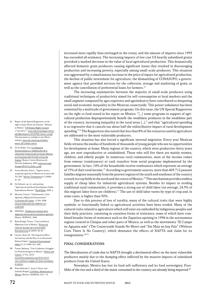- 11 Report of the Special Rapporteur on the right to food, Olivier de Schutter. "Mission to Mexico." UN Human Rights Council. 17 Jan.2012. 7. [www.srfood.org/images/stories/](www.srfood.org/images/stories/pdf/officialreports/20120306_mexico_en.pdf) [pdf/officialreports/20120306\\_mexico\\_en.pdf](www.srfood.org/images/stories/pdf/officialreports/20120306_mexico_en.pdf). This document is available on the Watch website: [www.rtfn-watch.org/en/home/](http://www.rtfn-watch.org/en/home/watch-2012/main-sources) [watch-2012/main-sources](http://www.rtfn-watch.org/en/home/watch-2012/main-sources).
- 12 De Ita Rubio, Ana. Los Impactos Socioeconómicos y Ambientales de la Liberación Comercial de los Granos Básicos en el Contexto del TLCAN: el Caso de Sinaloa. Mexico: Centro Mexicano de Derecho Ambiental, 2003. [www.vv.cec.org/](www.vv.cec.org/Storage/49/4114_DeIta_es.pdf) [Storage/49/4114\\_DeIta\\_es.pdf](www.vv.cec.org/Storage/49/4114_DeIta_es.pdf).
- 13 Acosta Reveles, Irma L. "Ingreso rural y ocupación agrícola en México en el marco del TLCAN." Revista Trabajadores 67 (2008): 41–45.
- 14 De Schutter, op. cit.; and quoting "Agricultural and Rural Development Public Expenditures Review." World Bank. 2009. x.
- 15 Mestries, Francis. "Globalización, Crisis Agrícola y Migración Internacional." La Jornada del Campo. 12 Feb. 2008. [www.jornada.unam.mx/2008/02/12/](www.jornada.unam.mx/2008/02/12/exodo.html) [exodo.html](www.jornada.unam.mx/2008/02/12/exodo.html).
- 16 SEDESOL. Tendencias recientes de la migración interna de los jornaleros agrícolas. Mexico: SEDESOL, 2006.
- 17 Rojas Rangel, Teresa. "Crisis and Rural Migration Cost in Mexico." Revista de Ciencias Sociales de la Universidad Iberoamericana 8 (2009): 40–81.
- 18 Cleaver, Harry M. "The Zapatista Effect: the Internet and the Rise of an Alternative Political Fabric." Journal of International Affairs 51.2 (1998): 621–640.
- 19 Turner, Bethany. "Corn Coalitions: Struggles for Food Sovereignty in Mexico." Politics and Culture. 27 Oct. 2010. [www.politicsandculture.org/2010/10/27/](www.politicsandculture.org/2010/10/27/corn-coalitions-struggles-for-food-sovereignty-in-mexico) [corn-coalitions-struggles-for-food-sovereignty](www.politicsandculture.org/2010/10/27/corn-coalitions-struggles-for-food-sovereignty-in-mexico)[in-mexico](www.politicsandculture.org/2010/10/27/corn-coalitions-struggles-for-food-sovereignty-in-mexico).
- 20 Ávila Abelardo C., Jesús J. Flores, and Gabriela Rangel. La Política Alimentaria en México. Mexico: CEDRSSA, 2011. 76.

increased more rapidly than envisaged in the treaty, and the amount of imports since 1995 has exceeded all estimates. The increasing imports of low cost US heavily subsidized grains provoked a marked decrease in the value of local agricultural production. This dramatically affected domestic grain producers causing significant losses that resulted in discouraging production and increasing poverty, especially among small-scale producers. This situation was aggravated by a simultaneous increase in the price of inputs for agricultural production, the decline of public investment for agriculture, the dismantling of CONASUPO, a government agency that provided services for the collection, storage and marketing of grain, as well as the cancellation of preferential loans for farmers.<sup>13</sup>

The increasing asymmetries between the majority of small-scale producers using traditional techniques of productivity aimed for self-consumption or local markets and the small segment composed by agro exporters and agroindustry have contributed to deepening social and economic inequality in the Mexican countryside. This power unbalance has been cemented by a multitude of government programs. On this issue, the UN Special Rapporteur on the right to food stated in his report on Mexico: "[…] some programs in support of agricultural production disproportionately benefit the wealthiest producers in the wealthiest part of the country, increasing inequality in the rural areas […]," and that "agricultural spending is so regressive that it cancels out about half the redistributive impact of rural development spending."14The Rapporteur also noted that less than 8% of the resources used in agriculture are addressed to the most vulnerable producers.

This situation has also forced a significant internal migration. Every year Mexican fields witness the exodus of hundreds of thousands of young people who see no opportunities for development at home. Many regions of the country, which were productive thirty years ago, are now unproductive or uninhabited. Those who still live there are mainly women, children, and elderly people. In numerous rural communities, most of the income comes from remesas (remittances) or cash transfers from social programs implemented by the government. In fact, 10% of the households receive remittances which represent an average of 15% of their total income.<sup>15</sup> According to government sources, more than 405.712 peasant families migrate seasonally from the poorest regions of the south and southeast of the country to work in crop fields in the north and the centre of Mexico.<sup>16</sup> This mechanism provides endless supply of cheap labor for industrial agricultural systems. Besides its impact in eroding traditional rural communities, it provokes a strong use of child labor (on average, 24.3% of this migrant labor force are children).<sup>17</sup> The use of child labor varies by type of crop and, in some cases, is higher than 50%.

Due to this process of loss of rurality, many of the cultural traits that were highly symbolic or functionally linked to agricultural activities have been eroded. Many of the cultural traits related to agriculture which still exist are embodied by indigenous peoples and their daily practices, consisting in countless forms of resistance, some of which have combined broader forms of resistance such as the Zapatista uprising in 1994 in the autonomous regions created in Chiapas and other parts of Mexico, as well as the movements "El Campo no Aguanta más" (The Countryside Stands No More) and "Sin Maíz no hay País" (Without Corn There Is No Country), which denounce the effects of NAFTA and claim for its renegotiation.18,19

#### Final considerations

The liberalization of trade due to NAFTA brought a detrimental effect on the most vulnerable producers mainly due to the dumping effect inflicted by the massive imports of subsidized products from the United States.

Nowadays, Mexico has lost its food self-sufficiency and its food sovereignty. Fourfifths of the rice and a third of the maize consumed in the country are already being imported.<sup>20</sup>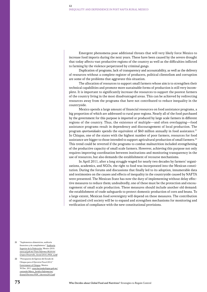Emergent phenomena pose additional threats that will very likely force Mexico to increase food imports during the next years. These have been caused by the severe drought that today affects vast productive regions of the country as well as the difficulties inflicted to farming by the violence perpetrated by criminal gangs.

Duplication of programs, lack of transparency and accountability, as well as the delivery of resources without a complete register of producers, political clientelism and corruption are some of the problems that aggravate this situation.

The allocation of resources to support small farmers whose aim is to strengthen their technical capabilities and promote more sustainable forms of production is still very incomplete. It is important to significantly increase the resources to support the poorest farmers of the country living in the most disadvantaged areas. This can be achieved by redirecting resources away from the programs that have not contributed to reduce inequality in the countryside.

Mexico spends a large amount of financial resources on food assistance programs, a big proportion of which are addressed to rural poor regions. Nearly all of the food purchased by the government for this purpose is imported or produced by large scale farmers in different regions of the country. Thus, the existence of multiple—and often overlapping—food assistance programs result in dependency and discouragement of local production. The program *oportunidades* spends the equivalent of \$60 million annually in food assistance.<sup>21</sup> In Chiapas, one of the states with the highest number of poor farmers, resources for food assistance are bigger to those intended to support agricultural production of small farmers.<sup>22</sup> This trend could be reverted if the programs to combat malnutrition included strengthening of the productive capacity of small scale farmers. However, achieving this purpose not only requires improving coordination between institutions and monitoring transparency in the use of resources, but also demands the establishment of recourse mechanisms.

In April 2011, after a long struggle waged for nearly two decades by farmers' organizations, academics, and NGOs, the right to food was incorporated into the Mexican constitution. During the forums and discussions that finally led to its adoption, innumerable data and testimonies on the causes and effects of inequality in the countryside caused by NAFTA were presented. The Mexican State has now the duty of implementing without delay effective measures to reduce them; undoubtedly, one of these must be the protection and encouragement of small scale production. These measures should include another old demand: the establishment of trade safeguards to protect domestic production of corn and beans. To a large extent, Mexican food sovereignty will depend on these measures. The contribution of organized civil society will be to expand and strengthen mechanisms for monitoring and verification of compliance with the new constitutional provisions.

- 21 "Suplementos alimenticios, auditoría financiera y de cumplimiento." Auditoría Superior de la Federación. Mexico 2010. [www.asf.gob.mx/Trans/Informes/IR2010i/](www.asf.gob.mx/Trans/Informes/IR2010i/Grupos/Desarrollo_Social/2010_0926_a.pdf) [Grupos/Desarrollo\\_Social/2010\\_0926\\_a.pdf](www.asf.gob.mx/Trans/Informes/IR2010i/Grupos/Desarrollo_Social/2010_0926_a.pdf).
- 22 "Presupuesto de Egresos del Estado de Chiapas para el Ejercicio Fiscal 2012." Government of Chiapas. Mexico. 30 Dec. 2011. [www.haciendachiapas.gob.mx/](www.haciendachiapas.gob.mx/contenido/Marco_Juridico/Informacion/Estatal/Decretos/PDF_1decretos2012.pdf) [contenido/Marco\\_Juridico/Informacion/](www.haciendachiapas.gob.mx/contenido/Marco_Juridico/Informacion/Estatal/Decretos/PDF_1decretos2012.pdf) [Estatal/Decretos/PDF\\_1decretos2012.pdf](www.haciendachiapas.gob.mx/contenido/Marco_Juridico/Informacion/Estatal/Decretos/PDF_1decretos2012.pdf).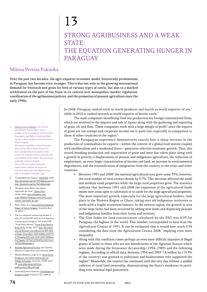## 13

## Strong Agribusiness and a Weak **STATE:** the Equation Generating Hunger in **PARAGUAY**

#### Milena Pereira Fukuoka1

Over the past two decades, the agro-exporter economic model, historically predominant in Paraguay, has become even stronger. This is due not only to the growing international demand for livestock and grain for feed of various types of cattle, but also to a marked withdrawal on the part of the State in its control over monopolies, market regulation, coordination of the agribusiness policies, and the promotion of peasant agriculture since the early 1990s.

1 Milena Pereira Fukuoka is an attorney specialized in human rights. She is a member of the Investigation Team for Food Sovereignty and Right to Food from Base I.S. She is also a member of the Seed Group FIAN Paraguay. The author would like to thank Fernanda Siles and Ana María Suarez Franco for their valuable help in the review of this article. The content of the article is the sole responsibility of the author. This article was originally written in Spanish. This article was written before the impeachment without due process in July 2012 which led to the dismissal from office of President Fernando Lugo.

- 2 "Commodities by Country." FAOSTAT. 2009. <http://faostat.fao.org/site/339/default.aspx> and <http://faostat.fao.org/site/342/default.aspx>.
- 3 "Paraguay cierra 2010 como sétimo exportador de carne." Ultima Hora. 24 Dec. 2010. [www.ultimahora.com/](www.ultimahora.com/notas/389434-Paraguay-cierra-2010-como-septimo-exportador-de-cane) [notas/389434-Paraguay-cierra-2010-como](www.ultimahora.com/notas/389434-Paraguay-cierra-2010-como-septimo-exportador-de-cane)[septimo-exportador-de-cane](www.ultimahora.com/notas/389434-Paraguay-cierra-2010-como-septimo-exportador-de-cane).
- 4 Palau, Tomas, et al. Social and Environmental Impact of Soy in Paraguay. Asunción: Base I.S, 2010. 7.
- 5 This is a consistent national tax burden of only 13% of the GDP while in Latin American it makes up an average of 19% of the GDP. "Trade Policy Review." Trade Policy Review Body, WTO. 23 Mar. 2011. [http://docsonline.](http://docsonline.wto.org/imrd/gen_searchResult.asp?RN=0&searchtype=browse&q1=%28+%40meta%5FTitle+Paraguay%29+and+%28+%28+%40meta%5FSymbol+WT%FCTPR%FCG%FC%2A+%29%29&language=3) [wto.org/imrd/gen\\_searchResult.asp?RN=0&se](http://docsonline.wto.org/imrd/gen_searchResult.asp?RN=0&searchtype=browse&q1=%28+%40meta%5FTitle+Paraguay%29+and+%28+%28+%40meta%5FSymbol+WT%FCTPR%FCG%FC%2A+%29%29&language=3) [archtype=browse&q1=%28+%40meta%5FTit](http://docsonline.wto.org/imrd/gen_searchResult.asp?RN=0&searchtype=browse&q1=%28+%40meta%5FTitle+Paraguay%29+and+%28+%28+%40meta%5FSymbol+WT%FCTPR%FCG%FC%2A+%29%29&language=3) [le+Paraguay%29+and+%28+%28+%40meta](http://docsonline.wto.org/imrd/gen_searchResult.asp?RN=0&searchtype=browse&q1=%28+%40meta%5FTitle+Paraguay%29+and+%28+%28+%40meta%5FSymbol+WT%FCTPR%FCG%FC%2A+%29%29&language=3) [%5FSymbol+WT%FCTPR%FCG%FC%2A+](http://docsonline.wto.org/imrd/gen_searchResult.asp?RN=0&searchtype=browse&q1=%28+%40meta%5FTitle+Paraguay%29+and+%28+%28+%40meta%5FSymbol+WT%FCTPR%FCG%FC%2A+%29%29&language=3) [%29%29&language=3](http://docsonline.wto.org/imrd/gen_searchResult.asp?RN=0&searchtype=browse&q1=%28+%40meta%5FTitle+Paraguay%29+and+%28+%28+%40meta%5FSymbol+WT%FCTPR%FCG%FC%2A+%29%29&language=3).
- 6 National Agricultural Census. San Lorenzo: Ministry of Agriculture and Livestock, 2008.
- Méndez Rheineck, Jorge, et al., Sector Rural Paraguayo: una Visión General para un Diálogo Informado, Asunción: UNDP, 2010. 58. [www.undp.org.py/odh/fotos/](www.undp.org.py/odh/fotos/publicaciones2/id8_pub1.pdf) [publicaciones2/id8\\_pub1.pdf](www.undp.org.py/odh/fotos/publicaciones2/id8_pub1.pdf).
- 8 Truth and Justice Comission. Final Report on Ill-gotten Lands. Asunción: TJC, 2008.26.

In 2008, Paraguay ranked sixth as world producer and fourth as world exporter of  $\text{soy,}^2$ while in 2010 it ranked seventh as world exporter of bovine cattle.<sup>3</sup>

The main companies benefitting from soy production are foreign transnational firms, which are involved in the imports and sale of inputs along with the gathering and exporting of grain, oil, and flour. These companies work with a large margin of profit<sup>4</sup> since the exports of grain are tax exempt and corporate income tax is quite low, especially in comparison to those of other countries in the region.<sup>5</sup>

The Paraguayan experience demonstrates exactly how a sharp increase in the production of commodities for exports—within the context of a global food system coupled with neoliberalism and a weakened State—generates selective economic growth. Thus, this record-breaking production and exportation of grain and meat has taken place along with a growth in poverty, a displacement of peasant and indigenous agriculture, the reduction of employment, an even larger concentration of income and land, an increase in environmental degradation, and the intensification of emigration from the country to the cities and other countries.

- Between 1991 and 2008<sup>6</sup> the national agricultural area grew some 35%; however, the total number of rural estates shrank by 5.7%. This decrease affected the small and medium sized properties while the large rural properties grew. The statistics indicate that between 1991 and 2008 the expansion of the agricultural lands meant new areas open to cultivation or to cattle for the large agricultural properties. The most important growth, especially for the large agricultural holders, took place in the Western Region or Chaco, taking over old indigenous territories or lands with a fragile ecosystem balance. In the eastern region, the growth in area of the large farms had been occurred by adding new lands and displacing peasant and indigenous families from their farms and territory.
- The Gini Index for land concentration calculated by the FAO was 0.93 for Paraguay, the highest in the world. This number corresponded to data from the Agricultural Census of 1991. It can be estimated that it would now reach 0.94 considering the data from the Agricultural Census 2008,<sup>7</sup> implying even more inequality.
- Along with this condition comes perhaps an even more difficult situation of illegal grants of lands to those who are not beneficiaries of the Agrarian Statute which were made during the Stroessner dictatorship (1954–1989) and the following regimes. According to official data, between 1954 and 2003 7.8 million ha (19.3% of the country) was granted to politicians and businessmen who supported the regime.<sup>8</sup> Meanwhile, the country has continued until this very day without a unified cadastre of rural land ownership, demonstrating the State's weakness in providing even minimal legal guarantees.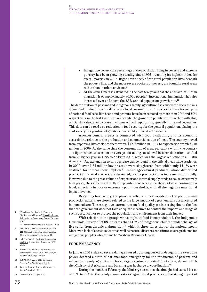- In regard to poverty the percentage of the population living in poverty and extreme poverty has been growing steadily since 1995, reaching its highest index for overall poverty in 2002. Right now 48.9% of the rural population lives beneath the poverty line, and the most severe pockets of poverty are found in rural areas rather than in urban environs.<sup>9</sup>
- At the same time it is estimated in the past few years that the annual rural-urban migration is of approximately 90,000 people.<sup>10</sup> International immigration has also increased over and above the 2.3% annual population growth rate.<sup>11</sup>

The deterioration of peasant and indigenous family agriculture has caused the decrease in a diversified production of food items for local consumption. Products that have formed part of national food base, like beans and peanuts, have been reduced by more than 20% and 30% respectively in the last twenty years despite the growth in population. Together with this, official data shows an increase in volume of food importation, specially fruits and vegetables. This data can be read as a reduction in food security for the general population, placing the civil society in a position of greater vulnerability if faced with a crisis.

Another central aspect is connected with food availability and its economic accessibility relative to the production and commercialization of meat. The country moved from exporting livestock products worth \$42.9 million in 1995 to exportation worth \$418 million in 2006. At the same time the consumption of meat per capita within the country —a figure which is based on an average, not taking social level into consideration—shifted from 77 kg per year in 1995 to 32 kg in 2005, which was the largest reduction in all Latin America.<sup>12</sup> An explanation to this decrease can be found in the official meat trade statistics. In 2010, over 1.75 million bovine cattle were slaughtered from which only 15.1% were destined for internal consumption.<sup>13</sup> Unlike agricultural products, whose diversified production for local markets has decreased, bovine production has increased substantially. However, due to the great volume of exportations internal supply tends to cause excessively high prices, thus affecting directly the possibility of access to a choice of meat consumption level, especially in poor or extremely poor households, with all the negative nutritional impact involved.

Regarding food safety, the principal affectations generated by the predominant production pattern are closely related to the large amount of agrochemical substances used in monoculture. These negative externalities on food quality are increasing due to the fact that the government does not take adequate measures to control the imports and usage of such substances, or to protect the population and environment from their impact.

With relation to the groups whose right to food is most violated, the Indigenous Household Survey of 2008 indicates that 41.7% of indigenous children under the age of five suffer from chronic malnutrition, $14$  which is three times that of the national mean. Moreover, lack of access to water as well as natural disasters constitute severe problems for indigenous peoples who live in the Western Region or Chaco.

#### Food emergency

In January 2012, due to severe damage caused by a long period of drought, the executive power decreed a state of national food emergency for the production of peasant and indigenous family agriculture. This emergency situation lasted ninety days, during which the Ministry of Agriculture and Farming was in charge of coordination.<sup>15</sup>

During the month of February, the Ministry stated that the drought had caused losses of 30% to 70% to the family-owned estates' agricultural production. The strong impact of

- 9 "Principales Resultados de Pobreza y Distribución del Ingreso." Dirección General de Estadística, Encuestas y Censos Paraguay. 2011.
- ---. "Encuesta Permanente de Hogares." 2010.
- 10 Some 18.000 families from the more than 241,000 families living on lots of less than 20ha in the country. Palau, op. cit. 11.
- 11 Halpern, Gerardo. Etnicidad, inmigración y política. Buenos Aires: Prometeo, 2009. 87–88.
- 12 El Estado Mundial de la Agricultura y la Alimentación. Rome: FAO, 2009. [www.fao.](www.fao.org/publications/sofa-2009/es) [org/publications/sofa-2009/es](www.fao.org/publications/sofa-2009/es).
- 13 SENACSA. Anuario 2010 Estadística Pecuaria. Yby Yaú: Senacsa, 2010.
- 14 Sanabria, Marta. "Desnutricão: Ainda un desafio." São Paulo, 2011.
- 15 Decree N° 8282, 17 Jan. 2012.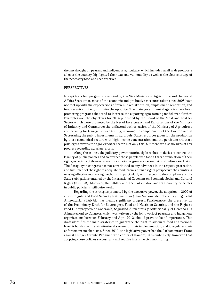the last drought on peasant and indigenous agriculture, which includes small scale producers all over the country, highlighted their extreme vulnerability as well as the clear shortage of the necessary food and seed reserves.

#### **PERSPECTIVES**

Except for a few programs promoted by the Vice Ministry of Agriculture and the Social Affairs Secretariat, most of the economic and productive measures taken since 2008 have not met up with the expectations of revenue redistribution, employment generation, and food security. In fact, it is quite the opposite. The main governmental agencies have been promoting programs that tend to increase the exporting agro-farming model even further. Examples are: the objectives for 2014 published by the Board of the Meat and Leather Sector which were promoted by the Net of Investments and Exportations of the Ministry of Industry and Commerce; the unilateral authorization of the Ministry of Agriculture and Farming for transgenic corn testing, ignoring the competencies of the Environmental Secretariat; the public investments in agrofuels; State resources given for the production by those economical sectors with high income concentration; and the persistent tributary privileges towards the agro-exporter sector. Not only this, but there are also no signs of any progress regarding agrarian reform.

Along these lines, the judiciary power notoriously breaches its duties to control the legality of public policies and to protect those people who face a threat or violation of their rights, especially of those who are in a situation of great socioeconomic and cultural exclusion. The Paraguayan congress has not contributed to any advances in the respect, protection, and fulfillment of the right to adequate food. From a human rights perspective the country is missing effective monitoring mechanisms, particularly with respect to the compliance of the State's obligations entailed by the International Covenant on Economic Social and Cultural Rights (ICESCR). Moreover, the fulfillment of the participation and transparency principles in public policies is still quite weak.

Regarding the strategies promoted by the executive power, the adoption in 2009 of a Sovereignty and Food Security National Plan (Plan Nacional de Soberania y Seguridad Alimentaria, PLANAL) has meant significant progress. Furthermore, the presentation of the Preliminary Draft for Sovereignty, Food and Nutrition Security, and the Right to Food (Anteproyecto de Soberanía, Seguridad Alimentaria y Nutricional, y el Derecho a la Alimentación) to Congress, which was written by the joint work of peasants and indigenous organizations between February and April 2012, should prove to be of importance. This draft identifies the main strategies to guarantee the right to adequate food at a national level, it builds the inter-institutional system for their implementation, and it regulates their enforcement mechanisms. Since 2011, the legislative power has the Parliamentary Front against Hunger (Frente Parlamentario contra el Hambre); it is quite likely, however, that adopting these policies successfully will require intensive civil monitoring.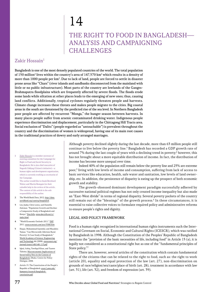## 14

### The Right to Food in Bangladesh— Analysis and Campaigning **CHALLENGES**

### $Z$ akir Hossain<sup>1</sup>

Bangladesh is one of the most densely populated countries of the world. The total population of 150 million<sup>2</sup> lives within the country's area of  $147,570$  km<sup>2</sup> which results in a density of more than  $1000$  people per km $^2$ . Due to lack of land, people are forced to settle in disaster prone areas like "Chars" (river islands and sandbanks disconnected from the mainland with little or no public infrastructure). Most parts of the country are lowlands of the Ganges-Brahmaputra floodplains which are frequently affected by severe floods. The floods erode some lands while siltation at other places leads to the emerging of new ones; thus, causing land conflicts. Additionally, tropical cyclones regularly threaten people and harvests. Climate change increases these threats and makes people migrate to the cities. Big coastal areas in the south are threatened by the predicted rise of the sea level. In Northern Bangladesh poor people are affected by recurrent "Monga," the hunger season between harvests. In many places people suffer from arsenic contaminated drinking water. Indigenous people experience discrimination and displacement, particularly in the Chittagong Hill Tracts area. Social exclusion of "Dalits" (people regarded as "untouchable") is prevalent throughout the country and the discrimination of women is widespread, having one of its main root causes in the traditional practices of dowry and early arranged marriages.

1 Zakir Hossain is a member secretary of steering committee for the Campaign for Right to Food and Social Security in Bangladesh. He is also chief executive of Nagorik Uddyog (Citizen's initiative)—a human rights and development organization, which is currently working as secretariat of the Campaign.

The author would like to thank Bernhard Walter and Martin Remppis for their valuable help in the review of the article. The content of this article is the sole responsibility of the author.

- 2 The World Bank Data, 2012. [http://data.](http://data.worldbank.org/country/bangladesh) [worldbank.org/country/bangladesh](http://data.worldbank.org/country/bangladesh).
- 3 Lin, Jiadai, Chris Lentz, and Daniella Zalcman. "Population Growth and Decline: a Comparative Study of Bangladesh and Kenya." Dan.Iella. [www.dan.iella.net/cs/](www.dan.iella.net/cs/index.html) [index.html](www.dan.iella.net/cs/index.html).
- 4 "World Economic Outlook-2011." IMF. 2011. <www.econstats.com/weo/V006.htm>.
- 5 Haque, Muhammad Sayeedul, and Masahiro Yamao. "Can Microcredit Alleviate Rural Poverty? A Case Study of Bangladesh." World Academy of Science, Engineering and Technology 46 (2008). [www.waset.org/](www.waset.org/journals/waset/v46/v46-113.pdf) [journals/waset/v46/v46-113.pdf](www.waset.org/journals/waset/v46/v46-113.pdf).
- 6 Iqbal, Ashiq, Towfiqul Khan, and Tazeen Tahsina. Macroeconomic Implications of Social Safety Nets in the Context of Bangladesh. Dhaka: Centre for Policy Dialogue, 2008.
- 7 Article 15. The Constitution of the People's Republic of Bangladesh: [www1.umn.edu/](www1.umn.edu/humanrts/research/bangladesh-constitution.pdf) [humanrts/research/bangladesh](www1.umn.edu/humanrts/research/bangladesh-constitution.pdf)[constitution.pdf](www1.umn.edu/humanrts/research/bangladesh-constitution.pdf).

Although poverty declined slightly during the last decade, more than 63 million people still continue to live below the poverty line.<sup>3</sup> Bangladesh has recorded a GDP growth rate of around 7% during the last couple of years with a declining trend in poverty;<sup>4</sup> however, this has not brought about a more equitable distribution of income. In fact, the distribution of income has become more unequal over time.

Indeed 40% of the population still remain below the poverty line and 25% are extreme poor,<sup>5</sup> living with low levels of income and consumption, suffering from lack of access to basic services like education, health, safe water and sanitation, low levels of land ownership, etc. In addition, the persistence of disparity is eating up the prospect of both economic growth and stability.

The growth-obsessed dominant development paradigm successfully adhered by successive national political regimes has not only created income inequality but also made an "East-West divide" in terms of regional disparity. Several poverty pockets of the country still remain out of the "blessings" of the growth process.<sup>6</sup> In these circumstances, it is essential to raise collective voices to formulate required policy and administrative reforms to ensure people's rights and dignity.

#### Legal and policy framework

Food is a human right recognized in international human rights instruments such the International Covenant on Social, Economic and Cultural Rights (ICESCR), which was ratified by Bangladesh in 1998. Although the Constitution of the Peoples' Republic of Bangladesh mentions the "provision of the basic necessities of life, including food" in Article 15 (a), it is legally not considered as a constitutional right but as one of the "fundamental principles of State policy."7

There are, however, several articles of the constitution which contain fundamental rights of the citizens that can be related to the right to food, such as: the right to work (article 20), equality and equal protection of the law (art. 27), non-discrimination on grounds of race/religion/sex/caste/place of birth (art. 28), treatment in accordance with law (art. 31), life (art. 32), and freedom of expression (art. 39).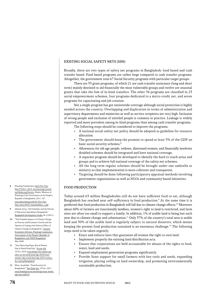#### Existing Social Safety Nets (SSN)

Broadly, there are two types of safety net programs in Bangladesh: food based and cash transfer based. Food based programs are rather large compared to cash transfer programs. Altogether, the government runs 67 Social Security programs with particular target groups:

There are 33 grant programs, of which 21 are cash transfer assistance (long and short term) mainly destined to aid financially the most vulnerable groups and twelve are seasonal grants that take the fom of in-kind transfers. The other 34 programs are classified in 23 social empowerment schemes, four programs dedicated to a micro-credit net, and seven programs for capacitating and job creation.

Not a single program has got nationwide coverage although social protection is highly needed across the country. Overlapping and duplication in terms of administration and supervisory departments and ministries as well as service recipients are very high. Inclusion of wrong people and exclusion of entitled people is common in practice. Leakage is widely reported and more prevalent among in-kind programs than among cash transfer programs.

- The following steps should be considered to improve the programs:
- A national social safety net policy should be adopted as guideline for resource allocation.
- The government should keep the promise to spend at least 3% of the GDP on basic social security schemes.<sup>8</sup>
- Allowances for old age people, widows, distressed women, and financially insolvent disabled schemes should be integrated and have national coverage.
- A separate program should be developed to identify the hard to reach areas and groups and to achieve full national coverage of the safety net schemes.
- All the long term regular schemes should be brought under one umbrella or ministry so that implementation is more coherent and transparent.
- Targeting should be done following participatory appraisal methods involving government organisations as well as NGOs and community based initiatives.

#### Food production

Today around 63 million Bangladeshis still do not have sufficient food to eat, although Bangladesh has reached near self-sufficiency in food production.<sup>9</sup> At the same time it is predicted that food production in Bangladesh will fall due to climate change effects.<sup>10</sup> Moreover about 60% of farmers are functionally landless, women's right to land is restricted, and farm sizes are often too small to support a family. In addition, 1% of arable land is being lost each year due to climate change and urbanization.11 Only 37% of the country's total area is arable land and 30% of the arable land is regularly subject to natural disasters, which means keeping the present food production sustained is an enormous challenge.<sup>12</sup> The following steps need to be taken urgently:

- Enact and enforce laws that guarantee all women the right to own land.
- Implement properly the existing land distribution acts.
- Ensure that corporations are held accountable for abuses of the rights to food, water, land and seeds.
- Expand employment generation programs significantly.
- Provide State support for small farmers with key tools and seeds, expanding irrigation, placing ceiling on land ownership, and promoting environmentally sustainable production.
- 8 Planning Commission. Sixth Five Year Plan FY2011–2015: Accelerating Growth and Reducing Poverty. Dhaka: Ministry of Planning of the Government of the People's Republic of Bangladesh, 2011. 167. [www.plancomm.gov.bd/Six-Five-Year-](www.plancomm.gov.bd/Six-Five-Year-Plan-2012/SFYP_Final%20Part_1.pdf)[Plan-2012/SFYP\\_Final%20Part\\_1.pdf](www.plancomm.gov.bd/Six-Five-Year-Plan-2012/SFYP_Final%20Part_1.pdf).
- 9 Ahmed, Israq. "Aid Volatility and the Pattern of Education Spending in Bangladesh." Bangladesh Development Studies 34. 2 (2011).
- 10 "The Probable Impacts of Climate Change on Poverty and Economic Growth and the Options of Coping with Adverse Effect of Climate Change in Bangladesh." General Economics Division, Planning Commission, Government of the People's Republic of Bangladesh, and UNDP Bangladesh. May 2009.
- 11 "Day Observing Paper, Rural Women Day & World Food Day." Action Aid. 16 Oct. 2010. [www.hunger-free-planet.org/](http://www.hunger-free-planet.org/what-we-do/world-food-day-2010/rural-womens-day-world-food-day-2010-country-by-country#bangladesh) [what-we-do/world-food-day-2010/rural](http://www.hunger-free-planet.org/what-we-do/world-food-day-2010/rural-womens-day-world-food-day-2010-country-by-country#bangladesh)[womens-day-world-food-day-2010-country](http://www.hunger-free-planet.org/what-we-do/world-food-day-2010/rural-womens-day-world-food-day-2010-country-by-country#bangladesh)[by-country#bangladesh](http://www.hunger-free-planet.org/what-we-do/world-food-day-2010/rural-womens-day-world-food-day-2010-country-by-country#bangladesh).
- 12 Khan, Asadullah. "Food Security for Bangladesh." The Daily Star. 29 Oct. 2011. [www.thedailystar.net/newDesign/news-details.](www.thedailystar.net/newDesign/news-details.php?nid=208325) [php?nid=208325](www.thedailystar.net/newDesign/news-details.php?nid=208325).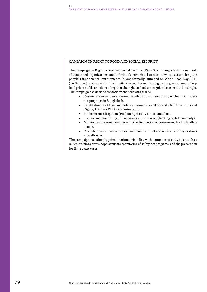#### Campaign on Right to Food and Social Security

The Campaign on Right to Food and Social Security (RtF&SS) in Bangladesh is a network of concerned organizations and individuals committed to work towards establishing the people's fundamental entitlements. It was formally launched on World Food Day 2011 (16 October), with a public rally for effective market monitoring by the government to keep food prices stable and demanding that the right to food is recognized as constitutional right. The campaign has decided to work on the following issues:

- Ensure proper implementation, distribution and monitoring of the social safety net programs in Bangladesh.
- Establishment of legal and policy measures (Social Security Bill, Constitutional Rights, 100 days Work Guarantee, etc.).
- Public interest litigation (PIL) on right to livelihood and food.
- Control and monitoring of food grains in the market (fighting cartel monopoly).
- Monitor land reform measures with the distribution of government land to landless people.
- Promote disaster risk reduction and monitor relief and rehabilitation operations after disaster.

The campaign has already gained national visibility with a number of activities, such as rallies, trainings, workshops, seminars, monitoring of safety net programs, and the preparation for filing court cases.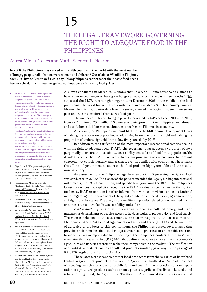# 15

## The Legal Framework Governing THE RIGHT TO ADEQUATE FOOD IN THE **PHILIPPINES**

### Aurea Miclat-Teves and Maria Socorro I. Diokno1

In 2008 the Philippines was ranked as the fifth country in the world with the most number of hungry people, half of whom were women and children.<sup>2</sup> Out of about 95 million Filipinos, over 70% live on less than \$1.25 a day.<sup>3</sup> Many Filipinos cannot meet their basic food needs because the daily minimum wage has not kept pace with rising food prices.

- Aurea G. Miclat-Teves is the vice president of FIAN International and concurrently the president of FIAN Philippines. In the Philippines she is the founder and executive director of the Project Development Institute, an organization working on asset reform and rural development for peasants and indigenous communities. She is an expert on rural development work and has written extensively on the rights-based approach to governance, specifically asset reform. Maria Socorro I. Diokno is the director of the Free Legal Assistance Group in the Philippines. She is an internationally recognized expert on human rights. She has a wide-ranging experience on human rights and has written extensively on the subject. The authors would like to thank Bernhard Walter, Martin Remppis, Christine Campeau, and Biraj Patnaik for their valuable help in the review of the article. The content of the article is the sole responsibility of the authors.
- 2 Digal, Santosh. "Hunger Growing as 40 per Cent of Filipinos Lack of Food." Asia News. 11 June 2008. [www.asianews.it/news-en/](www.asianews.it/news-en/Hunger-growing-as-40-per-cent-of-Filipinos-lack-of-food-13682.html) [Hunger-growing-as-40-per-cent-of-Filipinos](www.asianews.it/news-en/Hunger-growing-as-40-per-cent-of-Filipinos-lack-of-food-13682.html)[lack-of-food-13682.html](www.asianews.it/news-en/Hunger-growing-as-40-per-cent-of-Filipinos-lack-of-food-13682.html).
- 3 Papademetriou, Minas K., et al., eds. Rice Production in the Asia-Pacific Region: Issues and Perspectives. Bangkok: FAO, 2000. [www.fao.org/docrep/003/x6905e/](www.fao.org/docrep/003/x6905e/x6905e04.htm) [x6905e04.htm](www.fao.org/docrep/003/x6905e/x6905e04.htm).
- 4 "First Quarter 2012 Self-Rated Hunger Incidence Survey." Social Weather Stations. 11 May 2012. <www.sws.org.ph/>.
- 5 Virola, Romulo, A., "One Family Per 100 was Lifted Out of Food Poverty in 2009." National Statistics Coordination Board. 8 Feb. 2011. [www.nscb.gov.ph/poverty/2009/](www.nscb.gov.ph/poverty/2009/default.asp) [default.asp](www.nscb.gov.ph/poverty/2009/default.asp).
- The results of the 7<sup>th</sup> National Nutrition Survey (NNS) in 2008 conducted by the Food and Nutrition Research Institute (FNRI) show that there was a significant increase in the proportion of children aged 0–5 years who were underweight (a direct hunger indicator) from 24.6% in 2003 to 26.2% in 2008. [www.fnri.dost.gov.ph/images/](www.fnri.dost.gov.ph/images/stories/7thNNS/nns_result.pdf) [stories/7thNNS/nns\\_result.pdf](www.fnri.dost.gov.ph/images/stories/7thNNS/nns_result.pdf).
- 7 International Covenant on Economic, Social and Cultural Rights; Convention on the Elimination of All Forms of Discrimination Against Women; Convention on the Rights of the Child; Protocol II to Geneva Conventions; and the International Code of Marketing of Breast-milk Substitutes.

A survey conducted in March 2012 shows that 23.8% of Filipino households claimed to have experienced hunger or have gone hungry at least once in the past three months.<sup>4</sup> This surpassed the 23.7% record high hunger rate in December 2008 in the middle of the food price crisis. The latest hunger figure translates to an estimated 4.8 million hungry families. Meanwhile, this first quarter data from the survey showed that 55% considered themselves poor and 37.3% considered themselves food-poor.

The number of Filipinos living in poverty increased by 4.4% between 2006 and 2009, from 22.2 million to 23.1 million.<sup>5</sup> Slower economic growth in the Philippines and abroad, and a soft domestic labor market threaten to push more Filipinos into poverty.

As a result, the Philippines will most likely miss the Millennium Development Goals of halving the proportion of poor households living below the food threshold and halving the proportion of underweight children below five years old by 2015.<sup>6</sup>

In addition to the ratification of the most important international treaties dealing with the right to adequate food  $(RtAF)$ ,<sup>7</sup> the government has adopted a vast array of laws purportedly to ensure the availability, accessibility and safety of food for its population. Yet it fails to realize the RtAF. This is due to certain provisions of various laws that are not coherent, not complementary, and at times, even in conflict with each other. These make the efforts of government to address the food problem highly unstable and the results unsatisfactory.

An assessment of the Philippine Legal Framework (PLF) governing the right to food was conducted in 2008.<sup>8</sup> The review of the policies included the legally binding international instruments, the 1987 Constitution, and specific laws governing the RtAF. The Philippines Constitution does not explicitly recognize the RtAF nor does a specific law on the right to food exist. RtAF recognition is rather inferred from various provisions and constitutional intent regarding the improvement of the quality of life for all, social justice, agrarian reform, and rights of subsistence. The analysis of the different policies related to food focused mainly on three criteria—availability, accessibility and safety.

Food availability laws relate to agrarian reform, agricultural policy, and trade measures as determinants of people's access to land, agricultural productivity, and food supply. The main conclusions of the assessment were that in response to the accession of the Philippines to the 1994 General Agreement on Tariffs and Trade (GATT) and the inclusion of agricultural products to this commitment, the Philippines passed several laws that provided trade remedies that could mitigate unfair trade practices, or undesirable reactions to sudden surges in imports due to the opening of the Philippines' borders. These laws<sup>9</sup> came even later than Republic Act (RA) 8435 that defines measures to modernize the country's agriculture and fisheries sectors to make them competitive in the market.<sup>10</sup> The tariffication of quantitative restrictions in agricultural products similarly gave way to the passage of RA 8178 (Agricultural Tariffication Act).

These laws were meant to protect local producers from the vagaries of liberalized trading in agricultural products. However, the Agricultural Tariffication Act had the effect of repealing laws that provided for prohibitions and quantitative restrictions on the importation of agricultural products such as onions, potatoes, garlic, coffee, livestock, seeds, and tobacco.11 In general, the Agricultural Tariffication Act removed the protection granted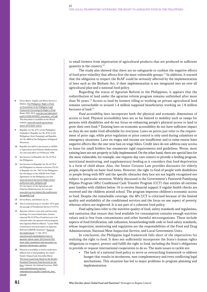- 8 De los Reyes, Virgilio, and Maria Socorro I. Diokno. The Philippines' Right to Food: an Assessment of the Philippine Legal Framework Governing the Right to Food. Rome: FAO, 2010. [www.fao.org/righttofood/](www.fao.org/righttofood/publi10/PHILIPPINES_assessment_vol2.pdf) [publi10/PHILIPPINES\\_assessment\\_vol2.pdf](www.fao.org/righttofood/publi10/PHILIPPINES_assessment_vol2.pdf). This document is available on the Watch website: [www.rtfn-watch.org/en/home/](http://www.rtfn-watch.org/en/home/watch-2012/main-sources) [watch-2012/main-sources](http://www.rtfn-watch.org/en/home/watch-2012/main-sources).
- 9 Republic Act No. 8751 of the Philippines (Subsidies), Republic Act No. 8752 of the Philippines (Anti-Dumping) and Republic Act No. 8800 of the Philippines (Safeguard Measures).
- 10 Republic Act 8435 is also known as AFMA or Agriculture and Fisheries Modernization Act and took effect on 9 February 1998.
- 11 See Section 4 of Republic Act No. 8178 of the Philippines.
- 12 See Section 4 of Republic Act No. 8178 of the Philippines in relation to Section 23(10) of Republic Act No. 7607 of the Philippines. For the impact of the ASEAN Free Trade Agreement on the Philippines see also: [www.seacouncil.org/seacon/images/stories/](www.seacouncil.org/seacon/images/stories/publications/afta_philippine.pdf) [publications/afta\\_philippine.pdf](www.seacouncil.org/seacon/images/stories/publications/afta_philippine.pdf). For the impact of the Agriculture and Fisheries Modernization Act see also: [www.ifpri.org/sites/default/files/publications/](www.ifpri.org/sites/default/files/publications/ifpridp00827.pdf) [ifpridp00827.pdf](www.ifpri.org/sites/default/files/publications/ifpridp00827.pdf).
- 13 De los Reyes, and Diokno. op. cit.
- 14 This is reckoned from 21 October 1972 upon the passage of Presidential Decree 27(1972).
- 15 Agrarian reform is very slow and has many backlogs. In Luzon Island alone, farmers reported 58,101.87ha of land have yet to be released under the agrarian reform program. Save Agrarian Reform Alliance. "Luzon-Wide Consultation and Assessment on Agrarian Reform/CARPER: Synthesis." Focus on the Global South. 11 Apr. 2012. [www.focusweb.org/philippines/state-of](www.focusweb.org/philippines/state-of-agrarian-reform-report-2012/article/583-luzon-wide-consultation-and-assessment-on-agrarian-reformcarper-synthesis)[agrarian-reform-report-2012/article/583](www.focusweb.org/philippines/state-of-agrarian-reform-report-2012/article/583-luzon-wide-consultation-and-assessment-on-agrarian-reformcarper-synthesis) [luzon-wide-consultation-and-assessment-on](www.focusweb.org/philippines/state-of-agrarian-reform-report-2012/article/583-luzon-wide-consultation-and-assessment-on-agrarian-reformcarper-synthesis)[agrarian-reformcarper-synthesis](www.focusweb.org/philippines/state-of-agrarian-reform-report-2012/article/583-luzon-wide-consultation-and-assessment-on-agrarian-reformcarper-synthesis).
- 16 Physical accessibility to food is made more difficult due to land grabbing. See report: Daniel, Shepard and Anuradha Mittal. The Great Land Grab: Rush for the World's Farmland Threatens Food Security for the Poor. Oakland: the Oakland Institute, 2009. [www.oaklandinstitute.org/sites/](www.oaklandinstitute.org/sites/oaklandinstitute.org/files/LandGrab_final_web.pdf) [oaklandinstitute.org/files/LandGrab\\_final\\_](www.oaklandinstitute.org/sites/oaklandinstitute.org/files/LandGrab_final_web.pdf) [web.pdf](www.oaklandinstitute.org/sites/oaklandinstitute.org/files/LandGrab_final_web.pdf).

to small farmers from importation of agricultural products that are produced in sufficient quantity in the country.<sup>12</sup>

The study also showed that there are no safeguards to cushion the negative effects of food price volatility that affects first the most vulnerable groups.<sup>13</sup> In addition, it warned that the obligation to respect the RtAF could be seriously affected by the implementation of laws such as the Biofuels Act, if their implementation is not integrated into an over-all agricultural plan and a national food policy.

Regarding the status of Agrarian Reform in the Philippines, it appears that the redistribution of land under the agrarian reform program remains unfinished after more than  $36$  years.<sup>14</sup> Access to land by farmers tilling or working on private agricultural land remains unreachable to around 1.4 million supposed beneficiaries working on 1.8 million hectares of land<sup>15</sup>

Food accessibility laws incorporate both the physical and economic dimensions of access to food. Physical accessibility laws are so far limited to mobility such as ramps for persons with disabilities and do not focus on enhancing people's physical access to land to grow their own food.<sup>16</sup> Existing laws on economic accessibility do not have sufficient impact as they do not make food affordable for everyone. Laws on prices just refer to the requirement of price tags, while price regulation or price control is only used during calamities or emergency situations. Laws on wages and income are insufficient and to some extent have negative effects like the one-year ban on wage hikes. Credit laws do not address easy access to loans for small holders but enumerate rigid requirements and guidelines. Worse, most existing laws are not properly or fully implemented. On the other hand, there are special laws for the most vulnerable; for example, one requires day care centers to provide a feeding program, nutritional monitoring, and supplementary feeding as it considers that food deprivation is a form of child abuse. Also, the Senior Citizens Law provides discounts for elderly people, especially on basic food items. However, the right to food of people with disabilities or people living with HIV and the specific obstacles they face are not legally recognized nor subject to particular attention. Widely discussed is the Government's Pantawid Pamilyang Pilipino Program (4Ps) Conditional Cash Transfer Program (CCT) that entitles all extreme poor families with children below 14 to receive financial support if regular health checks are received and the children attend school. The program improves children's economic access to food. Despite the remarkable coverage, the 4Ps CCT is criticized because of the limited quality and availability of the conditioned services and the focus on one aspect of poverty, whereas others are neglected. It is not part of a coherent food policy.

Food safety laws refer to the nutritive quality of food, safety standards and regulations, and sanitation that ensure that food available for consumption contains enough nutritive values and is free from contaminants and other harmful microorganisms. These include aspects of food fortification, salt iodization, breastfeeding/milk code or food safety standards, whose inspection, monitoring and regulation are the responsibilities of the Food and Drug Administration, National Meat Inspection Service, and Local Government Units.

In conclusion, the Philippine legal framework falls short of the imperatives for realizing the right to food. It does not sufficiently incorporate the State's human rights obligations to respect, protect and fulfill the right to food, including the State's obligations to provide or request international cooperation to do so. The main issues to tackle are:

The lack of a national food policy to serve as overarching framework to address hunger that results in incoherent, non-complementary and even conflicting legal mechanisms. This situation has led to major problems in program planning and implementation.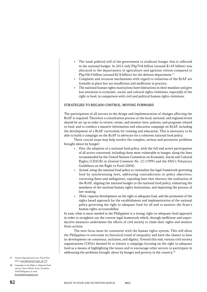- The weak political will of the government to eradicate hunger that is reflected in the national budget. In 2012 only Php70.8 billion (around \$1.65 billion) was allocated to the departments of agriculture and agrarian reform compared to Php106.9 billion (around \$2.8 billion) for the defense department.<sup>17</sup>
- Complaint and recourse mechanisms with regard to violations of the RtAF are formally in place but are insufficient and inefficient in practice.
- The national human rights institutions have limitations in their mandate and give less attention to economic, social, and cultural rights violations, especially of the right to food, in comparison with civil and political human rights violations.

#### Strategies to regain control: Moving forward

The participation of all sectors in the design and implementation of changes affecting the RtAF is required. Therefore a consultation process at the local, national, and regional levels should be set up in order to review, revise, and monitor laws, policies, and programs related to food, and to conduct a massive information and education campaign on RtAF, including the development of a RtAF curriculum for training and education. This is necessary to be able to build a campaign on the RtAF to advocate for a coherent national food policy.

Three crucial steps may help resolve the complex, serious and persistent problems brought about by hunger:

- First, the adoption of a national food policy, with the full and active participation of all actors concerned, including those most vulnerable to hunger, along the lines recommended by the United Nations Committee on Economic, Social and Cultural Rights (CESCR) in General Comment No. 12 (1999) and the FAO's Voluntary Guidelines on the Right to Food (2004).
- Second, using the national food policy to rationalize the legal framework governing food by synchronizing laws, addressing contradictions in policy objectives, correcting flaws and ambiguities, repealing laws that obstruct the realization of the RtAF, aligning the national budget to the national food policy, enhancing the mandates of the national human rights institutions, and improving the process of law-making.
- *Third*, capacity development on the right to adequate food, and the promotion of the rights based approach for the establishment and implementation of the national policy governing the right to adequate food for all and to monitor the State's human rights accountability.

In sum, what is most needed in the Philippines is a strong, right-to-adequate-food approach in order to straighten out the current legal framework which, through inefficient and unproductive measures undermines the efforts of civil society to claim their rights and monitor State actions.

The new focus must be consistent with the human rights system. This will allow the Philippines to overcome its historical trend of inequality and have the chance to base its development on consensus, inclusion, and dignity. Toward this end, various civil society organizations (CSOs) deemed fit to initiate a campaign focusing on the right to adequate food as a means of highlighting the issues and to encourage other sectors to participate in addressing the problems brought about by hunger and poverty in the country.<sup>18</sup>

- 17 General Appropriations Act, Fiscal Year 2012. [www.dbm.gov.ph/?page\\_id=775](www.dbm.gov.ph/?page_id=775)
- 18 Campaign on the Right to Adequate Food contact: Aurea Miclat-Teves, President, FIAN Philippines. E-mail: fian.philippines@gmail.com.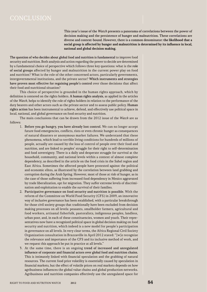This year's issue of the Watch presents a panorama of correlations between the power of decision making and the persistence of hunger and malnutrition. These correlations are diverse and context-bound. However, there is a common denominator: the likelihood that a social group is affected by hunger and malnutrition is determined by its influence in local, national and global decision making.

The question of who decides about global food and nutrition is fundamental to improve food security and nutrition. Both analysis and action regarding the power to decide are determined by a fundamental choice of perspective which follows three key questions: what is the role of social groups affected by hunger and malnutrition in the current power play on food and nutrition? What is the role of the other concerned actors, particularly governments, intergovernmental institutions, and the private sector? Which instruments and strategies have proven most effective for regaining people's control over those decisions that affect their food and nutritional situation?

This choice of perspective is grounded in the human rights approach, which by definition is centered on the rights holders. A human rights analysis, as applied in the articles of the Watch, helps to identify the role of rights holders in relation to the performance of the duty bearers and other actors such as the private sector and to assess public policy. Human rights action has been instrumental to achieve, defend, and effectively use political space in local, national, and global governance on food security and nutrition.

The main conclusions that can be drawn from the 2012 issue of the Watch are as follows:

- 1. Before you go hungry, you have already lost control. We can no longer accept future food emergencies, conflicts, riots or even chronic hunger as consequences of natural disasters or anonymous market failures. We understand that these phenomena, which lead to terrible living conditions for hundreds of millions of people, actually are caused by the loss of control of people over their food and nutrition, and are linked to peoples' struggle for their right to self-determination and food sovereignty. There is a daily and desperate struggle for survival at the household, community, and national levels within a context of almost complete dependency, as described in the article on the food crisis in the Sahel region and East Africa. Sometimes the affected people have protested against the political and economic elites, as illustrated by the correlation between land grabbing and corruption during the Arab Spring. However, most of those at risk of hunger, as in the case of those suffering from increased food dependency in Mexico aggravated by trade liberalization, opt for migration. They suffer extreme levels of discrimination and exploitation to enable the survival of their families.
- 2. Participative governance on food security and nutrition is possible. With the reform of the Committee on World Food Security (CFS) in 2009, an innovative way of inclusive governance has been established, with a particular breakthrough for those civil society groups that traditionally have been excluded from decision making processes on all levels: peasants, smallholder farmers, agricultural and food workers, artisanal fisherfolk, pastoralists, indigenous peoples, landless, urban poor, and, in each of these constituencies, women and youth. Their representatives now have a recognized political space in global decision making on food security and nutrition, which indeed is a new model for people's participation in governance on all levels. In very clear terms, the Africa Regional Civil Society Organization consultation in Brazzaville in April 2012 stated: "[w]e recognize the relevance and importance of the CFS and its inclusive method of work, and we request this approach be put in practice at all levels."
- 3. At the same time, there is an ongoing trend of increased and unregulated influence of corporate and financial actors over global food and nutrition chains. This is intimately linked with financial speculation and the grabbing of natural resources. The current food price volatility is essentially caused by speculation in financial markets, but the effect of volatile prices on real markets depends on how agribusiness influences the global value chains and global production networks. Agribusiness and nutrition companies effectively use the unregulated space for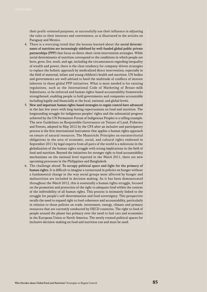their profit-oriented purposes, or successfully use their influence in adjusting the rules to their interests and convenience, as is illustrated in the articles on Paraguay and Mexico.

- 4. There is a worrying trend that the lessons learned about the social determinants of nutrition are increasingly sidelined by well-funded global public private partnerships (PPP) that focus on direct short-term intervention strategies. While social determinants of nutrition correspond to the conditions in which people are born, grow, live, work, and age, including the circumstances regarding inequality of wealth and power, there is the clear tendency for company-driven strategies to replace the holistic approach by medicalized direct intervention, especially in the field of maternal, infant and young children's health and nutrition. UN bodies and governments are well advised to heed the multitude of conflicts of interest inherent in these global PPP initiatives. What is most needed is for existing regulations, such as the International Code of Marketing of Breast-milk Substitutes, to be enforced and human rights-based accountability frameworks strengthened, enabling people to hold governments and companies accountable including legally and financially at the local, national, and global levels.
- 5. New and important human rights-based strategies to regain control have advanced in the last few years with long-lasting repercussions on food and nutrition. The longstanding struggle for indigenous peoples' rights and the substantial progress achieved by the UN Permanent Forum of Indigenous Peoples is a telling example. The new Guidelines on Responsible Governance on Tenure of Land, Fisheries and Forests, adopted in May 2012 by the CFS after an inclusive and participatory process is the first international instrument that applies a human rights approach on tenure of natural resources. The Maastricht Principles on extraterritorial obligations in the area of economic, social, and cultural rights endorsed in September 2011 by legal experts from all parts of the world is a milestone in the globalization of the human rights struggle with strong implications in the field of food and nutrition. Beyond the initiatives for stronger right to food accountability mechanisms on the national level reported in the Watch 2011, there are new upcoming processes in the Philippines and Bangladesh.
- 6. The challenge ahead: To occupy political space and fight for the primacy of human rights. It is difficult to imagine a turnaround in policies on hunger without a fundamental change in the way social groups most affected by hunger and malnutrition are included in decision making. As it has been demonstrated throughout the Watch 2012, this is essentially a human rights struggle, focused on the promotion and protection of the right to adequate food within the context of the indivisibility of all human rights. This process is intimately linked to the struggle for people's self-determination and food sovereignty. This perspective recalls the need to expand right to food coherence and accountability, particularly in relation to those policies on trade, investment, energy, climate and primary resources that are currently conducted by OECD countries. The right to food of people around the planet has primacy over the need to fuel cars and economies in the European Union or North America. The newly created political spaces for inclusive decision-making on food and nutrition can and must be used.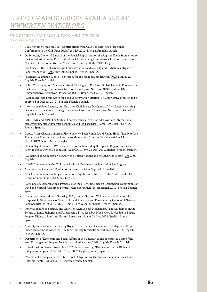## List of main sources available AT WWW.RTFN-WATCH.ORG

#### WHO DECIDES ABOUT GLOBAL FOOD AND NUTRITION? Strategies to regain control

- 01 CSM Working Group on GSF. "Contributions from CSO Consultations at Regional Conferences to the GSF First Draft." 15 May 2012. English, French, Spanish.
	- De Schutter, Olivier. "Mandate of the Special Rapporteur on the Right to Food: Submission to the Consultation on the First Draft of the Global Strategic Framework for Food Security and Nutrition of the Committee on World Food Security." 8 May 2012. English.
	- "Factsheet 1; the Global Strategic Framework for Food Security and Nutrition: a Right to Food Perspective." FAO. Mar. 2012. English, French, Spanish.
	- "Factsheet 2; Human Rights—a Strategy for the Fight against Hunger." FAO. Mar. 2012. English, French, Spanish.
	- Golay, Christophe, and Michaela Büschi. The Right to Food and Global Strategic Frameworks: the Global Strategic Framework for Food Security and Nutrition (GSF) and the UN Comprehensive Framework for Action (CFA). Rome: FAO, 2012. English.
	- "Global Strategic Framework for Food Security and Nutrition" CFS. July 2012. (Version to be approved in October 2012). English, French, Spanish.
	- International Food Security and Nutrition Civil Society Mechanism. "Civil Society Working Document on the Global Strategic Framework for Food Security and Nutrition." Dec. 2011. English, French, Spanish.
- 02 FAO, IFAD, and WPF. The State of Food Insecurity in the World: How does international price volatility affect domestic economies and food security? Rome: FAO, 2011. English, French, Spanish.
- 03 Gupta, Arun, Claudio Schuftan, Flavio Valente, Patti Rundall, and Radha Holla. "Ready to Use Therapeutic Food Is Not the Solution to Malnutrition". Letter. World Nutrition 3.4 (April 2012): 3, 4, 168–171. English.
	- Human Rights Council, 19<sup>th</sup> Session. "Report submitted by the Special Rapporteur on the Right to Food, Olivier De Schutter" (A/HCR/19/59). 26 Dec. 2011. English, French, Spanish.
- 04 "Guidelines on Cooperation between the United Nations and the Business Sector." UN, 2009. English.
	- • IBFAN Comments on the Children's Rights & Business Principles Initiative. English.
	- "Statement of Concern." Conflict of Interest Coalition. Sept. 2011. English.
	- "The Greed Revolution, Mega Foundations, Agribusiness Muscle In On Public Goods" ETC Group Communiqué 108 (2012). English.
- 05 "Civil Society Organizations' Proposals for the FAO Guidelines on Responsible Governance of Land and Natural Resources Tenure." Heidelberg: FIAN International, 2011. English, French, Spanish.
	- Committee on World Food Security, 38th (Special) Session. "Voluntary Guidelines on the Responsible Governance of Tenure of Land, Fisheries and Forests in the Context of National Food Security" (CFS 2012/38/2). Rome, 11 May 2012. English, French, Spanish.
	- International Food Security and Nutrition Civil Society Mechanism. "The Guidelines on the Tenure of Land, Fisheries and Forests Are a First Step, but Much More Is Needed to Ensure People's Rights to Land and Natural Resources." Rome, 11 May 2012. English, French, Spanish.
- 06 Amnesty International. Sacrificing Rights in the Name of Development: Indigenous Peoples under Threat in the Americas. London: Amnesty International Publications, 2011. English, French, Spanish.
	- Department of Economic and Social Affairs of the United Nations Secretariat. State of the World's Indigenous Peoples. New York: United Nations, 2009. English, French, Spanish.
	- United Nations General Assembly, 107<sup>th</sup> plenary meeting. "Declaration on the Rights of Indigenous Peoples" (61/295). 13 Sep. 2007. English, French, Spanish.
- 07 "Maastricht Principles on Extraterritorial Obligations in the Area of Economic, Social and Cultural Rights". 28 Sep. 2011. English, French, Spanish.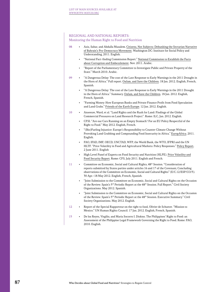#### REGIONAL AND NATIONAL REPORTS: Monitoring the Human Right to Food and Nutrition

| 08 | Aziz, Sahar, and Abdulla Musalem. Citizens, Not Subjects: Debunking the Sectarian Narrative<br>of Bahrain's Pro-Democracy Movement. Washington DC: Institute for Social Policy and<br>Understanding, 2011. English.                                                                                                                                    |
|----|--------------------------------------------------------------------------------------------------------------------------------------------------------------------------------------------------------------------------------------------------------------------------------------------------------------------------------------------------------|
|    | "National Fact-finding Commission Report." National Commission to Establish the Facts<br>about Corruption and Embezzlement. Nov. 2011. Arabic.                                                                                                                                                                                                         |
|    | "Report of the Parliamentary Committee to Investigate Public and Private Property of the<br>$\bullet$<br>State." March 2010. Arabic.                                                                                                                                                                                                                   |
| 09 | "A Dangerous Delay: The cost of the Late Response to Early Warnings in the 2011 Drought in<br>the Horn of Africa." Full report. Oxfam, and Save the Children. 18 Jan. 2012. English, French,<br>Spanish.                                                                                                                                               |
|    | "A Dangerous Delay: The cost of the Late Response to Early Warnings in the 2011 Drought<br>in the Horn of Africa." Summary. Oxfam, and Save the Children. 18 Jan. 2012. English,<br>French, Spanish.                                                                                                                                                   |
|    | "Farming Money: How European Banks and Private Finance Profit from Food Speculation<br>$\bullet$<br>and Land Grabs." Friends of the Earth Europe. 12 Jan. 2012. English.                                                                                                                                                                               |
| 10 | Anseeuw, Ward, et al. "Land Rights and the Rush for Land: Findings of the Global<br>$\bullet$<br>Commercial Pressures on Land Research Project". Rome: ILC, Jan. 2012. English.                                                                                                                                                                        |
|    | CFSI. "Are our Cars Running on an Empty Stomach? For an EU Policy Respectful of the<br>Right to Food." May 2012. English, French.                                                                                                                                                                                                                      |
|    | "(Bio)Fueling Injustice: Europe's Responsibility to Counter Climate Change Without<br>Provoking Land Grabbing and Compounding Food Insecurity in Africa." EuropAfrica. 2011.<br>English.                                                                                                                                                               |
|    | FAO, IFAD, IMF, OECD, UNCTAD, WFP, the World Bank, the WTO, IFPRI and the UN<br>$\bullet$<br>HLTF. "Price Volatility in Food and Agricultural Markets: Policy Responses." Policy Report,<br>2 June 2011. English                                                                                                                                       |
|    | High Level Panel of Experts on Food Security and Nutrition (HLPE). Price Volatility and<br>$\bullet$<br>Food Security Report. Rome: CFS, July 2011. English and French.                                                                                                                                                                                |
| 11 | Committee on Economic, Social and Cultural Rights, 48 <sup>th</sup> Session. "Consideration of<br>$\bullet$<br>reports submitted by States parties under articles 16 and 17 of the Covenant; Concluding<br>observations of the Committee on Economic, Social and Cultural Rights" (E/C.12/ESP/CO/5).<br>30 Apr.-18 May 2012. English, French, Spanish. |
|    | "Joint Submission to the Committee on Economic, Social and Cultural Rights on the Occasion<br>$\bullet$<br>of the Review. Spain's 5 <sup>th</sup> Periodic Report at the 48 <sup>th</sup> Session. Full Report." Civil Society<br>Organizations. May 2012. Spanish.                                                                                    |
|    | "Joint Submission to the Committee on Economic, Social and Cultural Rights on the Occasion<br>of the Review. Spain's 5 <sup>th</sup> Periodic Report at the 48 <sup>th</sup> Session. Executive Summary." Civil<br>Society Organizations. May 2012. English.                                                                                           |
| 12 | Report of the Special Rapporteur on the right to food, Olivier de Schutter. "Mission to<br>$\bullet$<br>Mexico." UN Human Rights Council. 17 Jan. 2012. English, French, Spanish.                                                                                                                                                                      |
| 15 | De los Reyes, Virgilio, and Maria Socorro I. Diokno. The Philippines' Right to Food: an<br>Assessment of the Philippine Legal Framework Governing the Right to Food. Rome: FAO,                                                                                                                                                                        |

2010. English.